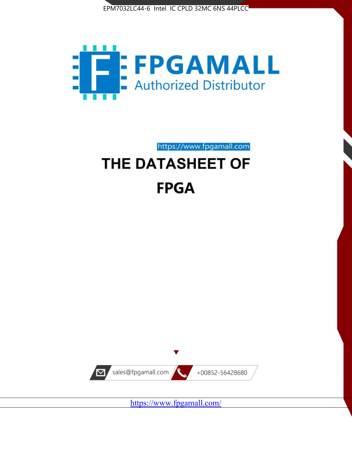



https://www.fpgamall.com

# THE DATASHEET OF **FPGA**



<https://www.fpgamall.com/>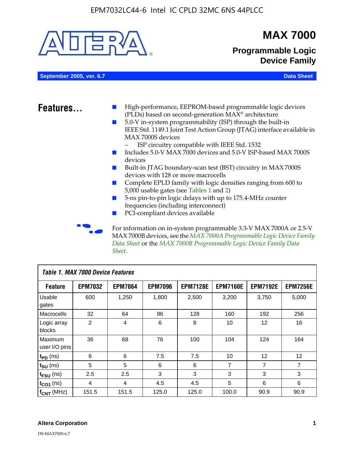

MAX 7000B devices, see the *MAX 7000A Programmable Logic Device Family Data Sheet* or the *MAX 7000B Programmable Logic Device Family Data Sheet*.

| Table 1. MAX 7000 Device Features |                |                |                |                 |                 |                   |                 |  |
|-----------------------------------|----------------|----------------|----------------|-----------------|-----------------|-------------------|-----------------|--|
| <b>Feature</b>                    | <b>EPM7032</b> | <b>EPM7064</b> | <b>EPM7096</b> | <b>EPM7128E</b> | <b>EPM7160E</b> | <b>EPM7192E</b>   | <b>EPM7256E</b> |  |
| Usable<br>gates                   | 600            | 1,250          | 1,800          | 2,500           | 3,200           | 3,750             | 5,000           |  |
| Macrocells                        | 32             | 64             | 96             | 128             | 160             | 192               | 256             |  |
| Logic array<br>blocks             | 2              | 4              | 6              | 8               | 10              | $12 \overline{ }$ | 16              |  |
| Maximum<br>user I/O pins          | 36             | 68             | 76             | 100             | 104             | 124               | 164             |  |
| $t_{PD}$ (ns)                     | 6              | 6              | 7.5            | 7.5             | 10              | 12                | 12              |  |
| $t_{\text{SU}}$ (ns)              | 5              | 5              | 6              | 6               | 7               | 7                 | $\overline{7}$  |  |
| $t_{FSU}$ (ns)                    | 2.5            | 2.5            | 3              | 3               | 3               | 3                 | 3               |  |
| $t_{CO1}$ (ns)                    | 4              | 4              | 4.5            | 4.5             | 5               | 6                 | 6               |  |
| $f_{CNT}$ (MHz)                   | 151.5          | 151.5          | 125.0          | 125.0           | 100.0           | 90.9              | 90.9            |  |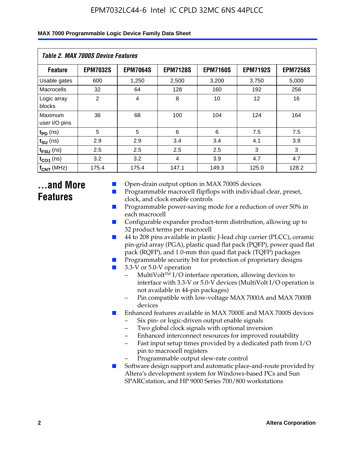| Table 2. MAX 7000S Device Features |                 |                 |                 |                 |                   |                 |  |  |
|------------------------------------|-----------------|-----------------|-----------------|-----------------|-------------------|-----------------|--|--|
| <b>Feature</b>                     | <b>EPM7032S</b> | <b>EPM7064S</b> | <b>EPM7128S</b> | <b>EPM7160S</b> | <b>EPM7192S</b>   | <b>EPM7256S</b> |  |  |
| Usable gates                       | 600             | 1,250           | 2,500           | 3,200           | 3,750             | 5,000           |  |  |
| Macrocells                         | 32              | 64              | 128             | 160             | 192               | 256             |  |  |
| Logic array<br>blocks              | $\overline{2}$  | $\overline{4}$  | 8               | 10              | $12 \overline{ }$ | 16              |  |  |
| Maximum<br>user I/O pins           | 36              | 68              | 100             | 104             | 124               | 164             |  |  |
| $t_{PD}$ (ns)                      | 5               | 5               | 6               | 6               | 7.5               | 7.5             |  |  |
| $t_{SU}$ (ns)                      | 2.9             | 2.9             | 3.4             | 3.4             | 4.1               | 3.9             |  |  |
| $t_{\text{FSU}}$ (ns)              | 2.5             | 2.5             | 2.5             | 2.5             | 3                 | 3               |  |  |
| $t_{CO1}$ (ns)                     | 3.2             | 3.2             | 4               | 3.9             | 4.7               | 4.7             |  |  |
| $f_{CNT}$ (MHz)                    | 175.4           | 175.4           | 147.1           | 149.3           | 125.0             | 128.2           |  |  |

### **...and More Features**

- Open-drain output option in MAX 7000S devices
- Programmable macrocell flipflops with individual clear, preset, clock, and clock enable controls
- Programmable power-saving mode for a reduction of over 50% in each macrocell
- Configurable expander product-term distribution, allowing up to 32 product terms per macrocell
- 44 to 208 pins available in plastic J-lead chip carrier (PLCC), ceramic pin-grid array (PGA), plastic quad flat pack (PQFP), power quad flat pack (RQFP), and 1.0-mm thin quad flat pack (TQFP) packages
- Programmable security bit for protection of proprietary designs
- 3.3-V or 5.0-V operation
	- MultiVolt<sup>TM</sup> I/O interface operation, allowing devices to interface with 3.3-V or 5.0-V devices (MultiVolt I/O operation is not available in 44-pin packages)
	- Pin compatible with low-voltage MAX 7000A and MAX 7000B devices
- Enhanced features available in MAX 7000E and MAX 7000S devices
	- Six pin- or logic-driven output enable signals
	- Two global clock signals with optional inversion
	- Enhanced interconnect resources for improved routability
	- Fast input setup times provided by a dedicated path from I/O pin to macrocell registers
	- Programmable output slew-rate control
- Software design support and automatic place-and-route provided by Altera's development system for Windows-based PCs and Sun SPARCstation, and HP 9000 Series 700/800 workstations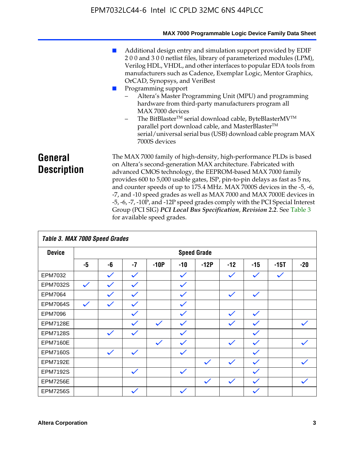|                               | MAX 7000 Programmable Logic Device Family Data Sheet                                                                                                                                                                                                                                                                                                                                                                                                                                                                                                                                                                                                                                                  |
|-------------------------------|-------------------------------------------------------------------------------------------------------------------------------------------------------------------------------------------------------------------------------------------------------------------------------------------------------------------------------------------------------------------------------------------------------------------------------------------------------------------------------------------------------------------------------------------------------------------------------------------------------------------------------------------------------------------------------------------------------|
|                               | Additional design entry and simulation support provided by EDIF<br>200 and 300 netlist files, library of parameterized modules (LPM),<br>Verilog HDL, VHDL, and other interfaces to popular EDA tools from<br>manufacturers such as Cadence, Exemplar Logic, Mentor Graphics,<br>OrCAD, Synopsys, and VeriBest<br>Programming support<br>Altera's Master Programming Unit (MPU) and programming<br>hardware from third-party manufacturers program all<br>MAX 7000 devices<br>The BitBlaster <sup>™</sup> serial download cable, ByteBlasterMV <sup>™</sup><br>-<br>parallel port download cable, and MasterBlaster™<br>serial/universal serial bus (USB) download cable program MAX<br>7000S devices |
| General<br><b>Description</b> | The MAX 7000 family of high-density, high-performance PLDs is based<br>on Altera's second-generation MAX architecture. Fabricated with<br>advanced CMOS technology, the EEPROM-based MAX 7000 family<br>provides 600 to 5,000 usable gates, ISP, pin-to-pin delays as fast as 5 ns,<br>and counter speeds of up to 175.4 MHz. MAX 7000S devices in the -5, -6,<br>-7, and -10 speed grades as well as MAX 7000 and MAX 7000E devices in<br>-5, -6, -7, -10P, and -12P speed grades comply with the PCI Special Interest<br>Group (PCI SIG) PCI Local Bus Specification, Revision 2.2. See Table 3                                                                                                     |

| Table 3. MAX 7000 Speed Grades |              |              |              |              |              |                    |              |              |              |              |
|--------------------------------|--------------|--------------|--------------|--------------|--------------|--------------------|--------------|--------------|--------------|--------------|
| <b>Device</b>                  |              |              |              |              |              | <b>Speed Grade</b> |              |              |              |              |
|                                | -5           | -6           | $-7$         | $-10P$       | $-10$        | $-12P$             | $-12$        | $-15$        | $-15T$       | $-20$        |
| EPM7032                        |              | $\checkmark$ | $\checkmark$ |              | $\checkmark$ |                    | $\checkmark$ | $\checkmark$ | $\checkmark$ |              |
| EPM7032S                       | $\checkmark$ | $\checkmark$ | $\checkmark$ |              | $\checkmark$ |                    |              |              |              |              |
| <b>EPM7064</b>                 |              | $\checkmark$ | $\checkmark$ |              | $\checkmark$ |                    | $\checkmark$ | $\checkmark$ |              |              |
| <b>EPM7064S</b>                | $\checkmark$ | $\checkmark$ | $\checkmark$ |              | $\checkmark$ |                    |              |              |              |              |
| <b>EPM7096</b>                 |              |              | $\checkmark$ |              | $\checkmark$ |                    | $\checkmark$ | $\checkmark$ |              |              |
| <b>EPM7128E</b>                |              |              | $\checkmark$ | $\checkmark$ | $\checkmark$ |                    | $\checkmark$ | $\checkmark$ |              | $\checkmark$ |
| <b>EPM7128S</b>                |              | $\checkmark$ | $\checkmark$ |              | $\checkmark$ |                    |              | $\checkmark$ |              |              |
| <b>EPM7160E</b>                |              |              |              | $\checkmark$ | $\checkmark$ |                    | $\checkmark$ | $\checkmark$ |              | $\checkmark$ |
| <b>EPM7160S</b>                |              | $\checkmark$ | $\checkmark$ |              | $\checkmark$ |                    |              | $\checkmark$ |              |              |
| <b>EPM7192E</b>                |              |              |              |              |              | $\checkmark$       | $\checkmark$ | $\checkmark$ |              |              |
| <b>EPM7192S</b>                |              |              | $\checkmark$ |              | $\checkmark$ |                    |              | $\checkmark$ |              |              |
| <b>EPM7256E</b>                |              |              |              |              |              | $\checkmark$       | $\checkmark$ | $\checkmark$ |              | $\checkmark$ |
| <b>EPM7256S</b>                |              |              | $\checkmark$ |              | $\checkmark$ |                    |              | $\checkmark$ |              |              |

for available speed grades.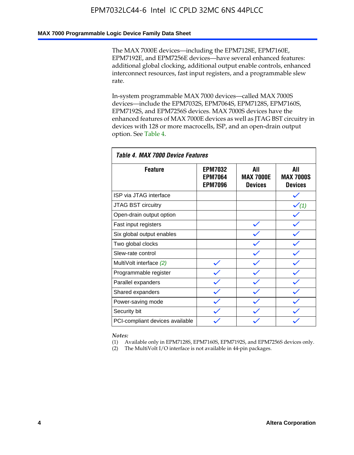#### **MAX 7000 Programmable Logic Device Family Data Sheet**

The MAX 7000E devices—including the EPM7128E, EPM7160E, EPM7192E, and EPM7256E devices—have several enhanced features: additional global clocking, additional output enable controls, enhanced interconnect resources, fast input registers, and a programmable slew rate.

In-system programmable MAX 7000 devices—called MAX 7000S devices—include the EPM7032S, EPM7064S, EPM7128S, EPM7160S, EPM7192S, and EPM7256S devices. MAX 7000S devices have the enhanced features of MAX 7000E devices as well as JTAG BST circuitry in devices with 128 or more macrocells, ISP, and an open-drain output option. See Table 4.

| Table 4. MAX 7000 Device Features |                                                    |                                           |                                           |  |  |  |  |
|-----------------------------------|----------------------------------------------------|-------------------------------------------|-------------------------------------------|--|--|--|--|
| <b>Feature</b>                    | <b>EPM7032</b><br><b>EPM7064</b><br><b>EPM7096</b> | All<br><b>MAX 7000E</b><br><b>Devices</b> | All<br><b>MAX 7000S</b><br><b>Devices</b> |  |  |  |  |
| ISP via JTAG interface            |                                                    |                                           |                                           |  |  |  |  |
| <b>JTAG BST circuitry</b>         |                                                    |                                           | $\checkmark$ (1)                          |  |  |  |  |
| Open-drain output option          |                                                    |                                           |                                           |  |  |  |  |
| Fast input registers              |                                                    |                                           |                                           |  |  |  |  |
| Six global output enables         |                                                    |                                           |                                           |  |  |  |  |
| Two global clocks                 |                                                    |                                           |                                           |  |  |  |  |
| Slew-rate control                 |                                                    |                                           |                                           |  |  |  |  |
| MultiVolt interface (2)           |                                                    |                                           |                                           |  |  |  |  |
| Programmable register             |                                                    |                                           |                                           |  |  |  |  |
| Parallel expanders                |                                                    |                                           |                                           |  |  |  |  |
| Shared expanders                  |                                                    |                                           |                                           |  |  |  |  |
| Power-saving mode                 |                                                    |                                           |                                           |  |  |  |  |
| Security bit                      |                                                    |                                           |                                           |  |  |  |  |
| PCI-compliant devices available   |                                                    |                                           |                                           |  |  |  |  |

*Notes:*

(1) Available only in EPM7128S, EPM7160S, EPM7192S, and EPM7256S devices only.

(2) The MultiVolt I/O interface is not available in 44-pin packages.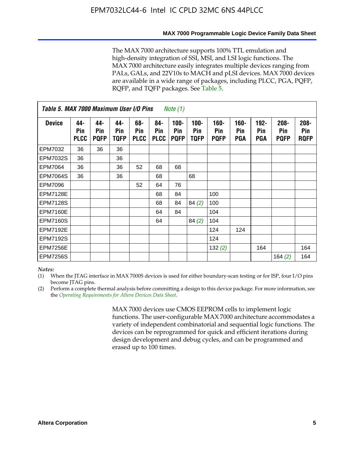#### **MAX 7000 Programmable Logic Device Family Data Sheet**

The MAX 7000 architecture supports 100% TTL emulation and high-density integration of SSI, MSI, and LSI logic functions. The MAX 7000 architecture easily integrates multiple devices ranging from PALs, GALs, and 22V10s to MACH and pLSI devices. MAX 7000 devices are available in a wide range of packages, including PLCC, PGA, PQFP, RQFP, and TQFP packages. See Table 5.

| Table 5. MAX 7000 Maximum User I/O Pins<br><i>Note</i> $(1)$ |                           |                           |                           |                           |                           |                               |                        |                            |                       |                                     |                               |                               |
|--------------------------------------------------------------|---------------------------|---------------------------|---------------------------|---------------------------|---------------------------|-------------------------------|------------------------|----------------------------|-----------------------|-------------------------------------|-------------------------------|-------------------------------|
| <b>Device</b>                                                | 44-<br>Pin<br><b>PLCC</b> | 44-<br>Pin<br><b>PQFP</b> | 44-<br><b>Pin</b><br>TQFP | 68-<br>Pin<br><b>PLCC</b> | 84-<br>Pin<br><b>PLCC</b> | $100 -$<br>Pin<br><b>PQFP</b> | $100 -$<br>Pin<br>TQFP | 160-<br>Pin<br><b>PQFP</b> | $160 -$<br>Pin<br>PGA | $192 -$<br><b>Pin</b><br><b>PGA</b> | $208 -$<br>Pin<br><b>PQFP</b> | $208 -$<br>Pin<br><b>ROFP</b> |
| EPM7032                                                      | 36                        | 36                        | 36                        |                           |                           |                               |                        |                            |                       |                                     |                               |                               |
| <b>EPM7032S</b>                                              | 36                        |                           | 36                        |                           |                           |                               |                        |                            |                       |                                     |                               |                               |
| <b>EPM7064</b>                                               | 36                        |                           | 36                        | 52                        | 68                        | 68                            |                        |                            |                       |                                     |                               |                               |
| <b>EPM7064S</b>                                              | 36                        |                           | 36                        |                           | 68                        |                               | 68                     |                            |                       |                                     |                               |                               |
| EPM7096                                                      |                           |                           |                           | 52                        | 64                        | 76                            |                        |                            |                       |                                     |                               |                               |
| <b>EPM7128E</b>                                              |                           |                           |                           |                           | 68                        | 84                            |                        | 100                        |                       |                                     |                               |                               |
| <b>EPM7128S</b>                                              |                           |                           |                           |                           | 68                        | 84                            | 84(2)                  | 100                        |                       |                                     |                               |                               |
| <b>EPM7160E</b>                                              |                           |                           |                           |                           | 64                        | 84                            |                        | 104                        |                       |                                     |                               |                               |
| <b>EPM7160S</b>                                              |                           |                           |                           |                           | 64                        |                               | 84(2)                  | 104                        |                       |                                     |                               |                               |
| <b>EPM7192E</b>                                              |                           |                           |                           |                           |                           |                               |                        | 124                        | 124                   |                                     |                               |                               |
| <b>EPM7192S</b>                                              |                           |                           |                           |                           |                           |                               |                        | 124                        |                       |                                     |                               |                               |
| <b>EPM7256E</b>                                              |                           |                           |                           |                           |                           |                               |                        | 132(2)                     |                       | 164                                 |                               | 164                           |
| <b>EPM7256S</b>                                              |                           |                           |                           |                           |                           |                               |                        |                            |                       |                                     | 164 $(2)$                     | 164                           |

#### *Notes:*

(1) When the JTAG interface in MAX 7000S devices is used for either boundary-scan testing or for ISP, four I/O pins become JTAG pins.

(2) Perform a complete thermal analysis before committing a design to this device package. For more information, see the *Operating Requirements for Altera Devices Data Sheet*.

> MAX 7000 devices use CMOS EEPROM cells to implement logic functions. The user-configurable MAX 7000 architecture accommodates a variety of independent combinatorial and sequential logic functions. The devices can be reprogrammed for quick and efficient iterations during design development and debug cycles, and can be programmed and erased up to 100 times.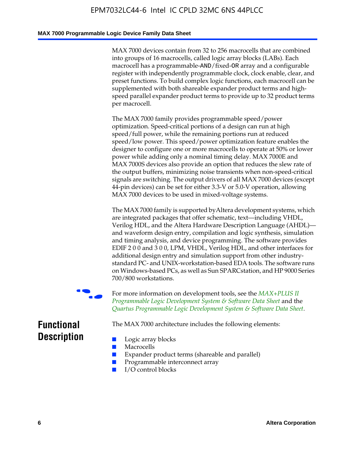#### **MAX 7000 Programmable Logic Device Family Data Sheet**

MAX 7000 devices contain from 32 to 256 macrocells that are combined into groups of 16 macrocells, called logic array blocks (LABs). Each macrocell has a programmable-AND/fixed-OR array and a configurable register with independently programmable clock, clock enable, clear, and preset functions. To build complex logic functions, each macrocell can be supplemented with both shareable expander product terms and highspeed parallel expander product terms to provide up to 32 product terms per macrocell.

The MAX 7000 family provides programmable speed/power optimization. Speed-critical portions of a design can run at high speed/full power, while the remaining portions run at reduced speed/low power. This speed/power optimization feature enables the designer to configure one or more macrocells to operate at 50% or lower power while adding only a nominal timing delay. MAX 7000E and MAX 7000S devices also provide an option that reduces the slew rate of the output buffers, minimizing noise transients when non-speed-critical signals are switching. The output drivers of all MAX 7000 devices (except 44-pin devices) can be set for either 3.3-V or 5.0-V operation, allowing MAX 7000 devices to be used in mixed-voltage systems.

The MAX 7000 family is supported byAltera development systems, which are integrated packages that offer schematic, text—including VHDL, Verilog HDL, and the Altera Hardware Description Language (AHDL) and waveform design entry, compilation and logic synthesis, simulation and timing analysis, and device programming. The [software provides](http://www.altera.com/literature/ds/dsmii.pdf)  [EDIF 2 0 0 and 3 0 0, LPM, VHDL, Verilog HDL, and other in](http://www.altera.com/literature/ds/dsmii.pdf)terfaces for [additional design entry and simulation support from other industry](http://www.altera.com/literature/ds/quartus.pdf)standard PC- and UNIX-workstation-based EDA tools. The software runs on Windows-based PCs, as well as Sun SPARCstation, and HP 9000 Series 700/800 workstations.

For more information on development tools, see the **MAX+PLUS II** *Programmable Logic Development System & Software Data Sheet* and the *Quartus Programmable Logic Development System & Software Data Sheet*.

The MAX 7000 architecture includes the following elements:

### **Functional Description**

- Logic array blocks
- **Macrocells**
- Expander product terms (shareable and parallel)
- Programmable interconnect array
- I/O control blocks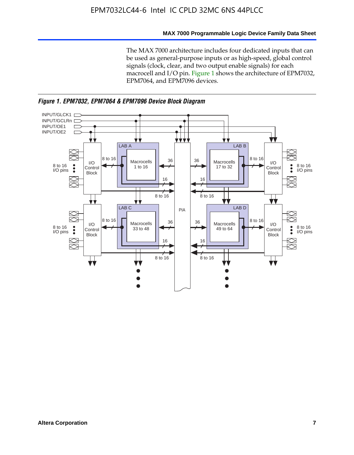#### **MAX 7000 Programmable Logic Device Family Data Sheet**

The MAX 7000 architecture includes four dedicated inputs that can be used as general-purpose inputs or as high-speed, global control signals (clock, clear, and two output enable signals) for each macrocell and I/O pin. Figure 1 shows the architecture of EPM7032, EPM7064, and EPM7096 devices.



*Figure 1. EPM7032, EPM7064 & EPM7096 Device Block Diagram*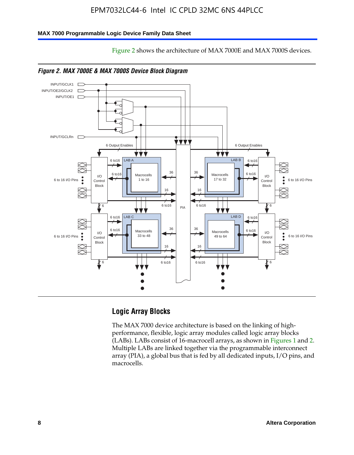#### **MAX 7000 Programmable Logic Device Family Data Sheet**





Figure 2 shows the architecture of MAX 7000E and MAX 7000S devices.

*Figure 2. MAX 7000E & MAX 7000S Device Block Diagram*

#### **Logic Array Blocks**

The MAX 7000 device architecture is based on the linking of highperformance, flexible, logic array modules called logic array blocks (LABs). LABs consist of 16-macrocell arrays, as shown in Figures 1 and 2. Multiple LABs are linked together via the programmable interconnect array (PIA), a global bus that is fed by all dedicated inputs, I/O pins, and macrocells.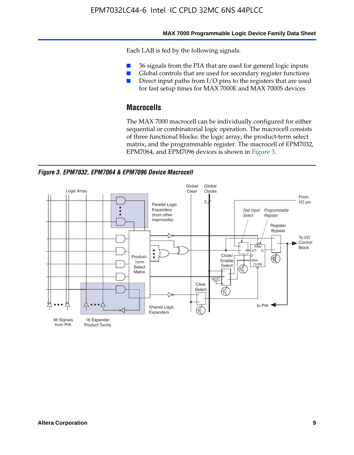#### **MAX 7000 Programmable Logic Device Family Data Sheet**

Each LAB is fed by the following signals:

- 36 signals from the PIA that are used for general logic inputs
- Global controls that are used for secondary register functions
- Direct input paths from I/O pins to the registers that are used for fast setup times for MAX 7000E and MAX 7000S devices

#### **Macrocells**

The MAX 7000 macrocell can be individually configured for either sequential or combinatorial logic operation. The macrocell consists of three functional blocks: the logic array, the product-term select matrix, and the programmable register. The macrocell of EPM7032, EPM7064, and EPM7096 devices is shown in Figure 3.

*Figure 3. EPM7032, EPM7064 & EPM7096 Device Macrocell*

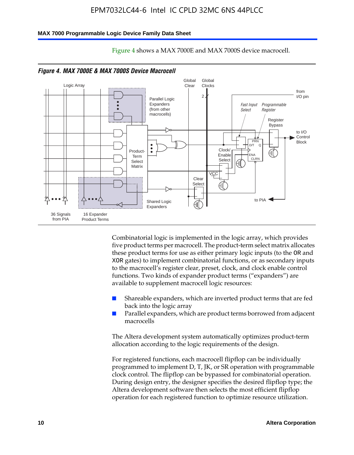#### **MAX 7000 Programmable Logic Device Family Data Sheet**



Figure 4 shows a MAX 7000E and MAX 7000S device macrocell.

Combinatorial logic is implemented in the logic array, which provides five product terms per macrocell. The product-term select matrix allocates these product terms for use as either primary logic inputs (to the OR and XOR gates) to implement combinatorial functions, or as secondary inputs to the macrocell's register clear, preset, clock, and clock enable control functions. Two kinds of expander product terms ("expanders") are available to supplement macrocell logic resources:

- Shareable expanders, which are inverted product terms that are fed back into the logic array
- Parallel expanders, which are product terms borrowed from adjacent macrocells

The Altera development system automatically optimizes product-term allocation according to the logic requirements of the design.

For registered functions, each macrocell flipflop can be individually programmed to implement D, T, JK, or SR operation with programmable clock control. The flipflop can be bypassed for combinatorial operation. During design entry, the designer specifies the desired flipflop type; the Altera development software then selects the most efficient flipflop operation for each registered function to optimize resource utilization.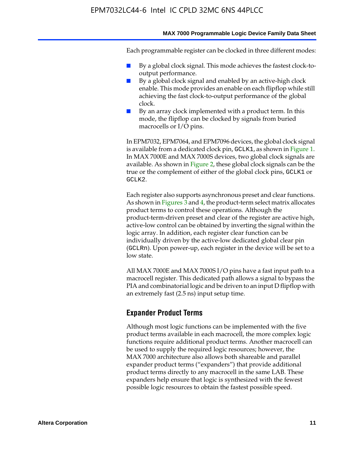#### **MAX 7000 Programmable Logic Device Family Data Sheet**

Each programmable register can be clocked in three different modes:

- By a global clock signal. This mode achieves the fastest clock-tooutput performance.
- By a global clock signal and enabled by an active-high clock enable. This mode provides an enable on each flipflop while still achieving the fast clock-to-output performance of the global clock.
- By an array clock implemented with a product term. In this mode, the flipflop can be clocked by signals from buried macrocells or I/O pins.

In EPM7032, EPM7064, and EPM7096 devices, the global clock signal is available from a dedicated clock pin, GCLK1, as shown in Figure 1. In MAX 7000E and MAX 7000S devices, two global clock signals are available. As shown in Figure 2, these global clock signals can be the true or the complement of either of the global clock pins, GCLK1 or GCLK2.

Each register also supports asynchronous preset and clear functions. As shown in Figures 3 and 4, the product-term select matrix allocates product terms to control these operations. Although the product-term-driven preset and clear of the register are active high, active-low control can be obtained by inverting the signal within the logic array. In addition, each register clear function can be individually driven by the active-low dedicated global clear pin (GCLRn). Upon power-up, each register in the device will be set to a low state.

All MAX 7000E and MAX 7000S I/O pins have a fast input path to a macrocell register. This dedicated path allows a signal to bypass the PIA and combinatorial logic and be driven to an input D flipflop with an extremely fast (2.5 ns) input setup time.

#### **Expander Product Terms**

Although most logic functions can be implemented with the five product terms available in each macrocell, the more complex logic functions require additional product terms. Another macrocell can be used to supply the required logic resources; however, the MAX 7000 architecture also allows both shareable and parallel expander product terms ("expanders") that provide additional product terms directly to any macrocell in the same LAB. These expanders help ensure that logic is synthesized with the fewest possible logic resources to obtain the fastest possible speed.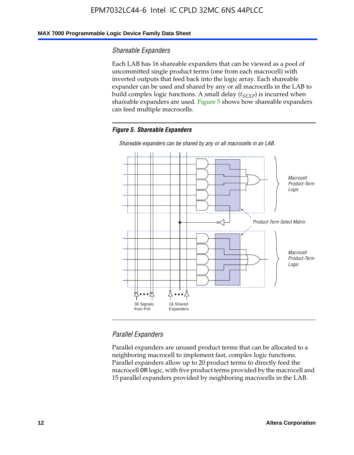#### **MAX 7000 Programmable Logic Device Family Data Sheet**

#### *Shareable Expanders*

Each LAB has 16 shareable expanders that can be viewed as a pool of uncommitted single product terms (one from each macrocell) with inverted outputs that feed back into the logic array. Each shareable expander can be used and shared by any or all macrocells in the LAB to build complex logic functions. A small delay ( $t_{SEXP}$ ) is incurred when shareable expanders are used. Figure 5 shows how shareable expanders can feed multiple macrocells.

#### *Figure 5. Shareable Expanders*



*Shareable expanders can be shared by any or all macrocells in an LAB.*

#### *Parallel Expanders*

Parallel expanders are unused product terms that can be allocated to a neighboring macrocell to implement fast, complex logic functions. Parallel expanders allow up to 20 product terms to directly feed the macrocell OR logic, with five product terms provided by the macrocell and 15 parallel expanders provided by neighboring macrocells in the LAB.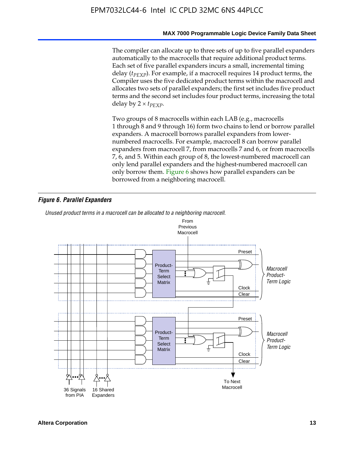#### **MAX 7000 Programmable Logic Device Family Data Sheet**

The compiler can allocate up to three sets of up to five parallel expanders automatically to the macrocells that require additional product terms. Each set of five parallel expanders incurs a small, incremental timing delay (*t<sub>PEXP</sub>*). For example, if a macrocell requires 14 product terms, the Compiler uses the five dedicated product terms within the macrocell and allocates two sets of parallel expanders; the first set includes five product terms and the second set includes four product terms, increasing the total delay by  $2 \times t_{PFXP}$ .

Two groups of 8 macrocells within each LAB (e.g., macrocells 1 through 8 and 9 through 16) form two chains to lend or borrow parallel expanders. A macrocell borrows parallel expanders from lowernumbered macrocells. For example, macrocell 8 can borrow parallel expanders from macrocell 7, from macrocells 7 and 6, or from macrocells 7, 6, and 5. Within each group of 8, the lowest-numbered macrocell can only lend parallel expanders and the highest-numbered macrocell can only borrow them. Figure 6 shows how parallel expanders can be borrowed from a neighboring macrocell.

#### *Figure 6. Parallel Expanders*

*Unused product terms in a macrocell can be allocated to a neighboring macrocell.*

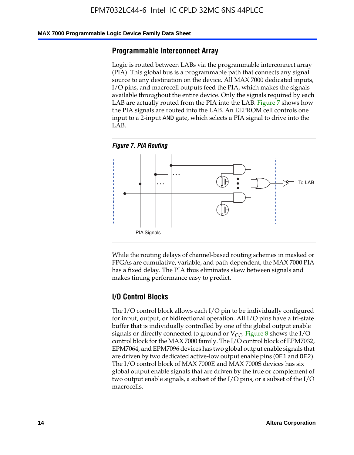#### **MAX 7000 Programmable Logic Device Family Data Sheet**

#### **Programmable Interconnect Array**

Logic is routed between LABs via the programmable interconnect array (PIA). This global bus is a programmable path that connects any signal source to any destination on the device. All MAX 7000 dedicated inputs, I/O pins, and macrocell outputs feed the PIA, which makes the signals available throughout the entire device. Only the signals required by each LAB are actually routed from the PIA into the LAB. Figure 7 shows how the PIA signals are routed into the LAB. An EEPROM cell controls one input to a 2-input AND gate, which selects a PIA signal to drive into the LAB.





While the routing delays of channel-based routing schemes in masked or FPGAs are cumulative, variable, and path-dependent, the MAX 7000 PIA has a fixed delay. The PIA thus eliminates skew between signals and makes timing performance easy to predict.

#### **I/O Control Blocks**

The I/O control block allows each I/O pin to be individually configured for input, output, or bidirectional operation. All I/O pins have a tri-state buffer that is individually controlled by one of the global output enable signals or directly connected to ground or  $V_{CC}$ . Figure 8 shows the I/O control block for the MAX 7000 family. The I/O control block of EPM7032, EPM7064, and EPM7096 devices has two global output enable signals that are driven by two dedicated active-low output enable pins (OE1 and OE2). The I/O control block of MAX 7000E and MAX 7000S devices has six global output enable signals that are driven by the true or complement of two output enable signals, a subset of the I/O pins, or a subset of the I/O macrocells.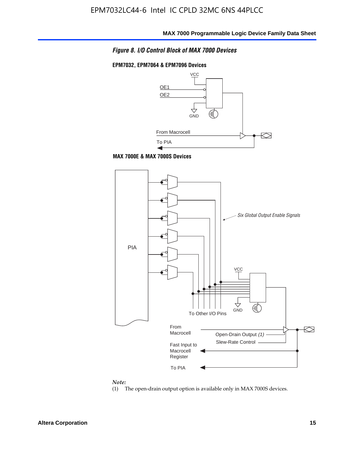#### *Figure 8. I/O Control Block of MAX 7000 Devices*

#### **EPM7032, EPM7064 & EPM7096 Devices**







#### *Note:*

(1) The open-drain output option is available only in MAX 7000S devices.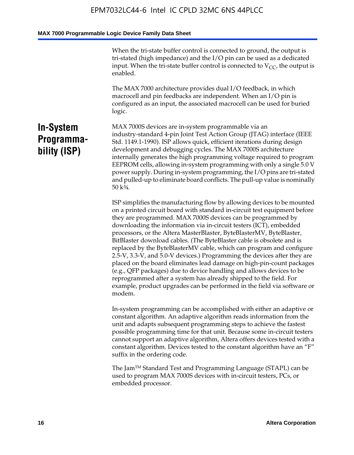When the tri-state buffer control is connected to ground, the output is tri-stated (high impedance) and the I/O pin can be used as a dedicated input. When the tri-state buffer control is connected to  $V_{CC}$ , the output is enabled.

The MAX 7000 architecture provides dual I/O feedback, in which macrocell and pin feedbacks are independent. When an I/O pin is configured as an input, the associated macrocell can be used for buried logic.

### **In-System Programmability (ISP)**

MAX 7000S devices are in-system programmable via an industry-standard 4-pin Joint Test Action Group (JTAG) interface (IEEE Std. 1149.1-1990). ISP allows quick, efficient iterations during design development and debugging cycles. The MAX 7000S architecture internally generates the high programming voltage required to program EEPROM cells, allowing in-system programming with only a single 5.0 V power supply. During in-system programming, the I/O pins are tri-stated and pulled-up to eliminate board conflicts. The pull-up value is nominally 50 k¾.

ISP simplifies the manufacturing flow by allowing devices to be mounted on a printed circuit board with standard in-circuit test equipment before they are programmed. MAX 7000S devices can be programmed by downloading the information via in-circuit testers (ICT), embedded processors, or the Altera MasterBlaster, ByteBlasterMV, ByteBlaster, BitBlaster download cables. (The ByteBlaster cable is obsolete and is replaced by the ByteBlasterMV cable, which can program and configure 2.5-V, 3.3-V, and 5.0-V devices.) Programming the devices after they are placed on the board eliminates lead damage on high-pin-count packages (e.g., QFP packages) due to device handling and allows devices to be reprogrammed after a system has already shipped to the field. For example, product upgrades can be performed in the field via software or modem.

In-system programming can be accomplished with either an adaptive or constant algorithm. An adaptive algorithm reads information from the unit and adapts subsequent programming steps to achieve the fastest possible programming time for that unit. Because some in-circuit testers cannot support an adaptive algorithm, Altera offers devices tested with a constant algorithm. Devices tested to the constant algorithm have an "F" suffix in the ordering code.

The Jam™ Standard Test and Programming Language (STAPL) can be used to program MAX 7000S devices with in-circuit testers, PCs, or embedded processor.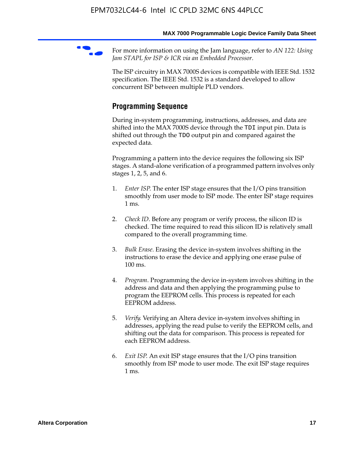For more information on using the Jam language, refer to *AN* 122: Using *Jam STAPL for ISP & ICR via an Embedded Processor*.

The ISP circuitry in MAX 7000S devices is compatible with IEEE Std. 1532 specification. The IEEE Std. 1532 is a standard developed to allow concurrent ISP between multiple PLD vendors.

### **Programming Sequence**

During in-system programming, instructions, addresses, and data are shifted into the MAX 7000S device through the TDI input pin. Data is shifted out through the TDO output pin and compared against the expected data.

Programming a pattern into the device requires the following six ISP stages. A stand-alone verification of a programmed pattern involves only stages 1, 2, 5, and 6.

- 1. *Enter ISP*. The enter ISP stage ensures that the I/O pins transition smoothly from user mode to ISP mode. The enter ISP stage requires 1 ms.
- 2. *Check ID*. Before any program or verify process, the silicon ID is checked. The time required to read this silicon ID is relatively small compared to the overall programming time.
- 3. *Bulk Erase*. Erasing the device in-system involves shifting in the instructions to erase the device and applying one erase pulse of 100 ms.
- 4. *Program*. Programming the device in-system involves shifting in the address and data and then applying the programming pulse to program the EEPROM cells. This process is repeated for each EEPROM address.
- 5. *Verify*. Verifying an Altera device in-system involves shifting in addresses, applying the read pulse to verify the EEPROM cells, and shifting out the data for comparison. This process is repeated for each EEPROM address.
- 6. *Exit ISP*. An exit ISP stage ensures that the I/O pins transition smoothly from ISP mode to user mode. The exit ISP stage requires 1 ms.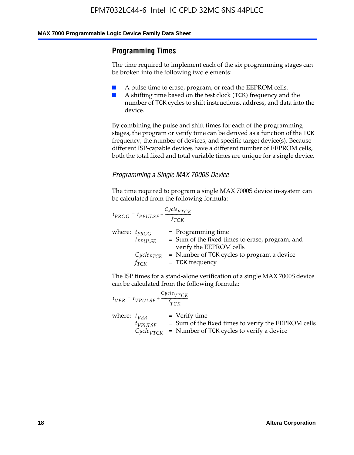#### **Programming Times**

The time required to implement each of the six programming stages can be broken into the following two elements:

- A pulse time to erase, program, or read the EEPROM cells.
- A shifting time based on the test clock (TCK) frequency and the number of TCK cycles to shift instructions, address, and data into the device.

By combining the pulse and shift times for each of the programming stages, the program or verify time can be derived as a function of the TCK frequency, the number of devices, and specific target device(s). Because different ISP-capable devices have a different number of EEPROM cells, both the total fixed and total variable times are unique for a single device.

#### *Programming a Single MAX 7000S Device*

The time required to program a single MAX 7000S device in-system can be calculated from the following formula:

$$
t_{PROG} = t_{PPULSE} + \frac{C_{ycle_{PTCK}}}{f_{TCK}}
$$
  
where:  $t_{PROG}$  = Programming time  
 $t_{PPULSE}$  = Sum of the fixed times to erase, program, and  
verify the EEPROM cells  
 $C_{ycle_{PTCK}}$  = Number of TCK cycles to program a device  
 $f_{TCK}$  = TCK frequency

The ISP times for a stand-alone verification of a single MAX 7000S device can be calculated from the following formula:

|                  | $t_{VER} = t_{VPULSE} + \frac{Cycle_{VTCK}}{f_{TCK}}$ |                                                                                                                                 |
|------------------|-------------------------------------------------------|---------------------------------------------------------------------------------------------------------------------------------|
| where: $t_{VFR}$ | $t_{VPULSE}$                                          | = Verify time<br>$=$ Sum of the fixed times to verify the EEPROM cells<br>$CycleVTCK$ = Number of TCK cycles to verify a device |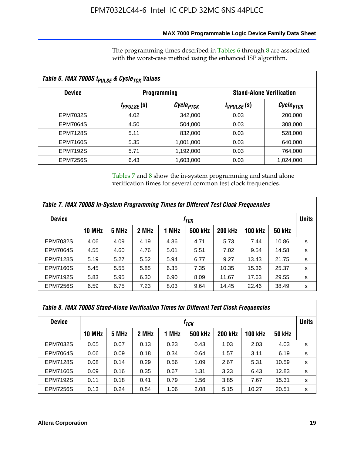#### **MAX 7000 Programmable Logic Device Family Data Sheet**

The programming times described in Tables 6 through 8 are associated with the worst-case method using the enhanced ISP algorithm.

| Table 6. MAX 7000S t <sub>PULSE</sub> & Cycle <sub>TCK</sub> Values |                               |                       |                 |                                 |  |  |  |
|---------------------------------------------------------------------|-------------------------------|-----------------------|-----------------|---------------------------------|--|--|--|
| <b>Device</b>                                                       |                               | <b>Programming</b>    |                 | <b>Stand-Alone Verification</b> |  |  |  |
|                                                                     | <i>t<sub>PPULSE</sub></i> (S) | Cycle <sub>PTCK</sub> | $t_{VPULSE}(s)$ | Cycle <sub>VTCK</sub>           |  |  |  |
| EPM7032S                                                            | 4.02                          | 342,000               | 0.03            | 200,000                         |  |  |  |
| <b>EPM7064S</b>                                                     | 4.50                          | 504.000               | 0.03            | 308,000                         |  |  |  |
| <b>EPM7128S</b>                                                     | 5.11                          | 832,000               | 0.03            | 528,000                         |  |  |  |
| <b>EPM7160S</b>                                                     | 5.35                          | 1,001,000             | 0.03            | 640,000                         |  |  |  |
| <b>EPM7192S</b>                                                     | 5.71                          | 1,192,000             | 0.03            | 764,000                         |  |  |  |
| <b>EPM7256S</b>                                                     | 6.43                          | 1,603,000             | 0.03            | 1,024,000                       |  |  |  |

Tables 7 and 8 show the in-system programming and stand alone verification times for several common test clock frequencies.

| Table 7. MAX 7000S In-System Programming Times for Different Test Clock Frequencies |               |       |       |       |                |                |                |               |              |
|-------------------------------------------------------------------------------------|---------------|-------|-------|-------|----------------|----------------|----------------|---------------|--------------|
| <b>Device</b><br>† <sub>TCK</sub>                                                   |               |       |       |       |                |                |                |               | <b>Units</b> |
|                                                                                     | <b>10 MHz</b> | 5 MHz | 2 MHz | 1 MHz | <b>500 kHz</b> | <b>200 kHz</b> | <b>100 kHz</b> | <b>50 kHz</b> |              |
| <b>EPM7032S</b>                                                                     | 4.06          | 4.09  | 4.19  | 4.36  | 4.71           | 5.73           | 7.44           | 10.86         | s            |
| <b>EPM7064S</b>                                                                     | 4.55          | 4.60  | 4.76  | 5.01  | 5.51           | 7.02           | 9.54           | 14.58         | s            |
| <b>EPM7128S</b>                                                                     | 5.19          | 5.27  | 5.52  | 5.94  | 6.77           | 9.27           | 13.43          | 21.75         | s            |
| <b>EPM7160S</b>                                                                     | 5.45          | 5.55  | 5.85  | 6.35  | 7.35           | 10.35          | 15.36          | 25.37         | s            |
| <b>EPM7192S</b>                                                                     | 5.83          | 5.95  | 6.30  | 6.90  | 8.09           | 11.67          | 17.63          | 29.55         | s            |
| <b>EPM7256S</b>                                                                     | 6.59          | 6.75  | 7.23  | 8.03  | 9.64           | 14.45          | 22.46          | 38.49         | s            |

| Table 8. MAX 7000S Stand-Alone Verification Times for Different Test Clock Frequencies |                  |       |       |       |                |                |                |               |   |
|----------------------------------------------------------------------------------------|------------------|-------|-------|-------|----------------|----------------|----------------|---------------|---|
| <b>Device</b>                                                                          | † <sub>TCK</sub> |       |       |       |                |                |                |               |   |
|                                                                                        | <b>10 MHz</b>    | 5 MHz | 2 MHz | 1 MHz | <b>500 kHz</b> | <b>200 kHz</b> | <b>100 kHz</b> | <b>50 kHz</b> |   |
| <b>EPM7032S</b>                                                                        | 0.05             | 0.07  | 0.13  | 0.23  | 0.43           | 1.03           | 2.03           | 4.03          | s |
| <b>EPM7064S</b>                                                                        | 0.06             | 0.09  | 0.18  | 0.34  | 0.64           | 1.57           | 3.11           | 6.19          | s |
| <b>EPM7128S</b>                                                                        | 0.08             | 0.14  | 0.29  | 0.56  | 1.09           | 2.67           | 5.31           | 10.59         | s |
| <b>EPM7160S</b>                                                                        | 0.09             | 0.16  | 0.35  | 0.67  | 1.31           | 3.23           | 6.43           | 12.83         | s |
| <b>EPM7192S</b>                                                                        | 0.11             | 0.18  | 0.41  | 0.79  | 1.56           | 3.85           | 7.67           | 15.31         | s |
| <b>EPM7256S</b>                                                                        | 0.13             | 0.24  | 0.54  | 1.06  | 2.08           | 5.15           | 10.27          | 20.51         | s |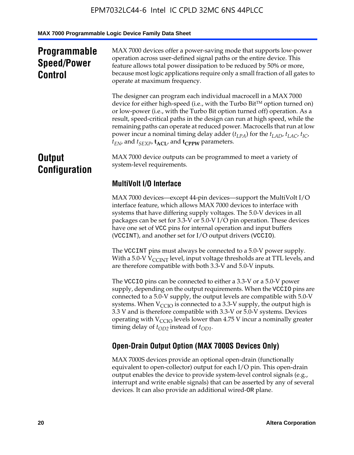## **Programmable Speed/Power Control**

MAX 7000 devices offer a power-saving mode that supports low-power operation across user-defined signal paths or the entire device. This feature allows total power dissipation to be reduced by 50% or more, because most logic applications require only a small fraction of all gates to operate at maximum frequency.

The designer can program each individual macrocell in a MAX 7000 device for either high-speed (i.e., with the Turbo  $Bit^{TM}$  option turned on) or low-power (i.e., with the Turbo Bit option turned off) operation. As a result, speed-critical paths in the design can run at high speed, while the remaining paths can operate at reduced power. Macrocells that run at low power incur a nominal timing delay adder  $(t_{LPA})$  for the  $t_{LAD}$ ,  $t_{LAC}$ ,  $t_{IC}$ ,  $t_{EN}$ , and  $t_{SEXP}$ ,  $t_{ACL}$ , and  $t_{CPPW}$  parameters.

### **Output Configuration**

MAX 7000 device outputs can be programmed to meet a variety of system-level requirements.

### **MultiVolt I/O Interface**

MAX 7000 devices—except 44-pin devices—support the MultiVolt I/O interface feature, which allows MAX 7000 devices to interface with systems that have differing supply voltages. The 5.0-V devices in all packages can be set for 3.3-V or 5.0-V I/O pin operation. These devices have one set of VCC pins for internal operation and input buffers (VCCINT), and another set for I/O output drivers (VCCIO).

The VCCINT pins must always be connected to a 5.0-V power supply. With a 5.0-V  $V_{\text{CCINT}}$  level, input voltage thresholds are at TTL levels, and are therefore compatible with both 3.3-V and 5.0-V inputs.

The VCCIO pins can be connected to either a 3.3-V or a 5.0-V power supply, depending on the output requirements. When the VCCIO pins are connected to a 5.0-V supply, the output levels are compatible with 5.0-V systems. When  $V_{\text{CGO}}$  is connected to a 3.3-V supply, the output high is 3.3 V and is therefore compatible with 3.3-V or 5.0-V systems. Devices operating with  $V_{\text{CCIO}}$  levels lower than 4.75 V incur a nominally greater timing delay of  $t_{OD2}$  instead of  $t_{OD1}$ .

### **Open-Drain Output Option (MAX 7000S Devices Only)**

MAX 7000S devices provide an optional open-drain (functionally equivalent to open-collector) output for each I/O pin. This open-drain output enables the device to provide system-level control signals (e.g., interrupt and write enable signals) that can be asserted by any of several devices. It can also provide an additional wired-OR plane.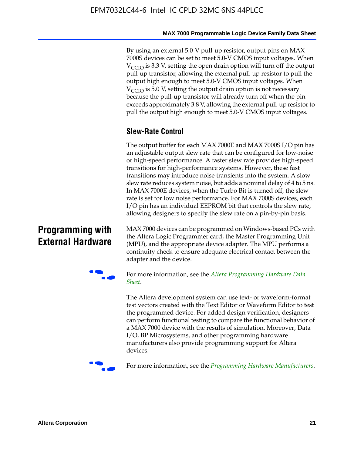By using an external 5.0-V pull-up resistor, output pins on MAX 7000S devices can be set to meet 5.0-V CMOS input voltages. When  $V_{\text{CCIO}}$  is 3.3 V, setting the open drain option will turn off the output pull-up transistor, allowing the external pull-up resistor to pull the output high enough to meet 5.0-V CMOS input voltages. When  $V_{\text{CCIO}}$  is 5.0 V, setting the output drain option is not necessary because the pull-up transistor will already turn off when the pin exceeds approximately 3.8 V, allowing the external pull-up resistor to pull the output high enough to meet 5.0-V CMOS input voltages.

#### **Slew-Rate Control**

The output buffer for each MAX 7000E and MAX 7000S I/O pin has an adjustable output slew rate that can be configured for low-noise or high-speed performance. A faster slew rate provides high-speed transitions for high-performance systems. However, these fast transitions may introduce noise transients into the system. A slow slew rate reduces system noise, but adds a nominal delay of 4 to 5 ns. In MAX 7000E devices, when the Turbo Bit is turned off, the slew rate is set for low noise performance. For MAX 7000S devices, each I/O pin has an individual EEPROM bit that controls the slew rate, allowing designers to specify the slew rate on a pin-by-pin basis.

### **Programming with External Hardware**

[MAX](http://www.altera.com/literature/ds/dspghd.pdf) 7000 devices can be prog[rammed on Windows-based PCs with](http://www.altera.com/literature/ds/dspghd.pdf)  the Altera Logic Programmer card, the Master Programming Unit (MPU), and the appropriate device adapter. The MPU performs a continuity check to ensure adequate electrical contact between the adapter and the device.



For more information, see the *Altera Programming Hardware Data Sheet*.

The Altera development system can use text- or waveform-format test vectors created with the Text Editor or Waveform Editor to test the programmed device. For added design verification, designers can perform functional testing to compare the functional behavior of a MAX 7000 device with the results of simulation. Moreover, Data I/O, BP Microsystems, and other programming hardware manufacturers also provide programming support for Altera devices.



For more information, see the *Programming Hardware Manufacturers*.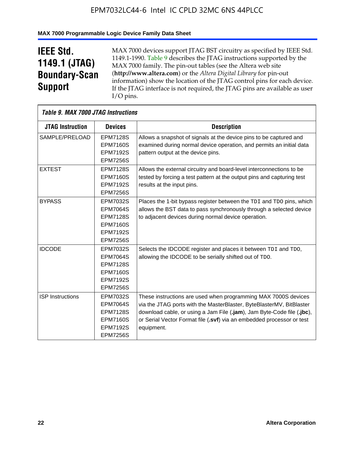#### **MAX 7000 Programmable Logic Device Family Data Sheet**

## **IEEE Std. 1149.1 (JTAG) Boundary-Scan Support**

 $\mathsf{r}$ 

MAX 7000 devices support JTAG BST circuitry as specified by IEEE Std. 1149.1-1990. Table 9 describes the JTAG instructions supported by the MAX 7000 family. The pin-out tables (see the Altera web site (**http://www.altera.com**) or the *Altera Digital Library* for pin-out information) show the location of the JTAG control pins for each device. If the JTAG interface is not required, the JTAG pins are available as user I/O pins.

| <b>Table 9. MAX 7000 JTAG Instructions</b> |                 |                                                                        |
|--------------------------------------------|-----------------|------------------------------------------------------------------------|
| <b>JTAG Instruction</b>                    | <b>Devices</b>  | <b>Description</b>                                                     |
| SAMPLE/PRELOAD                             | <b>EPM7128S</b> | Allows a snapshot of signals at the device pins to be captured and     |
|                                            | <b>EPM7160S</b> | examined during normal device operation, and permits an initial data   |
|                                            | <b>EPM7192S</b> | pattern output at the device pins.                                     |
|                                            | <b>EPM7256S</b> |                                                                        |
| <b>EXTEST</b>                              | <b>EPM7128S</b> | Allows the external circuitry and board-level interconnections to be   |
|                                            | <b>EPM7160S</b> | tested by forcing a test pattern at the output pins and capturing test |
|                                            | <b>EPM7192S</b> | results at the input pins.                                             |
|                                            | <b>EPM7256S</b> |                                                                        |
| <b>BYPASS</b>                              | EPM7032S        | Places the 1-bit bypass register between the TDI and TDO pins, which   |
|                                            | <b>EPM7064S</b> | allows the BST data to pass synchronously through a selected device    |
|                                            | <b>EPM7128S</b> | to adjacent devices during normal device operation.                    |
|                                            | <b>EPM7160S</b> |                                                                        |
|                                            | <b>EPM7192S</b> |                                                                        |
|                                            | <b>EPM7256S</b> |                                                                        |
| <b>IDCODE</b>                              | <b>EPM7032S</b> | Selects the IDCODE register and places it between TDI and TDO,         |
|                                            | <b>EPM7064S</b> | allowing the IDCODE to be serially shifted out of TDO.                 |
|                                            | <b>EPM7128S</b> |                                                                        |
|                                            | <b>EPM7160S</b> |                                                                        |
|                                            | <b>EPM7192S</b> |                                                                        |
|                                            | <b>EPM7256S</b> |                                                                        |
| <b>ISP</b> Instructions                    | <b>EPM7032S</b> | These instructions are used when programming MAX 7000S devices         |
|                                            | <b>EPM7064S</b> | via the JTAG ports with the MasterBlaster, ByteBlasterMV, BitBlaster   |
|                                            | <b>EPM7128S</b> | download cable, or using a Jam File (.jam), Jam Byte-Code file (.jbc), |
|                                            | <b>EPM7160S</b> | or Serial Vector Format file (.svf) via an embedded processor or test  |
|                                            | <b>EPM7192S</b> | equipment.                                                             |
|                                            | <b>EPM7256S</b> |                                                                        |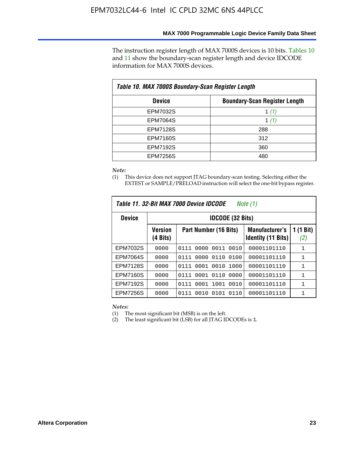The instruction register length of MAX 7000S devices is 10 bits. Tables 10 and 11 show the boundary-scan register length and device IDCODE information for MAX 7000S devices.

| Table 10. MAX 7000S Boundary-Scan Register Length |                                      |  |  |  |  |  |
|---------------------------------------------------|--------------------------------------|--|--|--|--|--|
| <b>Device</b>                                     | <b>Boundary-Scan Register Length</b> |  |  |  |  |  |
| <b>EPM7032S</b>                                   | 1 $(1)$                              |  |  |  |  |  |
| <b>EPM7064S</b>                                   | 1 $(1)$                              |  |  |  |  |  |
| <b>EPM7128S</b>                                   | 288                                  |  |  |  |  |  |
| <b>EPM7160S</b>                                   | 312                                  |  |  |  |  |  |
| <b>EPM7192S</b>                                   | 360                                  |  |  |  |  |  |
| <b>EPM7256S</b>                                   | 480                                  |  |  |  |  |  |

*Note:*

(1) This device does not support JTAG boundary-scan testing. Selecting either the EXTEST or SAMPLE/PRELOAD instruction will select the one-bit bypass register.

| Table 11, 32-Bit MAX 7000 Device IDCODE<br>Note (1) |                            |                              |                                                    |                  |  |  |  |
|-----------------------------------------------------|----------------------------|------------------------------|----------------------------------------------------|------------------|--|--|--|
| <b>Device</b>                                       |                            | <b>IDCODE (32 Bits)</b>      |                                                    |                  |  |  |  |
|                                                     | <b>Version</b><br>(4 Bits) | Part Number (16 Bits)        | <b>Manufacturer's</b><br><b>Identity (11 Bits)</b> | 1 (1 Bit)<br>(2) |  |  |  |
| EPM7032S                                            | 0000                       | 0010<br>0111<br>0000<br>0011 | 00001101110                                        | 1                |  |  |  |
| <b>EPM7064S</b>                                     | 0000                       | 0000<br>0110<br>0100<br>0111 | 00001101110                                        | 1                |  |  |  |
| <b>EPM7128S</b>                                     | 0000                       | 0001 0010<br>1000<br>0111    | 00001101110                                        | 1                |  |  |  |
| <b>EPM7160S</b>                                     | 0000                       | 0001<br>0110<br>0000<br>0111 | 00001101110                                        | $\mathbf{1}$     |  |  |  |
| <b>EPM7192S</b>                                     | 0000                       | 1001<br>0010<br>0111<br>0001 | 00001101110                                        | 1                |  |  |  |
| EPM7256S                                            | 0000                       | 0111<br>0010<br>0101<br>0110 | 00001101110                                        | 1                |  |  |  |

*Notes:*

(1) The most significant bit (MSB) is on the left.

(2) The least significant bit (LSB) for all JTAG IDCODEs is 1.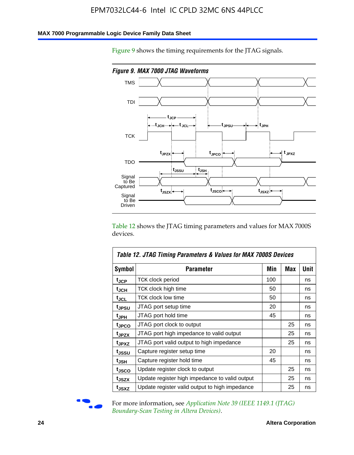#### **MAX 7000 Programmable Logic Device Family Data Sheet**

Figure 9 shows the timing requirements for the JTAG signals.



Table 12 shows the JTAG timing parameters and values for MAX 7000S devices.

|                   | Table 12. JTAG Timing Parameters & Values for MAX 7000S Devices |     |     |      |  |  |  |
|-------------------|-----------------------------------------------------------------|-----|-----|------|--|--|--|
| <b>Symbol</b>     | Parameter                                                       | Min | Max | Unit |  |  |  |
| t <sub>JCP</sub>  | TCK clock period                                                | 100 |     | ns   |  |  |  |
| t <sub>JCH</sub>  | TCK clock high time                                             | 50  |     | ns   |  |  |  |
| $t_{JCL}$         | <b>TCK clock low time</b>                                       | 50  |     | ns   |  |  |  |
| tjpsu             | JTAG port setup time                                            | 20  |     | ns   |  |  |  |
| t <sub>JPH</sub>  | JTAG port hold time                                             | 45  |     | ns   |  |  |  |
| tjpco             | JTAG port clock to output                                       |     | 25  | ns   |  |  |  |
| t <sub>JPZX</sub> | JTAG port high impedance to valid output                        |     | 25  | ns   |  |  |  |
| t <sub>JPXZ</sub> | JTAG port valid output to high impedance                        |     | 25  | ns   |  |  |  |
| tjssu             | Capture register setup time                                     | 20  |     | ns   |  |  |  |
| t <sub>JSH</sub>  | Capture register hold time                                      | 45  |     | ns   |  |  |  |
| tjsco             | Update register clock to output                                 |     | 25  | ns   |  |  |  |
| t <sub>JSZX</sub> | Update register high impedance to valid output                  |     | 25  | ns   |  |  |  |
| tjsxz             | Update register valid output to high impedance                  |     | 25  | ns   |  |  |  |



For more information, see *Application Note 39* (IEEE 1149.1 (JTAG) *Boundary-Scan Testing in Altera Devices)*.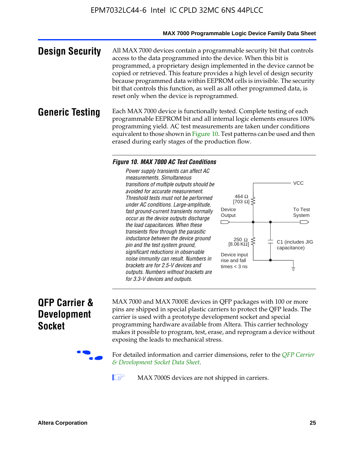#### **MAX 7000 Programmable Logic Device Family Data Sheet**

**Design Security** All MAX 7000 devices contain a programmable security bit that controls access to the data programmed into the device. When this bit is programmed, a proprietary design implemented in the device cannot be copied or retrieved. This feature provides a high level of design security because programmed data within EEPROM cells is invisible. The security bit that controls this function, as well as all other programmed data, is reset only when the device is reprogrammed.

#### **Generic Testing** Each MAX 7000 device is functionally tested. Complete testing of each programmable EEPROM bit and all internal logic elements ensures 100% programming yield. AC test measurements are taken under conditions equivalent to those shown in Figure 10. Test patterns can be used and then erased during early stages of the production flow.

#### *Figure 10. MAX 7000 AC Test Conditions*

*Power supply transients can affect AC measurements. Simultaneous transitions of multiple outputs should be avoided for accurate measurement. Threshold tests must not be performed under AC conditions. Large-amplitude, fast ground-current transients normally occur as the device outputs discharge the load capacitances. When these transients flow through the parasitic inductance between the device ground pin and the test system ground, significant reductions in observable noise immunity can result. Numbers in brackets are for 2.5-V devices and outputs. Numbers without brackets are for 3.3-V devices and outputs.*



### **QFP Carrier & Development Socket**

MAX 7000 and MAX 7000E devices in QFP packages with 10[0 or more](http://www.altera.com/literature/ds/dsqfp.pdf)  [pins are shipped in special plas](http://www.altera.com/literature/ds/dsqfp.pdf)tic carriers to protect the QFP leads. The carrier is used with a prototype development socket and special programming hardware available from Altera. This carrier technology makes it possible to program, test, erase, and reprogram a device without exposing the leads to mechanical stress.

For detailed information and carrier dimensions, refer to the *QFP Carrier & Development Socket Data Sheet*.

MAX 7000S devices are not shipped in carriers.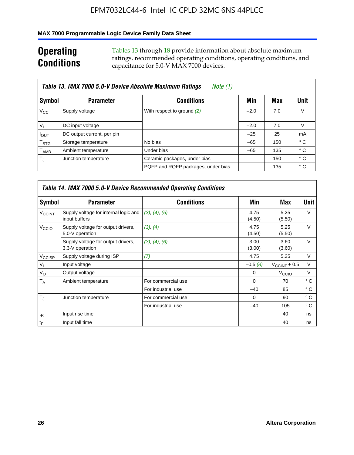#### **MAX 7000 Programmable Logic Device Family Data Sheet**

## **Operating Conditions**

Tables 13 through 18 provide information about absolute maximum ratings, recommended operating conditions, operating conditions, and capacitance for 5.0-V MAX 7000 devices.

|                             | Table 13. MAX 7000 5.0-V Device Absolute Maximum Ratings<br>Note (1) |                                    |        |     |      |  |  |  |  |
|-----------------------------|----------------------------------------------------------------------|------------------------------------|--------|-----|------|--|--|--|--|
| Symbol                      | <b>Parameter</b>                                                     | <b>Conditions</b>                  | Min    | Max | Unit |  |  |  |  |
| $V_{\rm CC}$                | Supply voltage                                                       | With respect to ground (2)         | $-2.0$ | 7.0 | V    |  |  |  |  |
| $V_{1}$                     | DC input voltage                                                     |                                    | $-2.0$ | 7.0 | V    |  |  |  |  |
| $I_{\text{OUT}}$            | DC output current, per pin                                           |                                    | $-25$  | 25  | mA   |  |  |  |  |
| $\mathsf{T}_{\text{STG}}$   | Storage temperature                                                  | No bias                            | $-65$  | 150 | ° C  |  |  |  |  |
| $\mathsf{T}_{\mathsf{AMB}}$ | Ambient temperature                                                  | Under bias                         | $-65$  | 135 | ° C  |  |  |  |  |
| $T_{\rm J}$                 | Junction temperature                                                 | Ceramic packages, under bias       |        | 150 | ° C  |  |  |  |  |
|                             |                                                                      | PQFP and RQFP packages, under bias |        | 135 | ° C  |  |  |  |  |

|                          | <b>Table 14. MAX 7000 5.0-V Device Recommended Operating Conditions</b> |                    |                |                          |              |  |  |  |
|--------------------------|-------------------------------------------------------------------------|--------------------|----------------|--------------------------|--------------|--|--|--|
| Symbol                   | <b>Parameter</b>                                                        | <b>Conditions</b>  | Min            | Max                      | Unit         |  |  |  |
| <b>V<sub>CCINT</sub></b> | Supply voltage for internal logic and<br>input buffers                  | (3), (4), (5)      | 4.75<br>(4.50) | 5.25<br>(5.50)           | $\vee$       |  |  |  |
| V <sub>CCIO</sub>        | Supply voltage for output drivers,<br>5.0-V operation                   | (3), (4)           | 4.75<br>(4.50) | 5.25<br>(5.50)           | V            |  |  |  |
|                          | Supply voltage for output drivers,<br>3.3-V operation                   | (3), (4), (6)      | 3.00<br>(3.00) | 3.60<br>(3.60)           | $\vee$       |  |  |  |
| V <sub>CCISP</sub>       | Supply voltage during ISP                                               | (7)                | 4.75           | 5.25                     | $\vee$       |  |  |  |
| $V_{1}$                  | Input voltage                                                           |                    | $-0.5(8)$      | $V_{\text{CCINT}} + 0.5$ | V            |  |  |  |
| $V_{\rm O}$              | Output voltage                                                          |                    | 0              | V <sub>CCIO</sub>        | V            |  |  |  |
| Т <sub>А</sub>           | Ambient temperature                                                     | For commercial use | $\Omega$       | 70                       | $^{\circ}$ C |  |  |  |
|                          |                                                                         | For industrial use | $-40$          | 85                       | $^{\circ}$ C |  |  |  |
| $T_{\rm d}$              | Junction temperature                                                    | For commercial use | $\Omega$       | 90                       | $^{\circ}$ C |  |  |  |
|                          |                                                                         | For industrial use | $-40$          | 105                      | $^{\circ}$ C |  |  |  |
| $t_{\mathsf{R}}$         | Input rise time                                                         |                    |                | 40                       | ns           |  |  |  |
| $t_F$                    | Input fall time                                                         |                    |                | 40                       | ns           |  |  |  |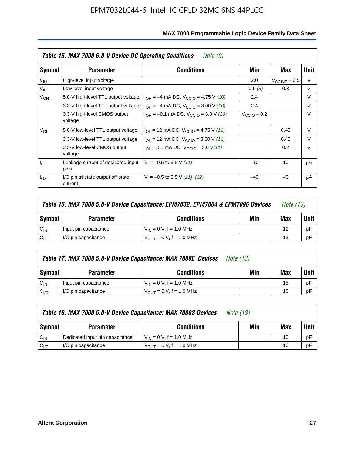|                 | Table 15. MAX 7000 5.0-V Device DC Operating Conditions<br>Note (9) |                                                                           |                      |                          |        |  |  |  |  |
|-----------------|---------------------------------------------------------------------|---------------------------------------------------------------------------|----------------------|--------------------------|--------|--|--|--|--|
| Symbol          | <b>Parameter</b>                                                    | <b>Conditions</b>                                                         | Min                  | Max                      | Unit   |  |  |  |  |
| V <sub>IH</sub> | High-level input voltage                                            |                                                                           | 2.0                  | $V_{\text{CCINT}} + 0.5$ | V      |  |  |  |  |
| $V_{IL}$        | Low-level input voltage                                             |                                                                           | $-0.5(8)$            | 0.8                      | V      |  |  |  |  |
| $V_{OH}$        | 5.0-V high-level TTL output voltage                                 | $I_{OH} = -4$ mA DC, $V_{CClO} = 4.75$ V (10)                             | 2.4                  |                          | $\vee$ |  |  |  |  |
|                 | 3.3-V high-level TTL output voltage                                 | $I_{OH} = -4$ mA DC, $V_{CClO} = 3.00$ V (10)                             | 2.4                  |                          | V      |  |  |  |  |
|                 | 3.3-V high-level CMOS output<br>voltage                             | $I_{OH} = -0.1$ mA DC, $V_{CClO} = 3.0$ V (10)                            | $V_{\rm CClO}$ – 0.2 |                          | V      |  |  |  |  |
| $V_{OL}$        | 5.0-V low-level TTL output voltage                                  | $I_{\text{OI}}$ = 12 mA DC, $V_{\text{CCIO}}$ = 4.75 V (11)               |                      | 0.45                     | $\vee$ |  |  |  |  |
|                 | 3.3-V low-level TTL output voltage                                  | $I_{OL}$ = 12 mA DC, $V_{CCIO}$ = 3.00 V (11)                             |                      | 0.45                     | $\vee$ |  |  |  |  |
|                 | 3.3-V low-level CMOS output<br>voltage                              | $I_{\text{OI}} = 0.1 \text{ mA DC}, V_{\text{CCIO}} = 3.0 \text{ V} (11)$ |                      | 0.2                      | $\vee$ |  |  |  |  |
| ı,              | Leakage current of dedicated input<br>pins                          | $V_1 = -0.5$ to 5.5 V (11)                                                | $-10$                | 10                       | μA     |  |  |  |  |
| $I_{OZ}$        | I/O pin tri-state output off-state<br>current                       | $V_1 = -0.5$ to 5.5 V (11), (12)                                          | $-40$                | 40                       | μA     |  |  |  |  |

| Table 16. MAX 7000 5.0-V Device Capacitance: EPM7032, EPM7064 & EPM7096 Devices |                                              |                                      |  |    | <i>Note (13)</i> |
|---------------------------------------------------------------------------------|----------------------------------------------|--------------------------------------|--|----|------------------|
| Symbol                                                                          | Min<br><b>Conditions</b><br><b>Parameter</b> |                                      |  |    |                  |
| $C_{IN}$                                                                        | Input pin capacitance                        | $V_{IN} = 0 V$ , f = 1.0 MHz         |  | 12 | рF               |
| C <sub>I/O</sub>                                                                | I/O pin capacitance                          | $V_{\text{OUT}} = 0 V$ , f = 1.0 MHz |  | 12 | рF               |

|                  | Table 17. MAX 7000 5.0-V Device Capacitance: MAX 7000E Devices<br><i>Note (13)</i> |                                |     |     |        |  |  |
|------------------|------------------------------------------------------------------------------------|--------------------------------|-----|-----|--------|--|--|
| Symbol           | <b>Parameter</b>                                                                   | <b>Conditions</b>              | Min | Max | Unit I |  |  |
| $C_{IN}$         | Input pin capacitance                                                              | $V_{1N} = 0 V$ , f = 1.0 MHz   |     | 15  | pF     |  |  |
| C <sub>I/O</sub> | I/O pin capacitance                                                                | $V_{OIII} = 0 V$ , f = 1.0 MHz |     | 15  | pF     |  |  |

|                  | Table 18. MAX 7000 5.0-V Device Capacitance: MAX 7000S Devices<br><i>Note (13)</i> |                                     |     |     |        |  |
|------------------|------------------------------------------------------------------------------------|-------------------------------------|-----|-----|--------|--|
| Symbol           | <b>Parameter</b>                                                                   | <b>Conditions</b>                   | Min | Max | Unit I |  |
| $C_{IN}$         | Dedicated input pin capacitance                                                    | $V_{IN} = 0 V$ , f = 1.0 MHz        |     | 10  | pF     |  |
| C <sub>I/O</sub> | I/O pin capacitance                                                                | $V_{\text{OUT}} = 0$ V, f = 1.0 MHz |     | 10  | pF     |  |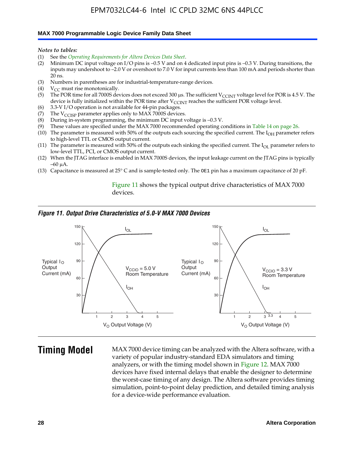#### **MAX 7000 Programmable Logic Device Family Data Sheet**

*Notes to tables:*

- (1) See the *Operating Requirements for Altera Devices Data Sheet*.
- (2) Minimum DC input voltage on I/O pins is –0.5 V and on 4 dedicated input pins is –0.3 V. During transitions, the inputs may undershoot to –2.0 V or overshoot to 7.0 V for input currents less than 100 mA and periods shorter than  $20$  ns.
- (3) Numbers in parentheses are for industrial-temperature-range devices.<br>(4)  $V_{CC}$  must rise monotonically.
- $V_{CC}$  must rise monotonically.
- (5) The POR time for all 7000S devices does not exceed 300 µs. The sufficient V<sub>CCINT</sub> voltage level for POR is 4.5 V. The device is fully initialized within the POR time after  $V_{\text{CCINT}}$  reaches the sufficient POR voltage level.
- (6) 3.3-V I/O operation is not available for 44-pin packages.
- (7) The  $V_{\text{CCISP}}$  parameter applies only to MAX 7000S devices.
- (8) During in-system programming, the minimum DC input voltage is –0.3 V.
- (9) These values are specified under the MAX 7000 recommended operating conditions in Table 14 on page 26.
- (10) The parameter is measured with 50% of the outputs each sourcing the specified current. The  $I_{OH}$  parameter refers to high-level TTL or CMOS output current.
- (11) The parameter is measured with 50% of the outputs each sinking the specified current. The  $I_{OL}$  parameter refers to low-level TTL, PCI, or CMOS output current.
- (12) When the JTAG interface is enabled in MAX 7000S devices, the input leakage current on the JTAG pins is typically –60 μA.
- (13) Capacitance is measured at 25° C and is sample-tested only. The OE1 pin has a maximum capacitance of 20 pF.

Figure 11 shows the typical output drive characteristics of MAX 7000 devices.

#### *Figure 11. Output Drive Characteristics of 5.0-V MAX 7000 Devices*



**Timing Model** MAX 7000 device timing can be analyzed with the Altera software, with a variety of popular industry-standard EDA simulators and timing analyzers, or with the timing model shown in Figure 12. MAX 7000 devices have fixed internal delays that enable the designer to determine the worst-case timing of any design. The Altera software provides timing simulation, point-to-point delay prediction, and detailed timing analysis for a device-wide performance evaluation.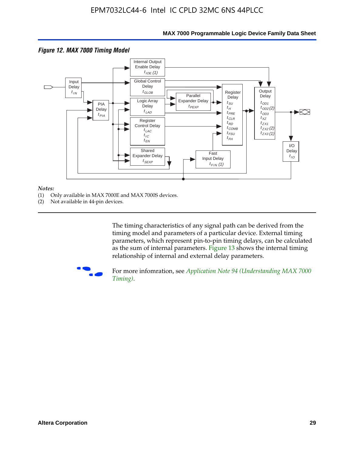

#### **MAX 7000 Programmable Logic Device Family Data Sheet**

#### *Notes:*

- (1) Only available in MAX 7000E and MAX 7000S devices.
- (2) Not available in 44-pin devices.

[The tim](http://www.altera.com/literature/an/an094.pdf)ing characteristics [of any signal path can be derived from the](http://www.altera.com/literature/an/an094.pdf)  timing model and parameters of a particular device. External timing parameters, which represent pin-to-pin timing delays, can be calculated as the sum of internal parameters. Figure 13 shows the internal timing relationship of internal and external delay parameters.



For more infomration, see *Application Note 94 (Understanding MAX 7000 Timing)*.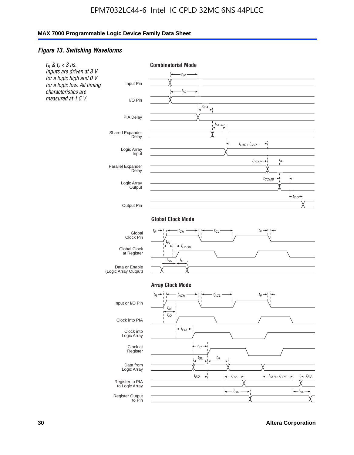#### *Figure 13. Switching Waveforms*

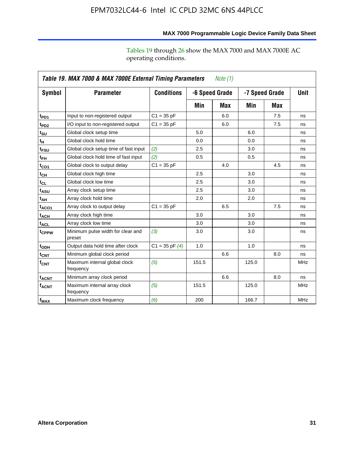operating conditions.

|                         | Table 19. MAX 7000 & MAX 7000E External Timing Parameters<br><i>Note</i> $(1)$ |                    |       |                |                |     |            |  |
|-------------------------|--------------------------------------------------------------------------------|--------------------|-------|----------------|----------------|-----|------------|--|
| Symbol                  | <b>Parameter</b>                                                               | <b>Conditions</b>  |       | -6 Speed Grade | -7 Speed Grade |     | Unit       |  |
|                         |                                                                                |                    | Min   | Max            | Min            | Max |            |  |
| t <sub>PD1</sub>        | Input to non-registered output                                                 | $C1 = 35 pF$       |       | 6.0            |                | 7.5 | ns         |  |
| t <sub>PD2</sub>        | I/O input to non-registered output                                             | $C1 = 35 pF$       |       | 6.0            |                | 7.5 | ns         |  |
| $t_{\text{SU}}$         | Global clock setup time                                                        |                    | 5.0   |                | 6.0            |     | ns         |  |
| tμ                      | Global clock hold time                                                         |                    | 0.0   |                | 0.0            |     | ns         |  |
| t <sub>FSU</sub>        | Global clock setup time of fast input                                          | (2)                | 2.5   |                | 3.0            |     | ns         |  |
| $t_{FH}$                | Global clock hold time of fast input                                           | (2)                | 0.5   |                | 0.5            |     | ns         |  |
| t <sub>CO1</sub>        | Global clock to output delay                                                   | $C1 = 35 pF$       |       | 4.0            |                | 4.5 | ns         |  |
| $t_{\mathsf{CH}}$       | Global clock high time                                                         |                    | 2.5   |                | 3.0            |     | ns         |  |
| $t_{CL}$                | Global clock low time                                                          |                    | 2.5   |                | 3.0            |     | ns         |  |
| t <sub>ASU</sub>        | Array clock setup time                                                         |                    | 2.5   |                | 3.0            |     | ns         |  |
| t <sub>АН</sub>         | Array clock hold time                                                          |                    | 2.0   |                | 2.0            |     | ns         |  |
| $t_{ACO1}$              | Array clock to output delay                                                    | $C1 = 35 pF$       |       | 6.5            |                | 7.5 | ns         |  |
| t <sub>ACH</sub>        | Array clock high time                                                          |                    | 3.0   |                | 3.0            |     | ns         |  |
| <sup>t</sup> acl        | Array clock low time                                                           |                    | 3.0   |                | 3.0            |     | ns         |  |
| t <sub>CPPW</sub>       | Minimum pulse width for clear and<br>preset                                    | (3)                | 3.0   |                | 3.0            |     | ns         |  |
| t <sub>ODH</sub>        | Output data hold time after clock                                              | $C1 = 35$ pF $(4)$ | 1.0   |                | 1.0            |     | ns         |  |
| t <sub>CNT</sub>        | Minimum global clock period                                                    |                    |       | 6.6            |                | 8.0 | ns         |  |
| $f_{\mathsf{CNT}}$      | Maximum internal global clock<br>frequency                                     | (5)                | 151.5 |                | 125.0          |     | <b>MHz</b> |  |
| t <sub>ACNT</sub>       | Minimum array clock period                                                     |                    |       | 6.6            |                | 8.0 | ns         |  |
| <b>f<sub>ACNT</sub></b> | Maximum internal array clock<br>frequency                                      | (5)                | 151.5 |                | 125.0          |     | <b>MHz</b> |  |
| f <sub>MAX</sub>        | Maximum clock frequency                                                        | (6)                | 200   |                | 166.7          |     | <b>MHz</b> |  |

**MAX 7000 Programmable Logic Device Family Data Sheet**

Tables 19 through 26 show the MAX 7000 and MAX 7000E AC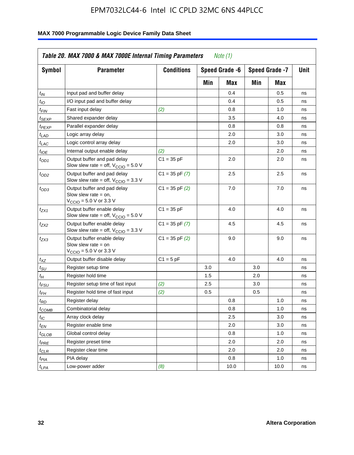| <b>Symbol</b>               | <b>Parameter</b>                                                                                             | <b>Conditions</b>  |     | Speed Grade -6 |     | Speed Grade -7 | Unit |
|-----------------------------|--------------------------------------------------------------------------------------------------------------|--------------------|-----|----------------|-----|----------------|------|
|                             |                                                                                                              |                    | Min | Max            | Min | Max            |      |
| $t_{\mathsf{IN}}$           | Input pad and buffer delay                                                                                   |                    |     | 0.4            |     | 0.5            | ns   |
| tιo                         | I/O input pad and buffer delay                                                                               |                    |     | 0.4            |     | 0.5            | ns   |
| t <sub>FIN</sub>            | Fast input delay                                                                                             | (2)                |     | 0.8            |     | 1.0            | ns   |
| <sup>t</sup> SEXP           | Shared expander delay                                                                                        |                    |     | 3.5            |     | 4.0            | ns   |
| t <sub>PEXP</sub>           | Parallel expander delay                                                                                      |                    |     | 0.8            |     | 0.8            | ns   |
| t <sub>LAD</sub>            | Logic array delay                                                                                            |                    |     | 2.0            |     | 3.0            | ns   |
| $t_{LAC}$                   | Logic control array delay                                                                                    |                    |     | 2.0            |     | 3.0            | ns   |
| t <sub>IOE</sub>            | Internal output enable delay                                                                                 | (2)                |     |                |     | 2.0            | ns   |
| $t_{OD1}$                   | Output buffer and pad delay<br>Slow slew rate = off, $V_{\text{CCIO}} = 5.0 \text{ V}$                       | $C1 = 35 pF$       |     | 2.0            |     | 2.0            | ns   |
| $t_{OD2}$                   | Output buffer and pad delay<br>Slow slew rate = off, $V_{\text{CCIO}} = 3.3$ V                               | $C1 = 35$ pF $(7)$ |     | 2.5            |     | 2.5            | ns   |
| $t_{OD3}$                   | Output buffer and pad delay<br>Slow slew rate $=$ on,<br>$V_{\text{CCIO}} = 5.0 \text{ V or } 3.3 \text{ V}$ | $C1 = 35$ pF $(2)$ |     | 7.0            |     | 7.0            | ns   |
| tzx1                        | Output buffer enable delay<br>Slow slew rate = off, $V_{\text{CCIO}} = 5.0 V$                                | $C1 = 35 pF$       |     | 4.0            |     | 4.0            | ns   |
| t <sub>ZX2</sub>            | Output buffer enable delay<br>Slow slew rate = off, $V_{\text{CCIO}} = 3.3 \text{ V}$                        | $C1 = 35$ pF $(7)$ |     | 4.5            |     | 4.5            | ns   |
| tzx3                        | Output buffer enable delay<br>Slow slew rate $=$ on<br>$V_{\text{CCIO}} = 5.0 \text{ V or } 3.3 \text{ V}$   | $C1 = 35$ pF $(2)$ |     | 9.0            |     | 9.0            | ns   |
| $t_{\mathsf{XZ}}$           | Output buffer disable delay                                                                                  | $C1 = 5pF$         |     | 4.0            |     | 4.0            | ns   |
| $t_{\scriptstyle\text{SU}}$ | Register setup time                                                                                          |                    | 3.0 |                | 3.0 |                | ns   |
| $t_H$                       | Register hold time                                                                                           |                    | 1.5 |                | 2.0 |                | ns   |
| t <sub>FSU</sub>            | Register setup time of fast input                                                                            | (2)                | 2.5 |                | 3.0 |                | ns   |
| t <sub>FH</sub>             | Register hold time of fast input                                                                             | (2)                | 0.5 |                | 0.5 |                | ns   |
| t <sub>RD</sub>             | Register delay                                                                                               |                    |     | 0.8            |     | 1.0            | ns   |
| $t_{\mathsf{COMB}}$         | Combinatorial delay                                                                                          |                    |     | 0.8            |     | 1.0            | ns   |
| $t_{IC}$                    | Array clock delay                                                                                            |                    |     | 2.5            |     | 3.0            | ns   |
| t <sub>EN</sub>             | Register enable time                                                                                         |                    |     | 2.0            |     | 3.0            | ns   |
| t <sub>GLOB</sub>           | Global control delay                                                                                         |                    |     | 0.8            |     | 1.0            | ns   |
| $t_{PRE}$                   | Register preset time                                                                                         |                    |     | 2.0            |     | 2.0            | ns   |
| $t_{\sf CLR}$               | Register clear time                                                                                          |                    |     | 2.0            |     | 2.0            | ns   |
| t <sub>PIA</sub>            | PIA delay                                                                                                    |                    |     | 0.8            |     | 1.0            | ns   |
| $t_{LPA}$                   | Low-power adder                                                                                              | (8)                |     | 10.0           |     | 10.0           | ns   |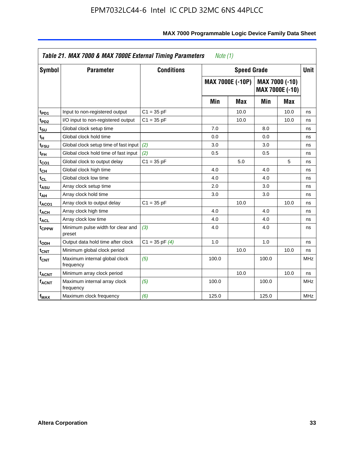| Symbol                  | <b>Parameter</b>                            | <b>Conditions</b>  |       | <b>Speed Grade</b>      |       |                                          | <b>Unit</b> |
|-------------------------|---------------------------------------------|--------------------|-------|-------------------------|-------|------------------------------------------|-------------|
|                         |                                             |                    |       | <b>MAX 7000E (-10P)</b> |       | MAX 7000 (-10)<br><b>MAX 7000E (-10)</b> |             |
|                         |                                             |                    | Min   | Max                     | Min   | Max                                      |             |
| t <sub>PD1</sub>        | Input to non-registered output              | $C1 = 35 pF$       |       | 10.0                    |       | 10.0                                     | ns          |
| t <sub>PD2</sub>        | I/O input to non-registered output          | $C1 = 35 pF$       |       | 10.0                    |       | 10.0                                     | ns          |
| t <sub>su</sub>         | Global clock setup time                     |                    | 7.0   |                         | 8.0   |                                          | ns          |
| tμ                      | Global clock hold time                      |                    | 0.0   |                         | 0.0   |                                          | ns          |
| t <sub>FSU</sub>        | Global clock setup time of fast input (2)   |                    | 3.0   |                         | 3.0   |                                          | ns          |
| t <sub>FH</sub>         | Global clock hold time of fast input        | (2)                | 0.5   |                         | 0.5   |                                          | ns          |
| t <sub>CO1</sub>        | Global clock to output delay                | $C1 = 35 pF$       |       | 5.0                     |       | 5                                        | ns          |
| $t_{\mathsf{CH}}$       | Global clock high time                      |                    | 4.0   |                         | 4.0   |                                          | ns          |
| t <sub>CL</sub>         | Global clock low time                       |                    | 4.0   |                         | 4.0   |                                          | ns          |
| t <sub>ASU</sub>        | Array clock setup time                      |                    | 2.0   |                         | 3.0   |                                          | ns          |
| t <sub>АН</sub>         | Array clock hold time                       |                    | 3.0   |                         | 3.0   |                                          | ns          |
| t <sub>ACO1</sub>       | Array clock to output delay                 | $C1 = 35 pF$       |       | 10.0                    |       | 10.0                                     | ns          |
| t <sub>ACH</sub>        | Array clock high time                       |                    | 4.0   |                         | 4.0   |                                          | ns          |
| $t_{\sf ACL}$           | Array clock low time                        |                    | 4.0   |                         | 4.0   |                                          | ns          |
| t <sub>CPPW</sub>       | Minimum pulse width for clear and<br>preset | (3)                | 4.0   |                         | 4.0   |                                          | ns          |
| t <sub>ODH</sub>        | Output data hold time after clock           | $C1 = 35$ pF $(4)$ | 1.0   |                         | 1.0   |                                          | ns          |
| $t_{\mathsf{CNT}}$      | Minimum global clock period                 |                    |       | 10.0                    |       | 10.0                                     | ns          |
| $f_{\mathsf{CNT}}$      | Maximum internal global clock<br>frequency  | (5)                | 100.0 |                         | 100.0 |                                          | <b>MHz</b>  |
| <b>t<sub>ACNT</sub></b> | Minimum array clock period                  |                    |       | 10.0                    |       | 10.0                                     | ns          |
| f <sub>ACNT</sub>       | Maximum internal array clock<br>frequency   | (5)                | 100.0 |                         | 100.0 |                                          | <b>MHz</b>  |
| f <sub>MAX</sub>        | Maximum clock frequency                     | (6)                | 125.0 |                         | 125.0 |                                          | <b>MHz</b>  |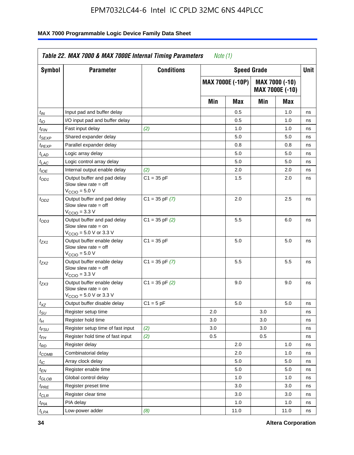| <b>Symbol</b>      | <b>Parameter</b>                                                                                            | <b>Conditions</b>  |     | <b>Speed Grade</b>      |     |                                   | Unit |
|--------------------|-------------------------------------------------------------------------------------------------------------|--------------------|-----|-------------------------|-----|-----------------------------------|------|
|                    |                                                                                                             |                    |     | <b>MAX 7000E (-10P)</b> |     | MAX 7000 (-10)<br>MAX 7000E (-10) |      |
|                    |                                                                                                             |                    | Min | Max                     | Min | Max                               |      |
| $t_{IN}$           | Input pad and buffer delay                                                                                  |                    |     | 0.5                     |     | 1.0                               | ns   |
| $t_{IO}$           | I/O input pad and buffer delay                                                                              |                    |     | 0.5                     |     | 1.0                               | ns   |
| t <sub>FIN</sub>   | Fast input delay                                                                                            | (2)                |     | 1.0                     |     | 1.0                               | ns   |
| <sup>t</sup> SEXP  | Shared expander delay                                                                                       |                    |     | 5.0                     |     | 5.0                               | ns   |
| t <sub>PEXP</sub>  | Parallel expander delay                                                                                     |                    |     | 0.8                     |     | 0.8                               | ns   |
| t <sub>LAD</sub>   | Logic array delay                                                                                           |                    |     | 5.0                     |     | 5.0                               | ns   |
| $t_{LAC}$          | Logic control array delay                                                                                   |                    |     | 5.0                     |     | 5.0                               | ns   |
| $t_{\mathit{IOE}}$ | Internal output enable delay                                                                                | (2)                |     | 2.0                     |     | 2.0                               | ns   |
| $t_{OD1}$          | Output buffer and pad delay<br>Slow slew rate $=$ off<br>$V_{\text{CCIO}} = 5.0 V$                          | $C1 = 35 pF$       |     | 1.5                     |     | 2.0                               | ns   |
| $t_{OD2}$          | Output buffer and pad delay<br>Slow slew rate $=$ off<br>$VCCIO = 3.3 V$                                    | $C1 = 35$ pF $(7)$ |     | 2.0                     |     | 2.5                               | ns   |
| $t_{OD3}$          | Output buffer and pad delay<br>Slow slew rate $=$ on<br>$V_{\text{CCIO}} = 5.0 \text{ V or } 3.3 \text{ V}$ | $C1 = 35$ pF $(2)$ |     | 5.5                     |     | 6.0                               | ns   |
| tzx1               | Output buffer enable delay<br>Slow slew rate $=$ off<br>$V_{\text{CCIO}} = 5.0 V$                           | $C1 = 35 pF$       |     | 5.0                     |     | 5.0                               | ns   |
| t <sub>ZX2</sub>   | Output buffer enable delay<br>Slow slew rate $=$ off<br>$V_{\text{CCIO}} = 3.3 \text{ V}$                   | $C1 = 35$ pF $(7)$ |     | 5.5                     |     | 5.5                               | ns   |
| t <sub>ZX3</sub>   | Output buffer enable delay<br>Slow slew rate $=$ on<br>$V_{\text{CCIO}} = 5.0 \text{ V or } 3.3 \text{ V}$  | $C1 = 35$ pF $(2)$ |     | 9.0                     |     | 9.0                               | ns   |
| $t_{\mathsf{XZ}}$  | Output buffer disable delay                                                                                 | $C1 = 5$ pF        |     | 5.0                     |     | 5.0                               | ns   |
| $t_{\sf SU}$       | Register setup time                                                                                         |                    | 2.0 |                         | 3.0 |                                   | ns   |
| $t_H$              | Register hold time                                                                                          |                    | 3.0 |                         | 3.0 |                                   | ns   |
| t <sub>FSU</sub>   | Register setup time of fast input                                                                           | (2)                | 3.0 |                         | 3.0 |                                   | ns   |
| t <sub>FH</sub>    | Register hold time of fast input                                                                            | (2)                | 0.5 |                         | 0.5 |                                   | ns   |
| $t_{RD}$           | Register delay                                                                                              |                    |     | 2.0                     |     | 1.0                               | ns   |
| $t_{COMB}$         | Combinatorial delay                                                                                         |                    |     | 2.0                     |     | 1.0                               | ns   |
| $t_{\mathcal{IC}}$ | Array clock delay                                                                                           |                    |     | 5.0                     |     | 5.0                               | ns   |
| $t_{EN}$           | Register enable time                                                                                        |                    |     | 5.0                     |     | 5.0                               | ns   |
| t <sub>GLOB</sub>  | Global control delay                                                                                        |                    |     | 1.0                     |     | 1.0                               | ns   |
| $t_{PRE}$          | Register preset time                                                                                        |                    |     | 3.0                     |     | 3.0                               | ns   |
| $t_{\sf CLR}$      | Register clear time                                                                                         |                    |     | 3.0                     |     | 3.0                               | ns   |
| $t_{PIA}$          | PIA delay                                                                                                   |                    |     | 1.0                     |     | 1.0                               | ns   |
| $t_{LPA}$          | Low-power adder                                                                                             | (8)                |     | 11.0                    |     | 11.0                              | ns   |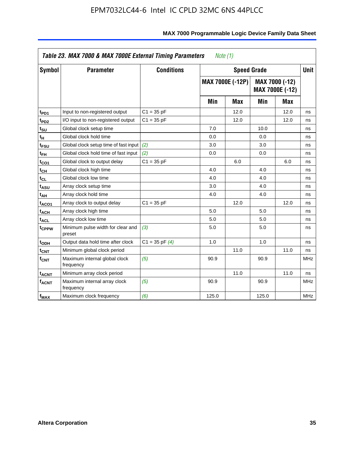|                         | Table 23. MAX 7000 & MAX 7000E External Timing Parameters |                    | Note (1) |                         |       |                                   |             |
|-------------------------|-----------------------------------------------------------|--------------------|----------|-------------------------|-------|-----------------------------------|-------------|
| <b>Symbol</b>           | <b>Parameter</b>                                          | <b>Conditions</b>  |          | <b>Speed Grade</b>      |       |                                   | <b>Unit</b> |
|                         |                                                           |                    |          | <b>MAX 7000E (-12P)</b> |       | MAX 7000 (-12)<br>MAX 7000E (-12) |             |
|                         |                                                           |                    | Min      | Max                     | Min   | Max                               |             |
| t <sub>PD1</sub>        | Input to non-registered output                            | $C1 = 35 pF$       |          | 12.0                    |       | 12.0                              | ns          |
| t <sub>PD2</sub>        | I/O input to non-registered output                        | $C1 = 35 pF$       |          | 12.0                    |       | 12.0                              | ns          |
| t <sub>su</sub>         | Global clock setup time                                   |                    | 7.0      |                         | 10.0  |                                   | ns          |
| tμ                      | Global clock hold time                                    |                    | 0.0      |                         | 0.0   |                                   | ns          |
| t <sub>FSU</sub>        | Global clock setup time of fast input                     | (2)                | 3.0      |                         | 3.0   |                                   | ns          |
| $t_{FH}$                | Global clock hold time of fast input                      | (2)                | 0.0      |                         | 0.0   |                                   | ns          |
| t <sub>CO1</sub>        | Global clock to output delay                              | $C1 = 35 pF$       |          | 6.0                     |       | 6.0                               | ns          |
| $t_{\mathsf{CH}}$       | Global clock high time                                    |                    | 4.0      |                         | 4.0   |                                   | ns          |
| $t_{CL}$                | Global clock low time                                     |                    | 4.0      |                         | 4.0   |                                   | ns          |
| t <sub>ASU</sub>        | Array clock setup time                                    |                    | 3.0      |                         | 4.0   |                                   | ns          |
| t <sub>АН</sub>         | Array clock hold time                                     |                    | 4.0      |                         | 4.0   |                                   | ns          |
| t <sub>ACO1</sub>       | Array clock to output delay                               | $C1 = 35 pF$       |          | 12.0                    |       | 12.0                              | ns          |
| t <sub>ACH</sub>        | Array clock high time                                     |                    | 5.0      |                         | 5.0   |                                   | ns          |
| t <sub>ACL</sub>        | Array clock low time                                      |                    | 5.0      |                         | 5.0   |                                   | ns          |
| t <sub>CPPW</sub>       | Minimum pulse width for clear and<br>preset               | (3)                | 5.0      |                         | 5.0   |                                   | ns          |
| t <sub>ODH</sub>        | Output data hold time after clock                         | $C1 = 35$ pF $(4)$ | 1.0      |                         | 1.0   |                                   | ns          |
| $t_{\mathsf{CNT}}$      | Minimum global clock period                               |                    |          | 11.0                    |       | 11.0                              | ns          |
| $f_{\mathsf{CNT}}$      | Maximum internal global clock<br>frequency                | (5)                | 90.9     |                         | 90.9  |                                   | <b>MHz</b>  |
| <b>t<sub>ACNT</sub></b> | Minimum array clock period                                |                    |          | 11.0                    |       | 11.0                              | ns          |
| $f_{ACNT}$              | Maximum internal array clock<br>frequency                 | (5)                | 90.9     |                         | 90.9  |                                   | <b>MHz</b>  |
| f <sub>MAX</sub>        | Maximum clock frequency                                   | (6)                | 125.0    |                         | 125.0 |                                   | <b>MHz</b>  |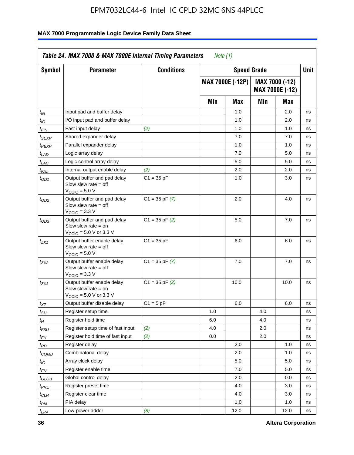| Symbol                      | <b>Parameter</b>                                                                                            | <b>Conditions</b>  |     | <b>Speed Grade</b>      |     |                                   | Unit |
|-----------------------------|-------------------------------------------------------------------------------------------------------------|--------------------|-----|-------------------------|-----|-----------------------------------|------|
|                             |                                                                                                             |                    |     | <b>MAX 7000E (-12P)</b> |     | MAX 7000 (-12)<br>MAX 7000E (-12) |      |
|                             |                                                                                                             |                    | Min | Max                     | Min | Max                               |      |
| t <sub>IN</sub>             | Input pad and buffer delay                                                                                  |                    |     | 1.0                     |     | 2.0                               | ns   |
| $t_{IO}$                    | I/O input pad and buffer delay                                                                              |                    |     | 1.0                     |     | 2.0                               | ns   |
| $t_{\sf FIN}$               | Fast input delay                                                                                            | (2)                |     | 1.0                     |     | 1.0                               | ns   |
| $t_{SEXP}$                  | Shared expander delay                                                                                       |                    |     | 7.0                     |     | 7.0                               | ns   |
| t <sub>PEXP</sub>           | Parallel expander delay                                                                                     |                    |     | 1.0                     |     | 1.0                               | ns   |
| $t_{LAD}$                   | Logic array delay                                                                                           |                    |     | 7.0                     |     | 5.0                               | ns   |
| $t_{LAC}$                   | Logic control array delay                                                                                   |                    |     | 5.0                     |     | 5.0                               | ns   |
| $t_{\mathit{IOE}}$          | Internal output enable delay                                                                                | (2)                |     | 2.0                     |     | 2.0                               | ns   |
| $t_{OD1}$                   | Output buffer and pad delay<br>Slow slew rate $=$ off<br>$V_{\text{CCIO}} = 5.0 V$                          | $C1 = 35 pF$       |     | 1.0                     |     | 3.0                               | ns   |
| $t_{OD2}$                   | Output buffer and pad delay<br>Slow slew rate $=$ off<br>$V_{\text{CCIO}} = 3.3 \text{ V}$                  | $C1 = 35$ pF $(7)$ |     | 2.0                     |     | 4.0                               | ns   |
| $t_{OD3}$                   | Output buffer and pad delay<br>Slow slew rate $=$ on<br>$V_{\text{CCIO}} = 5.0 \text{ V or } 3.3 \text{ V}$ | $C1 = 35$ pF $(2)$ |     | 5.0                     |     | 7.0                               | ns   |
| $t_{ZX1}$                   | Output buffer enable delay<br>Slow slew rate $=$ off<br>$VCCIO = 5.0 V$                                     | $C1 = 35 pF$       |     | 6.0                     |     | 6.0                               | ns   |
| tzx2                        | Output buffer enable delay<br>Slow slew rate $=$ off<br>$VCCIO = 3.3 V$                                     | $C1 = 35$ pF $(7)$ |     | 7.0                     |     | 7.0                               | ns   |
| $t_{ZX3}$                   | Output buffer enable delay<br>Slow slew rate $=$ on<br>$V_{\text{CCIO}} = 5.0 \text{ V or } 3.3 \text{ V}$  | $C1 = 35$ pF $(2)$ |     | 10.0                    |     | 10.0                              | ns   |
| $t_{XZ}$                    | Output buffer disable delay                                                                                 | $C1 = 5$ pF        |     | 6.0                     |     | 6.0                               | ns   |
| $t_{\scriptstyle\text{SU}}$ | Register setup time                                                                                         |                    | 1.0 |                         | 4.0 |                                   | ns   |
| $t_H$                       | Register hold time                                                                                          |                    | 6.0 |                         | 4.0 |                                   | ns   |
| $t_{FSU}$                   | Register setup time of fast input                                                                           | (2)                | 4.0 |                         | 2.0 |                                   | ns   |
| t <sub>FH</sub>             | Register hold time of fast input                                                                            | (2)                | 0.0 |                         | 2.0 |                                   | ns   |
| $t_{RD}$                    | Register delay                                                                                              |                    |     | 2.0                     |     | 1.0                               | ns   |
| $t_{COMB}$                  | Combinatorial delay                                                                                         |                    |     | 2.0                     |     | 1.0                               | ns   |
| ЧC                          | Array clock delay                                                                                           |                    |     | $5.0\,$                 |     | 5.0                               | ns   |
| $t_{EN}$                    | Register enable time                                                                                        |                    |     | 7.0                     |     | 5.0                               | ns   |
| $t_{\text{GLOB}}$           | Global control delay                                                                                        |                    |     | 2.0                     |     | 0.0                               | ns   |
| t <sub>PRE</sub>            | Register preset time                                                                                        |                    |     | 4.0                     |     | 3.0                               | ns   |
| $t_{CLR}$                   | Register clear time                                                                                         |                    |     | 4.0                     |     | 3.0                               | ns   |
| $t_{PIA}$                   | PIA delay                                                                                                   |                    |     | 1.0                     |     | 1.0                               | ns   |
| $t_{LPA}$                   | Low-power adder                                                                                             | (8)                |     | 12.0                    |     | 12.0                              | ns   |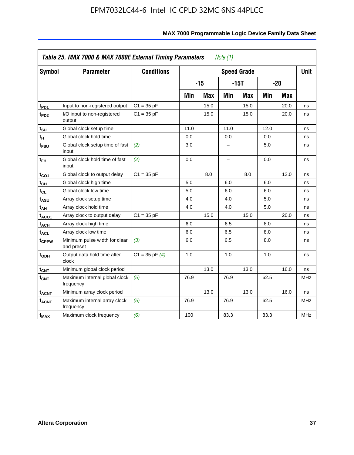| <b>Symbol</b>           | <b>Parameter</b>                            | <b>Conditions</b>  |      |            |                          | <b>Speed Grade</b> |      |            | <b>Unit</b> |
|-------------------------|---------------------------------------------|--------------------|------|------------|--------------------------|--------------------|------|------------|-------------|
|                         |                                             |                    |      | $-15$      |                          | $-15T$             |      | $-20$      |             |
|                         |                                             |                    | Min  | <b>Max</b> | Min                      | <b>Max</b>         | Min  | <b>Max</b> |             |
| t <sub>PD1</sub>        | Input to non-registered output              | $C1 = 35 pF$       |      | 15.0       |                          | 15.0               |      | 20.0       | ns          |
| t <sub>PD2</sub>        | I/O input to non-registered<br>output       | $C1 = 35 pF$       |      | 15.0       |                          | 15.0               |      | 20.0       | ns          |
| tsu                     | Global clock setup time                     |                    | 11.0 |            | 11.0                     |                    | 12.0 |            | ns          |
| $t_H$                   | Global clock hold time                      |                    | 0.0  |            | 0.0                      |                    | 0.0  |            | ns          |
| t <sub>FSU</sub>        | Global clock setup time of fast<br>input    | (2)                | 3.0  |            |                          |                    | 5.0  |            | ns          |
| $t_{FH}$                | Global clock hold time of fast<br>input     | (2)                | 0.0  |            | $\overline{\phantom{0}}$ |                    | 0.0  |            | ns          |
| $t_{CO1}$               | Global clock to output delay                | $C1 = 35 pF$       |      | 8.0        |                          | 8.0                |      | 12.0       | ns          |
| $t_{\mathsf{CH}}$       | Global clock high time                      |                    | 5.0  |            | 6.0                      |                    | 6.0  |            | ns          |
| t <sub>CL</sub>         | Global clock low time                       |                    | 5.0  |            | 6.0                      |                    | 6.0  |            | ns          |
| t <sub>ASU</sub>        | Array clock setup time                      |                    | 4.0  |            | 4.0                      |                    | 5.0  |            | ns          |
| t <sub>АН</sub>         | Array clock hold time                       |                    | 4.0  |            | 4.0                      |                    | 5.0  |            | ns          |
| t <sub>ACO1</sub>       | Array clock to output delay                 | $C1 = 35 pF$       |      | 15.0       |                          | 15.0               |      | 20.0       | ns          |
| $t_{\sf ACH}$           | Array clock high time                       |                    | 6.0  |            | 6.5                      |                    | 8.0  |            | ns          |
| t <sub>ACL</sub>        | Array clock low time                        |                    | 6.0  |            | 6.5                      |                    | 8.0  |            | ns          |
| t <sub>CPPW</sub>       | Minimum pulse width for clear<br>and preset | (3)                | 6.0  |            | 6.5                      |                    | 8.0  |            | ns          |
| $t_{ODH}$               | Output data hold time after<br>clock        | $C1 = 35$ pF $(4)$ | 1.0  |            | 1.0                      |                    | 1.0  |            | ns          |
| $t_{\mathsf{CNT}}$      | Minimum global clock period                 |                    |      | 13.0       |                          | 13.0               |      | 16.0       | ns          |
| f <sub>CNT</sub>        | Maximum internal global clock<br>frequency  | (5)                | 76.9 |            | 76.9                     |                    | 62.5 |            | <b>MHz</b>  |
| <b>t<sub>ACNT</sub></b> | Minimum array clock period                  |                    |      | 13.0       |                          | 13.0               |      | 16.0       | ns          |
| <b>fACNT</b>            | Maximum internal array clock<br>frequency   | (5)                | 76.9 |            | 76.9                     |                    | 62.5 |            | <b>MHz</b>  |
| $f_{MAX}$               | Maximum clock frequency                     | (6)                | 100  |            | 83.3                     |                    | 83.3 |            | <b>MHz</b>  |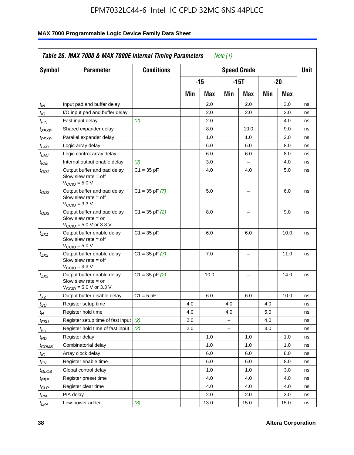| <b>Symbol</b>                 | <b>Parameter</b>                                                                                            | <b>Conditions</b>  |     |       |                          | <b>Speed Grade</b> |     |      | <b>Unit</b> |
|-------------------------------|-------------------------------------------------------------------------------------------------------------|--------------------|-----|-------|--------------------------|--------------------|-----|------|-------------|
|                               |                                                                                                             |                    |     | $-15$ |                          | $-15T$             |     | -20  |             |
|                               |                                                                                                             |                    | Min | Max   | Min                      | Max                | Min | Max  |             |
| $t_{IN}$                      | Input pad and buffer delay                                                                                  |                    |     | 2.0   |                          | 2.0                |     | 3.0  | ns          |
| $t_{IO}$                      | I/O input pad and buffer delay                                                                              |                    |     | 2.0   |                          | 2.0                |     | 3.0  | ns          |
| $t_{\textit{FIN}}$            | Fast input delay                                                                                            | (2)                |     | 2.0   |                          | $\equiv$           |     | 4.0  | ns          |
| $t_{SEXP}$                    | Shared expander delay                                                                                       |                    |     | 8.0   |                          | 10.0               |     | 9.0  | ns          |
| t <sub>PEXP</sub>             | Parallel expander delay                                                                                     |                    |     | 1.0   |                          | 1.0                |     | 2.0  | ns          |
| t <sub>LAD</sub>              | Logic array delay                                                                                           |                    |     | 6.0   |                          | 6.0                |     | 8.0  | ns          |
| $t_{LAC}$                     | Logic control array delay                                                                                   |                    |     | 6.0   |                          | 6.0                |     | 8.0  | ns          |
| $t_{IOE}$                     | Internal output enable delay                                                                                | (2)                |     | 3.0   |                          | $\overline{a}$     |     | 4.0  | ns          |
| $t_{OD1}$                     | Output buffer and pad delay<br>Slow slew rate $=$ off<br>$V_{\text{CCIO}} = 5.0 V$                          | $C1 = 35 pF$       |     | 4.0   |                          | 4.0                |     | 5.0  | ns          |
| $t_{OD2}$                     | Output buffer and pad delay<br>Slow slew rate $=$ off<br>$V_{\text{CCIO}} = 3.3 \text{ V}$                  | $C1 = 35 pF(7)$    |     | 5.0   |                          | L,                 |     | 6.0  | ns          |
| $t_{OD3}$                     | Output buffer and pad delay<br>Slow slew rate $=$ on<br>$V_{\text{CCIO}} = 5.0 \text{ V or } 3.3 \text{ V}$ | $C1 = 35$ pF $(2)$ |     | 8.0   |                          |                    |     | 9.0  | ns          |
| $t_{ZX1}$                     | Output buffer enable delay<br>Slow slew rate $=$ off<br>$V_{\text{CCIO}} = 5.0 V$                           | $C1 = 35 pF$       |     | 6.0   |                          | 6.0                |     | 10.0 | ns          |
| t <sub>ZX2</sub>              | Output buffer enable delay<br>Slow slew rate $=$ off<br>$V_{\text{CCIO}} = 3.3 \text{ V}$                   | $C1 = 35 pF(7)$    |     | 7.0   |                          | L,                 |     | 11.0 | ns          |
| t <sub>ZX3</sub>              | Output buffer enable delay<br>Slow slew rate $=$ on<br>$V_{\text{CCIO}} = 5.0 \text{ V or } 3.3 \text{ V}$  | $C1 = 35$ pF $(2)$ |     | 10.0  |                          |                    |     | 14.0 | ns          |
| $t_{\mathsf{XZ}}$             | Output buffer disable delay                                                                                 | $C1 = 5 pF$        |     | 6.0   |                          | 6.0                |     | 10.0 | ns          |
| $t_{\scriptstyle\text{SU}}$   | Register setup time                                                                                         |                    | 4.0 |       | 4.0                      |                    | 4.0 |      | ns          |
| tμ                            | Register hold time                                                                                          |                    | 4.0 |       | 4.0                      |                    | 5.0 |      | ns          |
| t <sub>FSU</sub>              | Register setup time of fast input                                                                           | (2)                | 2.0 |       | $\overline{\phantom{0}}$ |                    | 4.0 |      | ns          |
| t <sub>FH</sub>               | Register hold time of fast input                                                                            | (2)                | 2.0 |       | $\overline{\phantom{0}}$ |                    | 3.0 |      | ns          |
| $t_{RD}$                      | Register delay                                                                                              |                    |     | 1.0   |                          | 1.0                |     | 1.0  | ns          |
| $t_{COMB}$                    | Combinatorial delay                                                                                         |                    |     | 1.0   |                          | 1.0                |     | 1.0  | ns          |
| $t_{IC}$                      | Array clock delay                                                                                           |                    |     | 6.0   |                          | 6.0                |     | 8.0  | ns          |
| $t_{EN}$                      | Register enable time                                                                                        |                    |     | 6.0   |                          | 6.0                |     | 8.0  | ns          |
| $t_{\scriptstyle\text{GLOB}}$ | Global control delay                                                                                        |                    |     | 1.0   |                          | 1.0                |     | 3.0  | ns          |
| $t_{PRE}$                     | Register preset time                                                                                        |                    |     | 4.0   |                          | 4.0                |     | 4.0  | ns          |
| $t_{\sf CLR}$                 | Register clear time                                                                                         |                    |     | 4.0   |                          | 4.0                |     | 4.0  | ns          |
| $t_{PIA}$                     | PIA delay                                                                                                   |                    |     | 2.0   |                          | 2.0                |     | 3.0  | ns          |
| $t_{LPA}$                     | Low-power adder                                                                                             | (8)                |     | 13.0  |                          | 15.0               |     | 15.0 | ns          |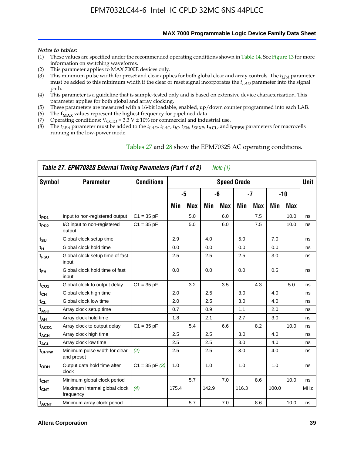**MAX 7000 Programmable Logic Device Family Data Sheet**

#### *Notes to tables:*

- (1) These values are specified under the recommended operating conditions shown in Table 14. See Figure 13 for more information on switching waveforms.
- (2) This parameter applies to MAX 7000E devices only.
- (3) This minimum pulse width for preset and clear applies for both global clear and array controls. The *tLPA* parameter must be added to this minimum width if the clear or reset signal incorporates the *tLAD* parameter into the signal path.
- (4) This parameter is a guideline that is sample-tested only and is based on extensive device characterization. This parameter applies for both global and array clocking.
- (5) These parameters are measured with a 16-bit loadable, enabled, up/down counter programmed into each LAB.
- (6) The  $f_{MAX}$  values represent the highest frequency for pipelined data.
- (7) Operating conditions:  $V_{\text{CCIO}} = 3.3 \text{ V} \pm 10\%$  for commercial and industrial use.
- (8) The  $t_{LPA}$  parameter must be added to the  $t_{LAD}$ ,  $t_{LAC}$ ,  $t_{IC}$ ,  $t_{EN}$ ,  $t_{SEXP}$ ,  $t_{ACL}$ , and  $t_{CPPW}$  parameters for macrocells running in the low-power mode.

|                    | Table 27. EPM7032S External Timing Parameters (Part 1 of 2) |                   |       |            |       | Note (1) |                    |            |       |       |             |
|--------------------|-------------------------------------------------------------|-------------------|-------|------------|-------|----------|--------------------|------------|-------|-------|-------------|
| Symbol             | <b>Parameter</b>                                            | <b>Conditions</b> |       |            |       |          | <b>Speed Grade</b> |            |       |       | <b>Unit</b> |
|                    |                                                             |                   |       | -5         |       | -6       |                    | -7         |       | $-10$ |             |
|                    |                                                             |                   | Min   | <b>Max</b> | Min   | Max      | Min                | <b>Max</b> | Min   | Max   |             |
| t <sub>PD1</sub>   | Input to non-registered output                              | $C1 = 35 pF$      |       | 5.0        |       | 6.0      |                    | 7.5        |       | 10.0  | ns          |
| $t_{PD2}$          | I/O input to non-registered<br>output                       | $C1 = 35 pF$      |       | 5.0        |       | 6.0      |                    | 7.5        |       | 10.0  | ns          |
| tsu                | Global clock setup time                                     |                   | 2.9   |            | 4.0   |          | 5.0                |            | 7.0   |       | ns          |
| $t_H$              | Global clock hold time                                      |                   | 0.0   |            | 0.0   |          | 0.0                |            | 0.0   |       | ns          |
| t <sub>FSU</sub>   | Global clock setup time of fast<br>input                    |                   | 2.5   |            | 2.5   |          | 2.5                |            | 3.0   |       | ns          |
| $t_{FH}$           | Global clock hold time of fast<br>input                     |                   | 0.0   |            | 0.0   |          | 0.0                |            | 0.5   |       | ns          |
| t <sub>CO1</sub>   | Global clock to output delay                                | $C1 = 35 pF$      |       | 3.2        |       | 3.5      |                    | 4.3        |       | 5.0   | ns          |
| $t_{CH}$           | Global clock high time                                      |                   | 2.0   |            | 2.5   |          | 3.0                |            | 4.0   |       | ns          |
| $t_{CL}$           | Global clock low time                                       |                   | 2.0   |            | 2.5   |          | 3.0                |            | 4.0   |       | ns          |
| t <sub>ASU</sub>   | Array clock setup time                                      |                   | 0.7   |            | 0.9   |          | 1.1                |            | 2.0   |       | ns          |
| t <sub>АН</sub>    | Array clock hold time                                       |                   | 1.8   |            | 2.1   |          | 2.7                |            | 3.0   |       | ns          |
| t <sub>ACO1</sub>  | Array clock to output delay                                 | $C1 = 35 pF$      |       | 5.4        |       | 6.6      |                    | 8.2        |       | 10.0  | ns          |
| t <sub>ACH</sub>   | Array clock high time                                       |                   | 2.5   |            | 2.5   |          | 3.0                |            | 4.0   |       | ns          |
| $t_{\sf ACL}$      | Array clock low time                                        |                   | 2.5   |            | 2.5   |          | 3.0                |            | 4.0   |       | ns          |
| tcppw              | Minimum pulse width for clear<br>and preset                 | (2)               | 2.5   |            | 2.5   |          | 3.0                |            | 4.0   |       | ns          |
| $t_{ODH}$          | Output data hold time after<br>clock                        | $C1 = 35 pF(3)$   | 1.0   |            | 1.0   |          | 1.0                |            | 1.0   |       | ns          |
| $t_{\mathsf{CNT}}$ | Minimum global clock period                                 |                   |       | 5.7        |       | 7.0      |                    | 8.6        |       | 10.0  | ns          |
| $f_{\mathsf{CNT}}$ | Maximum internal global clock<br>frequency                  | (4)               | 175.4 |            | 142.9 |          | 116.3              |            | 100.0 |       | MHz         |
| t <sub>ACNT</sub>  | Minimum array clock period                                  |                   |       | 5.7        |       | 7.0      |                    | 8.6        |       | 10.0  | ns          |

#### Tables 27 and 28 show the EPM7032S AC operating conditions.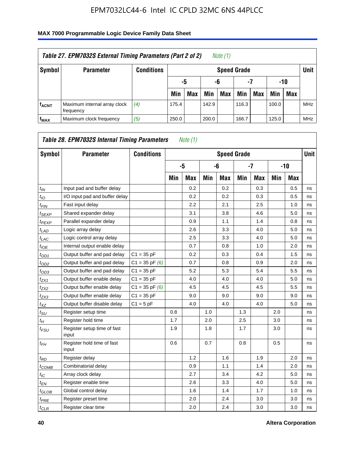| Table 27. EPM7032S External Timing Parameters (Part 2 of 2)<br>Note (1) |                                           |                   |       |                       |       |                    |       |     |       |            |            |  |  |
|-------------------------------------------------------------------------|-------------------------------------------|-------------------|-------|-----------------------|-------|--------------------|-------|-----|-------|------------|------------|--|--|
| Symbol                                                                  | <b>Parameter</b>                          | <b>Conditions</b> |       |                       |       | <b>Speed Grade</b> |       |     |       |            | Unit       |  |  |
|                                                                         |                                           |                   |       | -7<br>-10<br>-6<br>-5 |       |                    |       |     |       |            |            |  |  |
|                                                                         |                                           |                   | Min   | <b>Max</b>            | Min   | <b>Max</b>         | Min   | Max | Min   | <b>Max</b> |            |  |  |
| <b>fACNT</b>                                                            | Maximum internal array clock<br>frequency | (4)               | 175.4 |                       | 142.9 |                    | 116.3 |     | 100.0 |            | <b>MHz</b> |  |  |
| f <sub>MAX</sub>                                                        | Maximum clock frequency                   | (5)               | 250.0 |                       | 200.0 |                    | 166.7 |     | 125.0 |            | <b>MHz</b> |  |  |

| Symbol                        | <b>Parameter</b>                     | <b>Conditions</b>  |     |            |     | <b>Speed Grade</b> |     |            |     |            | <b>Unit</b> |
|-------------------------------|--------------------------------------|--------------------|-----|------------|-----|--------------------|-----|------------|-----|------------|-------------|
|                               |                                      |                    |     | -5         |     | -6                 |     | $-7$       |     | $-10$      |             |
|                               |                                      |                    | Min | <b>Max</b> | Min | <b>Max</b>         | Min | <b>Max</b> | Min | <b>Max</b> |             |
| $t_{IN}$                      | Input pad and buffer delay           |                    |     | 0.2        |     | 0.2                |     | 0.3        |     | 0.5        | ns          |
| $t_{IO}$                      | I/O input pad and buffer delay       |                    |     | 0.2        |     | 0.2                |     | 0.3        |     | 0.5        | ns          |
| $t_{\textit{FIN}}$            | Fast input delay                     |                    |     | 2.2        |     | 2.1                |     | 2.5        |     | 1.0        | ns          |
| $t_{SEXP}$                    | Shared expander delay                |                    |     | 3.1        |     | 3.8                |     | 4.6        |     | 5.0        | ns          |
| $t_{PEXP}$                    | Parallel expander delay              |                    |     | 0.9        |     | 1.1                |     | 1.4        |     | 0.8        | ns          |
| $t_{LAD}$                     | Logic array delay                    |                    |     | 2.6        |     | 3.3                |     | 4.0        |     | 5.0        | ns          |
| $t_{LAC}$                     | Logic control array delay            |                    |     | 2.5        |     | 3.3                |     | 4.0        |     | 5.0        | ns          |
| $t_{IOE}$                     | Internal output enable delay         |                    |     | 0.7        |     | 0.8                |     | 1.0        |     | 2.0        | ns          |
| $t_{OD1}$                     | Output buffer and pad delay          | $C1 = 35 pF$       |     | 0.2        |     | 0.3                |     | 0.4        |     | 1.5        | ns          |
| $t_{OD2}$                     | Output buffer and pad delay          | $C1 = 35$ pF $(6)$ |     | 0.7        |     | 0.8                |     | 0.9        |     | 2.0        | ns          |
| $t_{OD3}$                     | Output buffer and pad delay          | $C1 = 35 pF$       |     | 5.2        |     | 5.3                |     | 5.4        |     | 5.5        | ns          |
| $t_{ZX1}$                     | Output buffer enable delay           | $C1 = 35 pF$       |     | 4.0        |     | 4.0                |     | 4.0        |     | 5.0        | ns          |
| t <sub>ZX2</sub>              | Output buffer enable delay           | $C1 = 35$ pF $(6)$ |     | 4.5        |     | 4.5                |     | 4.5        |     | 5.5        | ns          |
| $t_{ZX3}$                     | Output buffer enable delay           | $C1 = 35 pF$       |     | 9.0        |     | 9.0                |     | 9.0        |     | 9.0        | ns          |
| $t_{XZ}$                      | Output buffer disable delay          | $C1 = 5pF$         |     | 4.0        |     | 4.0                |     | 4.0        |     | 5.0        | ns          |
| $t_{\rm SU}$                  | Register setup time                  |                    | 0.8 |            | 1.0 |                    | 1.3 |            | 2.0 |            | ns          |
| $t_{H}$                       | Register hold time                   |                    | 1.7 |            | 2.0 |                    | 2.5 |            | 3.0 |            | ns          |
| $t_{\mathit{FSU}}$            | Register setup time of fast<br>input |                    | 1.9 |            | 1.8 |                    | 1.7 |            | 3.0 |            | ns          |
| $t_{FH}$                      | Register hold time of fast<br>input  |                    | 0.6 |            | 0.7 |                    | 0.8 |            | 0.5 |            | ns          |
| $t_{RD}$                      | Register delay                       |                    |     | 1.2        |     | 1.6                |     | 1.9        |     | 2.0        | ns          |
| $t_{COMB}$                    | Combinatorial delay                  |                    |     | 0.9        |     | 1.1                |     | 1.4        |     | 2.0        | ns          |
| $t_{IC}$                      | Array clock delay                    |                    |     | 2.7        |     | 3.4                |     | 4.2        |     | 5.0        | ns          |
| $t_{EN}$                      | Register enable time                 |                    |     | 2.6        |     | 3.3                |     | 4.0        |     | 5.0        | ns          |
| $t_{\scriptstyle\text{GLOB}}$ | Global control delay                 |                    |     | 1.6        |     | 1.4                |     | 1.7        |     | 1.0        | ns          |
| $t_{PRE}$                     | Register preset time                 |                    |     | 2.0        |     | 2.4                |     | 3.0        |     | 3.0        | ns          |
| $t_{CLR}$                     | Register clear time                  |                    |     | 2.0        |     | 2.4                |     | 3.0        |     | 3.0        | ns          |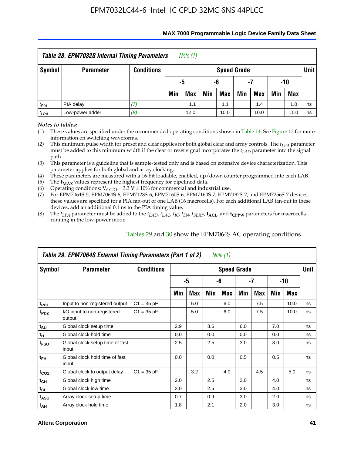| <b>Table 28. EPM7032S Internal Timing Parameters</b><br>Note $(1)$        |                  |                   |     |                       |     |                    |     |            |     |            |        |  |  |
|---------------------------------------------------------------------------|------------------|-------------------|-----|-----------------------|-----|--------------------|-----|------------|-----|------------|--------|--|--|
| Symbol                                                                    | <b>Parameter</b> | <b>Conditions</b> |     |                       |     | <b>Speed Grade</b> |     |            |     |            | Unit I |  |  |
|                                                                           |                  |                   |     | -10<br>-5<br>-6<br>-7 |     |                    |     |            |     |            |        |  |  |
|                                                                           |                  |                   | Min | Max                   | Min | Max                | Min | <b>Max</b> | Min | <b>Max</b> |        |  |  |
| $t_{PIA}$                                                                 | PIA delay        |                   |     | 1.1                   |     | 1.1                |     | 1.4        |     | 1.0        | ns     |  |  |
| (8)<br>Low-power adder<br>12.0<br>10.0<br>10.0<br>11.0<br>$t_{LPA}$<br>ns |                  |                   |     |                       |     |                    |     |            |     |            |        |  |  |

#### **MAX 7000 Programmable Logic Device Family Data Sheet**

*Notes to tables:*

(1) These values are specified under the recommended operating conditions shown in Table 14. See Figure 13 for more information on switching waveforms.

(2) This minimum pulse width for preset and clear applies for both global clear and array controls. The  $t_{LPA}$  parameter must be added to this minimum width if the clear or reset signal incorporates the *tLAD* parameter into the signal path.

(3) This parameter is a guideline that is sample-tested only and is based on extensive device characterization. This parameter applies for both global and array clocking.

(4) These parameters are measured with a 16-bit loadable, enabled, up/down counter programmed into each LAB.

(5) The  $f_{MAX}$  values represent the highest frequency for pipelined data.

(6) Operating conditions:  $V_{\text{CCIO}} = 3.3 \text{ V} \pm 10\%$  for commercial and industrial use.

(7) For EPM7064S-5, EPM7064S-6, EPM7128S-6, EPM7160S-6, EPM7160S-7, EPM7192S-7, and EPM7256S-7 devices, these values are specified for a PIA fan-out of one LAB (16 macrocells). For each additional LAB fan-out in these devices, add an additional 0.1 ns to the PIA timing value.

(8) The  $t_{LPA}$  parameter must be added to the  $t_{LAD}$ ,  $t_{LAC}$ ,  $t_{IC}$ ,  $t_{EN}$ ,  $t_{SEXP}$ ,  $t_{ACL}$ , and  $t_{CPPW}$  parameters for macrocells running in the low-power mode.

| Table 29. EPM7064S External Timing Parameters (Part 1 of 2)<br>Note (1) |                                          |                   |     |     |     |                    |     |     |     |      |      |  |  |
|-------------------------------------------------------------------------|------------------------------------------|-------------------|-----|-----|-----|--------------------|-----|-----|-----|------|------|--|--|
| Symbol                                                                  | <b>Parameter</b>                         | <b>Conditions</b> |     |     |     | <b>Speed Grade</b> |     |     |     |      | Unit |  |  |
|                                                                         |                                          |                   |     | -5  |     | -6                 |     | -7  |     | -10  |      |  |  |
|                                                                         |                                          |                   | Min | Max | Min | Max                | Min | Max | Min | Max  |      |  |  |
| t <sub>PD1</sub>                                                        | Input to non-registered output           | $C1 = 35 pF$      |     | 5.0 |     | 6.0                |     | 7.5 |     | 10.0 | ns   |  |  |
| t <sub>PD2</sub>                                                        | I/O input to non-registered<br>output    | $C1 = 35 pF$      |     | 5.0 |     | 6.0                |     | 7.5 |     | 10.0 | ns   |  |  |
| $t_{\text{SU}}$                                                         | Global clock setup time                  |                   | 2.9 |     | 3.6 |                    | 6.0 |     | 7.0 |      | ns   |  |  |
| $t_H$                                                                   | Global clock hold time                   |                   | 0.0 |     | 0.0 |                    | 0.0 |     | 0.0 |      | ns   |  |  |
| t <sub>FSU</sub>                                                        | Global clock setup time of fast<br>input |                   | 2.5 |     | 2.5 |                    | 3.0 |     | 3.0 |      | ns   |  |  |
| $t_{FH}$                                                                | Global clock hold time of fast<br>input  |                   | 0.0 |     | 0.0 |                    | 0.5 |     | 0.5 |      | ns   |  |  |
| $t_{CO1}$                                                               | Global clock to output delay             | $C1 = 35 pF$      |     | 3.2 |     | 4.0                |     | 4.5 |     | 5.0  | ns   |  |  |
| $t_{CH}$                                                                | Global clock high time                   |                   | 2.0 |     | 2.5 |                    | 3.0 |     | 4.0 |      | ns   |  |  |
| $t_{CL}$                                                                | Global clock low time                    |                   | 2.0 |     | 2.5 |                    | 3.0 |     | 4.0 |      | ns   |  |  |
| $t_{ASU}$                                                               | Array clock setup time                   |                   | 0.7 |     | 0.9 |                    | 3.0 |     | 2.0 |      | ns   |  |  |
| $t_{AH}$                                                                | Array clock hold time                    |                   | 1.8 |     | 2.1 |                    | 2.0 |     | 3.0 |      | ns   |  |  |

Tables 29 and 30 show the EPM7064S AC operating conditions.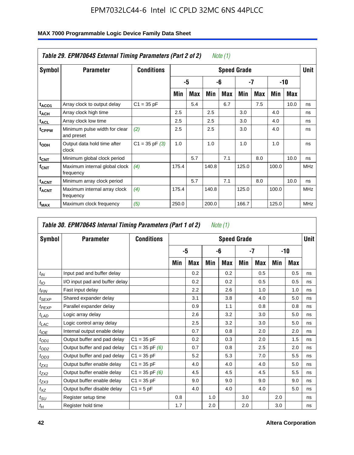|                         | Table 29. EPM7064S External Timing Parameters (Part 2 of 2) |                    |       |     |       | Note (1)   |                    |            |       |      |      |
|-------------------------|-------------------------------------------------------------|--------------------|-------|-----|-------|------------|--------------------|------------|-------|------|------|
| Symbol                  | <b>Parameter</b>                                            | <b>Conditions</b>  |       |     |       |            | <b>Speed Grade</b> |            |       |      | Unit |
|                         |                                                             |                    |       | -5  |       | -6         |                    | -7         |       | -10  |      |
|                         |                                                             |                    | Min   | Max | Min   | <b>Max</b> | Min                | <b>Max</b> | Min   | Max  |      |
| t <sub>ACO1</sub>       | Array clock to output delay                                 | $C1 = 35 pF$       |       | 5.4 |       | 6.7        |                    | 7.5        |       | 10.0 | ns   |
| $t_{ACH}$               | Array clock high time                                       |                    | 2.5   |     | 2.5   |            | 3.0                |            | 4.0   |      | ns   |
| <sup>t</sup> ACL        | Array clock low time                                        |                    | 2.5   |     | 2.5   |            | 3.0                |            | 4.0   |      | ns   |
| t <sub>CPPW</sub>       | Minimum pulse width for clear<br>and preset                 | (2)                | 2.5   |     | 2.5   |            | 3.0                |            | 4.0   |      | ns   |
| t <sub>ODH</sub>        | Output data hold time after<br>clock                        | $C1 = 35$ pF $(3)$ | 1.0   |     | 1.0   |            | 1.0                |            | 1.0   |      | ns   |
| $t_{\text{CNT}}$        | Minimum global clock period                                 |                    |       | 5.7 |       | 7.1        |                    | 8.0        |       | 10.0 | ns   |
| <b>f</b> <sub>CNT</sub> | Maximum internal global clock<br>frequency                  | (4)                | 175.4 |     | 140.8 |            | 125.0              |            | 100.0 |      | MHz  |
| $t_{ACNT}$              | Minimum array clock period                                  |                    |       | 5.7 |       | 7.1        |                    | 8.0        |       | 10.0 | ns   |
| <sup>f</sup> ACNT       | Maximum internal array clock<br>frequency                   | (4)                | 175.4 |     | 140.8 |            | 125.0              |            | 100.0 |      | MHz  |
| f <sub>MAX</sub>        | Maximum clock frequency                                     | (5)                | 250.0 |     | 200.0 |            | 166.7              |            | 125.0 |      | MHz  |

#### **MAX 7000 Programmable Logic Device Family Data Sheet**

|                 | Table 30. EPM7064S Internal Timing Parameters (Part 1 of 2) |                    |     |            |     | Note (1)           |     |     |     |       |             |
|-----------------|-------------------------------------------------------------|--------------------|-----|------------|-----|--------------------|-----|-----|-----|-------|-------------|
| Symbol          | <b>Parameter</b>                                            | <b>Conditions</b>  |     |            |     | <b>Speed Grade</b> |     |     |     |       | <b>Unit</b> |
|                 |                                                             |                    |     | -5         |     | -6                 |     | -7  |     | $-10$ |             |
|                 |                                                             |                    | Min | <b>Max</b> | Min | Max                | Min | Max | Min | Max   |             |
| $t_{IN}$        | Input pad and buffer delay                                  |                    |     | 0.2        |     | 0.2                |     | 0.5 |     | 0.5   | ns          |
| $t_{IO}$        | I/O input pad and buffer delay                              |                    |     | 0.2        |     | 0.2                |     | 0.5 |     | 0.5   | ns          |
| $t_{FIN}$       | Fast input delay                                            |                    |     | 2.2        |     | 2.6                |     | 1.0 |     | 1.0   | ns          |
| $t_{SEXP}$      | Shared expander delay                                       |                    |     | 3.1        |     | 3.8                |     | 4.0 |     | 5.0   | ns          |
| $t_{PEXP}$      | Parallel expander delay                                     |                    |     | 0.9        |     | 1.1                |     | 0.8 |     | 0.8   | ns          |
| $t_{LAD}$       | Logic array delay                                           |                    |     | 2.6        |     | 3.2                |     | 3.0 |     | 5.0   | ns          |
| $t_{LAC}$       | Logic control array delay                                   |                    |     | 2.5        |     | 3.2                |     | 3.0 |     | 5.0   | ns          |
| $t_{IOE}$       | Internal output enable delay                                |                    |     | 0.7        |     | 0.8                |     | 2.0 |     | 2.0   | ns          |
| $t_{OD1}$       | Output buffer and pad delay                                 | $C1 = 35 pF$       |     | 0.2        |     | 0.3                |     | 2.0 |     | 1.5   | ns          |
| $t_{OD2}$       | Output buffer and pad delay                                 | $C1 = 35$ pF $(6)$ |     | 0.7        |     | 0.8                |     | 2.5 |     | 2.0   | ns          |
| $t_{OD3}$       | Output buffer and pad delay                                 | $C1 = 35 pF$       |     | 5.2        |     | 5.3                |     | 7.0 |     | 5.5   | ns          |
| $t_{ZX1}$       | Output buffer enable delay                                  | $C1 = 35 pF$       |     | 4.0        |     | 4.0                |     | 4.0 |     | 5.0   | ns          |
| $t_{ZX2}$       | Output buffer enable delay                                  | $C1 = 35$ pF $(6)$ |     | 4.5        |     | 4.5                |     | 4.5 |     | 5.5   | ns          |
| $t_{ZX3}$       | Output buffer enable delay                                  | $C1 = 35 pF$       |     | 9.0        |     | 9.0                |     | 9.0 |     | 9.0   | ns          |
| $t_{XZ}$        | Output buffer disable delay                                 | $C1 = 5pF$         |     | 4.0        |     | 4.0                |     | 4.0 |     | 5.0   | ns          |
| $t_{\text{SU}}$ | Register setup time                                         |                    | 0.8 |            | 1.0 |                    | 3.0 |     | 2.0 |       | ns          |
| $t_H$           | Register hold time                                          |                    | 1.7 |            | 2.0 |                    | 2.0 |     | 3.0 |       | ns          |

 $\overline{\phantom{a}}$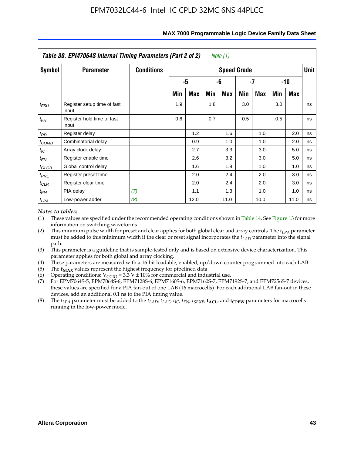|            | Table 30. EPM7064S Internal Timing Parameters (Part 2 of 2) |                   |     |      |     | Note (1)           |     |      |     |       |             |
|------------|-------------------------------------------------------------|-------------------|-----|------|-----|--------------------|-----|------|-----|-------|-------------|
| Symbol     | <b>Parameter</b>                                            | <b>Conditions</b> |     |      |     | <b>Speed Grade</b> |     |      |     |       | <b>Unit</b> |
|            |                                                             |                   |     | -5   |     | -6                 |     | -7   |     | $-10$ |             |
|            |                                                             |                   | Min | Max  | Min | Max                | Min | Max  | Min | Max   |             |
| $t_{FSU}$  | Register setup time of fast<br>input                        |                   | 1.9 |      | 1.8 |                    | 3.0 |      | 3.0 |       | ns          |
| $t_{FH}$   | Register hold time of fast<br>input                         |                   | 0.6 |      | 0.7 |                    | 0.5 |      | 0.5 |       | ns          |
| $t_{RD}$   | Register delay                                              |                   |     | 1.2  |     | 1.6                |     | 1.0  |     | 2.0   | ns          |
| $t_{COMB}$ | Combinatorial delay                                         |                   |     | 0.9  |     | 1.0                |     | 1.0  |     | 2.0   | ns          |
| $t_{IC}$   | Array clock delay                                           |                   |     | 2.7  |     | 3.3                |     | 3.0  |     | 5.0   | ns          |
| $t_{EN}$   | Register enable time                                        |                   |     | 2.6  |     | 3.2                |     | 3.0  |     | 5.0   | ns          |
| $t_{GLOB}$ | Global control delay                                        |                   |     | 1.6  |     | 1.9                |     | 1.0  |     | 1.0   | ns          |
| $t_{PRE}$  | Register preset time                                        |                   |     | 2.0  |     | 2.4                |     | 2.0  |     | 3.0   | ns          |
| $t_{CLR}$  | Register clear time                                         |                   |     | 2.0  |     | 2.4                |     | 2.0  |     | 3.0   | ns          |
| $t_{PIA}$  | PIA delay                                                   | (7)               |     | 1.1  |     | 1.3                |     | 1.0  |     | 1.0   | ns          |
| $t_{LPA}$  | Low-power adder                                             | (8)               |     | 12.0 |     | 11.0               |     | 10.0 |     | 11.0  | ns          |

#### **MAX 7000 Programmable Logic Device Family Data Sheet**

#### *Notes to tables:*

- (1) These values are specified under the recommended operating conditions shown in Table 14. See Figure 13 for more information on switching waveforms.
- (2) This minimum pulse width for preset and clear applies for both global clear and array controls. The  $t_{LPA}$  parameter must be added to this minimum width if the clear or reset signal incorporates the *t<sub>LAD</sub>* parameter into the signal path.
- (3) This parameter is a guideline that is sample-tested only and is based on extensive device characterization. This parameter applies for both global and array clocking.
- (4) These parameters are measured with a 16-bit loadable, enabled, up/down counter programmed into each LAB.
- (5) The  $f_{MAX}$  values represent the highest frequency for pipelined data.
- (6) Operating conditions:  $V_{\text{CCIO}} = 3.3 \text{ V} \pm 10\%$  for commercial and industrial use.
- (7) For EPM7064S-5, EPM7064S-6, EPM7128S-6, EPM7160S-6, EPM7160S-7, EPM7192S-7, and EPM7256S-7 devices, these values are specified for a PIA fan-out of one LAB (16 macrocells). For each additional LAB fan-out in these devices, add an additional 0.1 ns to the PIA timing value.
- (8) The  $t_{LPA}$  parameter must be added to the  $t_{LAD}$ ,  $t_{LAC}$ ,  $t_{IC}$ ,  $t_{EN}$ ,  $t_{SEXP}$ ,  $t_{ACL}$ , and  $t_{CPPW}$  parameters for macrocells running in the low-power mode.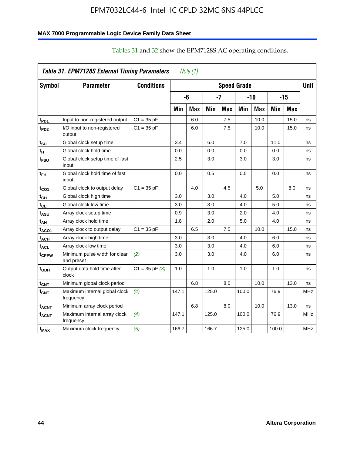#### **MAX 7000 Programmable Logic Device Family Data Sheet**

| Table 31. EPM7128S External Timing Parameters<br>Note $(1)$ |                                             |                   |       |            |       |            |                    |            |       |            |             |
|-------------------------------------------------------------|---------------------------------------------|-------------------|-------|------------|-------|------------|--------------------|------------|-------|------------|-------------|
| Symbol                                                      | <b>Parameter</b>                            | <b>Conditions</b> |       |            |       |            | <b>Speed Grade</b> |            |       |            | <b>Unit</b> |
|                                                             |                                             |                   |       | -6         |       | -7         |                    | $-10$      |       | $-15$      |             |
|                                                             |                                             |                   | Min   | <b>Max</b> | Min   | <b>Max</b> | Min                | <b>Max</b> | Min   | <b>Max</b> |             |
| t <sub>PD1</sub>                                            | Input to non-registered output              | $C1 = 35 pF$      |       | 6.0        |       | 7.5        |                    | 10.0       |       | 15.0       | ns          |
| t <sub>PD2</sub>                                            | I/O input to non-registered<br>output       | $C1 = 35 pF$      |       | 6.0        |       | 7.5        |                    | 10.0       |       | 15.0       | ns          |
| tsu                                                         | Global clock setup time                     |                   | 3.4   |            | 6.0   |            | 7.0                |            | 11.0  |            | ns          |
| t <sub>H</sub>                                              | Global clock hold time                      |                   | 0.0   |            | 0.0   |            | 0.0                |            | 0.0   |            | ns          |
| t <sub>FSU</sub>                                            | Global clock setup time of fast<br>input    |                   | 2.5   |            | 3.0   |            | 3.0                |            | 3.0   |            | ns          |
| t <sub>FH</sub>                                             | Global clock hold time of fast<br>input     |                   | 0.0   |            | 0.5   |            | 0.5                |            | 0.0   |            | ns          |
| t <sub>CO1</sub>                                            | Global clock to output delay                | $C1 = 35 pF$      |       | 4.0        |       | 4.5        |                    | 5.0        |       | 8.0        | ns          |
| $t_{CH}$                                                    | Global clock high time                      |                   | 3.0   |            | 3.0   |            | 4.0                |            | 5.0   |            | ns          |
| tcL                                                         | Global clock low time                       |                   | 3.0   |            | 3.0   |            | 4.0                |            | 5.0   |            | ns          |
| t <sub>ASU</sub>                                            | Array clock setup time                      |                   | 0.9   |            | 3.0   |            | 2.0                |            | 4.0   |            | ns          |
| t <sub>АН</sub>                                             | Array clock hold time                       |                   | 1.8   |            | 2.0   |            | 5.0                |            | 4.0   |            | ns          |
| t <sub>ACO1</sub>                                           | Array clock to output delay                 | $C1 = 35 pF$      |       | 6.5        |       | 7.5        |                    | 10.0       |       | 15.0       | ns          |
| t <sub>АСН</sub>                                            | Array clock high time                       |                   | 3.0   |            | 3.0   |            | 4.0                |            | 6.0   |            | ns          |
| $t_{\sf ACL}$                                               | Array clock low time                        |                   | 3.0   |            | 3.0   |            | 4.0                |            | 6.0   |            | ns          |
| tcppw                                                       | Minimum pulse width for clear<br>and preset | (2)               | 3.0   |            | 3.0   |            | 4.0                |            | 6.0   |            | ns          |
| t <sub>орн</sub>                                            | Output data hold time after<br>clock        | $C1 = 35 pF(3)$   | 1.0   |            | 1.0   |            | 1.0                |            | 1.0   |            | ns          |
| $t_{\text{CNT}}$                                            | Minimum global clock period                 |                   |       | 6.8        |       | 8.0        |                    | 10.0       |       | 13.0       | ns          |
| $f_{\text{CNT}}$                                            | Maximum internal global clock<br>frequency  | (4)               | 147.1 |            | 125.0 |            | 100.0              |            | 76.9  |            | <b>MHz</b>  |
| t <sub>acnt</sub>                                           | Minimum array clock period                  |                   |       | 6.8        |       | 8.0        |                    | 10.0       |       | 13.0       | ns          |
| <sup>f</sup> acnt                                           | Maximum internal array clock<br>frequency   | (4)               | 147.1 |            | 125.0 |            | 100.0              |            | 76.9  |            | <b>MHz</b>  |
| f <sub>MAX</sub>                                            | Maximum clock frequency                     | (5)               | 166.7 |            | 166.7 |            | 125.0              |            | 100.0 |            | <b>MHz</b>  |

### Tables 31 and 32 show the EPM7128S AC operating conditions.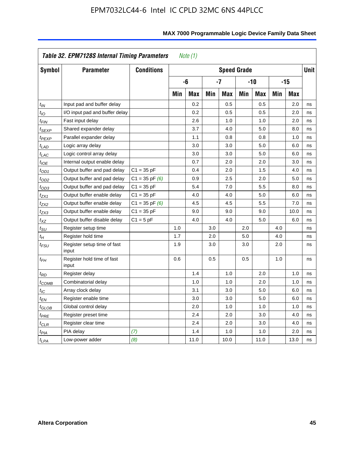|                            | Table 32. EPM7128S Internal Timing Parameters<br>Note $(1)$ |                    |     |            |     |                    |     |            |     |            |             |  |  |
|----------------------------|-------------------------------------------------------------|--------------------|-----|------------|-----|--------------------|-----|------------|-----|------------|-------------|--|--|
| Symbol                     | <b>Parameter</b>                                            | <b>Conditions</b>  |     |            |     | <b>Speed Grade</b> |     |            |     |            | <b>Unit</b> |  |  |
|                            |                                                             |                    |     | -6         |     | $-7$               |     | $-10$      |     | $-15$      |             |  |  |
|                            |                                                             |                    | Min | <b>Max</b> | Min | <b>Max</b>         | Min | <b>Max</b> | Min | <b>Max</b> |             |  |  |
| $t_{IN}$                   | Input pad and buffer delay                                  |                    |     | 0.2        |     | 0.5                |     | 0.5        |     | 2.0        | ns          |  |  |
| $t_{IO}$                   | I/O input pad and buffer delay                              |                    |     | 0.2        |     | 0.5                |     | 0.5        |     | 2.0        | ns          |  |  |
| $t_{\textit{FIN}}$         | Fast input delay                                            |                    |     | 2.6        |     | 1.0                |     | 1.0        |     | 2.0        | ns          |  |  |
| $t_{SEXP}$                 | Shared expander delay                                       |                    |     | 3.7        |     | 4.0                |     | 5.0        |     | 8.0        | ns          |  |  |
| t <sub>PEXP</sub>          | Parallel expander delay                                     |                    |     | 1.1        |     | 0.8                |     | 0.8        |     | 1.0        | ns          |  |  |
| $t_{LAD}$                  | Logic array delay                                           |                    |     | 3.0        |     | 3.0                |     | 5.0        |     | 6.0        | ns          |  |  |
| $t_{LAC}$                  | Logic control array delay                                   |                    |     | 3.0        |     | 3.0                |     | 5.0        |     | 6.0        | ns          |  |  |
| $t_{IOE}$                  | Internal output enable delay                                |                    |     | 0.7        |     | 2.0                |     | 2.0        |     | 3.0        | ns          |  |  |
| $t_{OD1}$                  | Output buffer and pad delay                                 | $C1 = 35 pF$       |     | 0.4        |     | 2.0                |     | 1.5        |     | 4.0        | ns          |  |  |
| $t_{OD2}$                  | Output buffer and pad delay                                 | $C1 = 35$ pF $(6)$ |     | 0.9        |     | 2.5                |     | 2.0        |     | 5.0        | ns          |  |  |
| $t_{OD3}$                  | Output buffer and pad delay                                 | $C1 = 35 pF$       |     | 5.4        |     | 7.0                |     | 5.5        |     | 8.0        | ns          |  |  |
| $t_{ZX1}$                  | Output buffer enable delay                                  | $C1 = 35 pF$       |     | 4.0        |     | 4.0                |     | 5.0        |     | 6.0        | ns          |  |  |
| $t_{ZX2}$                  | Output buffer enable delay                                  | $C1 = 35$ pF $(6)$ |     | 4.5        |     | 4.5                |     | 5.5        |     | 7.0        | ns          |  |  |
| tzx3                       | Output buffer enable delay                                  | $C1 = 35 pF$       |     | 9.0        |     | 9.0                |     | 9.0        |     | 10.0       | ns          |  |  |
| $t_{\mathsf{XZ}}$          | Output buffer disable delay                                 | $C1 = 5pF$         |     | 4.0        |     | 4.0                |     | 5.0        |     | 6.0        | ns          |  |  |
| $t_{\rm SU}$               | Register setup time                                         |                    | 1.0 |            | 3.0 |                    | 2.0 |            | 4.0 |            | ns          |  |  |
| $t_H$                      | Register hold time                                          |                    | 1.7 |            | 2.0 |                    | 5.0 |            | 4.0 |            | ns          |  |  |
| $t_{\it FSU}$              | Register setup time of fast<br>input                        |                    | 1.9 |            | 3.0 |                    | 3.0 |            | 2.0 |            | ns          |  |  |
| $t_{FH}$                   | Register hold time of fast<br>input                         |                    | 0.6 |            | 0.5 |                    | 0.5 |            | 1.0 |            | ns          |  |  |
| t <sub>RD</sub>            | Register delay                                              |                    |     | 1.4        |     | 1.0                |     | 2.0        |     | 1.0        | ns          |  |  |
| t <sub>COMB</sub>          | Combinatorial delay                                         |                    |     | 1.0        |     | 1.0                |     | 2.0        |     | 1.0        | ns          |  |  |
| $t_{IC}$                   | Array clock delay                                           |                    |     | 3.1        |     | 3.0                |     | 5.0        |     | 6.0        | ns          |  |  |
| t <sub>EN</sub>            | Register enable time                                        |                    |     | 3.0        |     | 3.0                |     | 5.0        |     | 6.0        | ns          |  |  |
| $t_{\scriptstyle\rm GLOB}$ | Global control delay                                        |                    |     | 2.0        |     | 1.0                |     | 1.0        |     | 1.0        | ns          |  |  |
| $t_{PRE}$                  | Register preset time                                        |                    |     | 2.4        |     | 2.0                |     | 3.0        |     | 4.0        | ns          |  |  |
| $t_{CLR}$                  | Register clear time                                         |                    |     | 2.4        |     | 2.0                |     | 3.0        |     | 4.0        | ns          |  |  |
| t <sub>PIA</sub>           | PIA delay                                                   | (7)                |     | 1.4        |     | 1.0                |     | 1.0        |     | 2.0        | ns          |  |  |
| $t_{LPA}$                  | Low-power adder                                             | (8)                |     | 11.0       |     | 10.0               |     | 11.0       |     | 13.0       | ns          |  |  |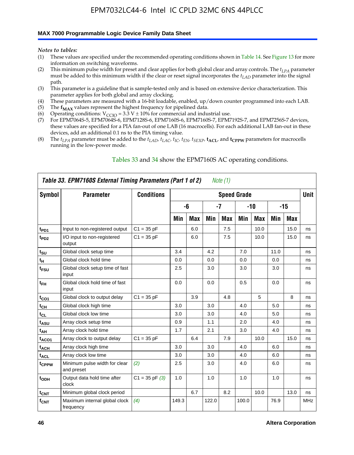#### **MAX 7000 Programmable Logic Device Family Data Sheet**

*Notes to tables:*

- (1) These values are specified under the recommended operating conditions shown in Table 14. See Figure 13 for more information on switching waveforms.
- (2) This minimum pulse width for preset and clear applies for both global clear and array controls. The  $t_{LPA}$  parameter must be added to this minimum width if the clear or reset signal incorporates the *tLAD* parameter into the signal path.
- (3) This parameter is a guideline that is sample-tested only and is based on extensive device characterization. This parameter applies for both global and array clocking.
- (4) These parameters are measured with a 16-bit loadable, enabled, up/down counter programmed into each LAB.
- (5) The  $f_{MAX}$  values represent the highest frequency for pipelined data.
- (6) Operating conditions:  $V_{\text{CCIO}} = 3.3 \text{ V} \pm 10\%$  for commercial and industrial use.
- (7) For EPM7064S-5, EPM7064S-6, EPM7128S-6, EPM7160S-6, EPM7160S-7, EPM7192S-7, and EPM7256S-7 devices, these values are specified for a PIA fan-out of one LAB (16 macrocells). For each additional LAB fan-out in these devices, add an additional 0.1 ns to the PIA timing value.
- (8) The  $t_{LPA}$  parameter must be added to the  $t_{LAD}$ ,  $t_{LAC}$ ,  $t_{IC}$ ,  $t_{EN}$ ,  $t_{SEXP}$ ,  $t_{ACL}$ , and  $t_{CPPW}$  parameters for macrocells running in the low-power mode.

| Table 33. EPM7160S External Timing Parameters (Part 1 of 2)<br>Note (1) |                                             |                    |       |            |       |            |                    |            |      |       |            |
|-------------------------------------------------------------------------|---------------------------------------------|--------------------|-------|------------|-------|------------|--------------------|------------|------|-------|------------|
| <b>Symbol</b>                                                           | <b>Parameter</b>                            | <b>Conditions</b>  |       |            |       |            | <b>Speed Grade</b> |            |      |       | Unit       |
|                                                                         |                                             |                    |       | -6         |       | $-7$       | $-10$              |            |      | $-15$ |            |
|                                                                         |                                             |                    | Min   | <b>Max</b> | Min   | <b>Max</b> | Min                | <b>Max</b> | Min  | Max   |            |
| t <sub>PD1</sub>                                                        | Input to non-registered output              | $C1 = 35 pF$       |       | 6.0        |       | 7.5        |                    | 10.0       |      | 15.0  | ns         |
| t <sub>PD2</sub>                                                        | I/O input to non-registered<br>output       | $C1 = 35 pF$       |       | 6.0        |       | 7.5        |                    | 10.0       |      | 15.0  | ns         |
| $t_{\text{SU}}$                                                         | Global clock setup time                     |                    | 3.4   |            | 4.2   |            | 7.0                |            | 11.0 |       | ns         |
| $t_H$                                                                   | Global clock hold time                      |                    | 0.0   |            | 0.0   |            | 0.0                |            | 0.0  |       | ns         |
| t <sub>FSU</sub>                                                        | Global clock setup time of fast<br>input    |                    | 2.5   |            | 3.0   |            | 3.0                |            | 3.0  |       | ns         |
| $t_{FH}$                                                                | Global clock hold time of fast<br>input     |                    | 0.0   |            | 0.0   |            | 0.5                |            | 0.0  |       | ns         |
| $t_{CO1}$                                                               | Global clock to output delay                | $C1 = 35 pF$       |       | 3.9        |       | 4.8        |                    | 5          |      | 8     | ns         |
| $t_{\mathsf{CH}}$                                                       | Global clock high time                      |                    | 3.0   |            | 3.0   |            | 4.0                |            | 5.0  |       | ns         |
| $t_{CL}$                                                                | Global clock low time                       |                    | 3.0   |            | 3.0   |            | 4.0                |            | 5.0  |       | ns         |
| t <sub>ASU</sub>                                                        | Array clock setup time                      |                    | 0.9   |            | 1.1   |            | 2.0                |            | 4.0  |       | ns         |
| $t_{AH}$                                                                | Array clock hold time                       |                    | 1.7   |            | 2.1   |            | 3.0                |            | 4.0  |       | ns         |
| $t_{ACO1}$                                                              | Array clock to output delay                 | $C1 = 35 pF$       |       | 6.4        |       | 7.9        |                    | 10.0       |      | 15.0  | ns         |
| t <sub>ACH</sub>                                                        | Array clock high time                       |                    | 3.0   |            | 3.0   |            | 4.0                |            | 6.0  |       | ns         |
| t <sub>ACL</sub>                                                        | Array clock low time                        |                    | 3.0   |            | 3.0   |            | 4.0                |            | 6.0  |       | ns         |
| tcppw                                                                   | Minimum pulse width for clear<br>and preset | (2)                | 2.5   |            | 3.0   |            | 4.0                |            | 6.0  |       | ns         |
| t <sub>ODH</sub>                                                        | Output data hold time after<br>clock        | $C1 = 35$ pF $(3)$ | 1.0   |            | 1.0   |            | 1.0                |            | 1.0  |       | ns         |
| $t_{CNT}$                                                               | Minimum global clock period                 |                    |       | 6.7        |       | 8.2        |                    | 10.0       |      | 13.0  | ns         |
| ${\sf f}_{\sf CNT}$                                                     | Maximum internal global clock<br>frequency  | (4)                | 149.3 |            | 122.0 |            | 100.0              |            | 76.9 |       | <b>MHz</b> |

#### Tables 33 and 34 show the EPM7160S AC operating conditions.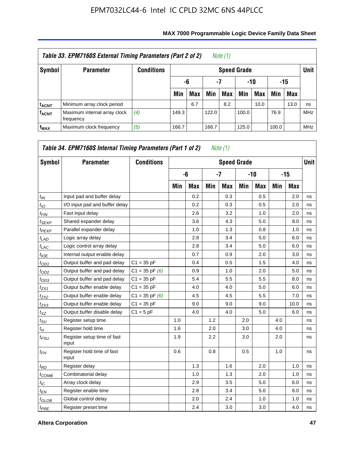| Table 33. EPM7160S External Timing Parameters (Part 2 of 2)<br>Note (1) |                                           |                   |       |                        |       |                    |       |      |       |            |             |
|-------------------------------------------------------------------------|-------------------------------------------|-------------------|-------|------------------------|-------|--------------------|-------|------|-------|------------|-------------|
| Symbol                                                                  | <b>Parameter</b>                          | <b>Conditions</b> |       |                        |       | <b>Speed Grade</b> |       |      |       |            | <b>Unit</b> |
|                                                                         |                                           |                   |       | -7<br>-10<br>-15<br>-6 |       |                    |       |      |       |            |             |
|                                                                         |                                           |                   | Min   | <b>Max</b>             | Min   | Max                | Min   | Max  | Min   | <b>Max</b> |             |
| <sup>t</sup> ACNT                                                       | Minimum array clock period                |                   |       | 6.7                    |       | 8.2                |       | 10.0 |       | 13.0       | ns          |
| <b>f<sub>ACNT</sub></b>                                                 | Maximum internal array clock<br>frequency | (4)               | 149.3 |                        | 122.0 |                    | 100.0 |      | 76.9  |            | <b>MHz</b>  |
| $f_{MAX}$                                                               | Maximum clock frequency                   | (5)               | 166.7 |                        | 166.7 |                    | 125.0 |      | 100.0 |            | <b>MHz</b>  |

| Symbol           | <b>Parameter</b>                     | <b>Conditions</b>  |     |            |     | <b>Speed Grade</b> |       |            |     |      | <b>Unit</b> |
|------------------|--------------------------------------|--------------------|-----|------------|-----|--------------------|-------|------------|-----|------|-------------|
|                  |                                      |                    |     | -6         |     | $-7$               | $-10$ |            |     | -15  |             |
|                  |                                      |                    | Min | <b>Max</b> | Min | <b>Max</b>         | Min   | <b>Max</b> | Min | Max  |             |
| $t_{IN}$         | Input pad and buffer delay           |                    |     | 0.2        |     | 0.3                |       | 0.5        |     | 2.0  | ns          |
| $t_{IO}$         | I/O input pad and buffer delay       |                    |     | 0.2        |     | 0.3                |       | 0.5        |     | 2.0  | ns          |
| $t_{FIN}$        | Fast input delay                     |                    |     | 2.6        |     | 3.2                |       | 1.0        |     | 2.0  | ns          |
| $t_{SEXP}$       | Shared expander delay                |                    |     | 3.6        |     | 4.3                |       | 5.0        |     | 8.0  | ns          |
| $t_{PEXP}$       | Parallel expander delay              |                    |     | 1.0        |     | 1.3                |       | 0.8        |     | 1.0  | ns          |
| t <sub>LAD</sub> | Logic array delay                    |                    |     | 2.8        |     | 3.4                |       | 5.0        |     | 6.0  | ns          |
| $t_{LAC}$        | Logic control array delay            |                    |     | 2.8        |     | 3.4                |       | 5.0        |     | 6.0  | ns          |
| $t_{IOE}$        | Internal output enable delay         |                    |     | 0.7        |     | 0.9                |       | 2.0        |     | 3.0  | ns          |
| $t_{OD1}$        | Output buffer and pad delay          | $C1 = 35 pF$       |     | 0.4        |     | 0.5                |       | 1.5        |     | 4.0  | ns          |
| $t_{OD2}$        | Output buffer and pad delay          | $C1 = 35$ pF $(6)$ |     | 0.9        |     | 1.0                |       | 2.0        |     | 5.0  | ns          |
| $t_{OD3}$        | Output buffer and pad delay          | $C1 = 35 pF$       |     | 5.4        |     | 5.5                |       | 5.5        |     | 8.0  | ns          |
| $t_{ZX1}$        | Output buffer enable delay           | $C1 = 35 pF$       |     | 4.0        |     | 4.0                |       | 5.0        |     | 6.0  | ns          |
| $t_{ZX2}$        | Output buffer enable delay           | $C1 = 35$ pF $(6)$ |     | 4.5        |     | 4.5                |       | 5.5        |     | 7.0  | ns          |
| $t_{ZX3}$        | Output buffer enable delay           | $C1 = 35 pF$       |     | 9.0        |     | 9.0                |       | 9.0        |     | 10.0 | ns          |
| $t_{XZ}$         | Output buffer disable delay          | $C1 = 5pF$         |     | 4.0        |     | 4.0                |       | 5.0        |     | 6.0  | ns          |
| $t_{\rm SU}$     | Register setup time                  |                    | 1.0 |            | 1.2 |                    | 2.0   |            | 4.0 |      | ns          |
| $t_H$            | Register hold time                   |                    | 1.6 |            | 2.0 |                    | 3.0   |            | 4.0 |      | ns          |
| $t_{FSU}$        | Register setup time of fast<br>input |                    | 1.9 |            | 2.2 |                    | 3.0   |            | 2.0 |      | ns          |
| $t_{FH}$         | Register hold time of fast<br>input  |                    | 0.6 |            | 0.8 |                    | 0.5   |            | 1.0 |      | ns          |
| $t_{RD}$         | Register delay                       |                    |     | 1.3        |     | 1.6                |       | 2.0        |     | 1.0  | ns          |
| $t_{COMB}$       | Combinatorial delay                  |                    |     | 1.0        |     | 1.3                |       | 2.0        |     | 1.0  | ns          |
| $t_{IC}$         | Array clock delay                    |                    |     | 2.9        |     | 3.5                |       | 5.0        |     | 6.0  | ns          |
| $t_{EN}$         | Register enable time                 |                    |     | 2.8        |     | 3.4                |       | 5.0        |     | 6.0  | ns          |
| $t_{GLOB}$       | Global control delay                 |                    |     | 2.0        |     | 2.4                |       | 1.0        |     | 1.0  | ns          |
| $t_{PRE}$        | Register preset time                 |                    |     | 2.4        |     | 3.0                |       | 3.0        |     | 4.0  | ns          |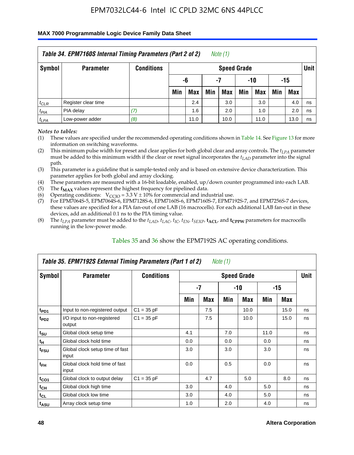#### **MAX 7000 Programmable Logic Device Family Data Sheet**

|           | Table 34. EPM7160S Internal Timing Parameters (Part 2 of 2)<br>Note (1) |                   |                          |      |     |                    |     |      |     |            |             |  |  |
|-----------|-------------------------------------------------------------------------|-------------------|--------------------------|------|-----|--------------------|-----|------|-----|------------|-------------|--|--|
| Symbol    | <b>Parameter</b>                                                        | <b>Conditions</b> |                          |      |     | <b>Speed Grade</b> |     |      |     |            | <b>Unit</b> |  |  |
|           |                                                                         |                   | $-10$<br>-6<br>-15<br>-7 |      |     |                    |     |      |     |            |             |  |  |
|           |                                                                         |                   | Min                      | Max  | Min | Max                | Min | Max  | Min | <b>Max</b> |             |  |  |
| $t_{CLR}$ | Register clear time                                                     |                   |                          | 2.4  |     | 3.0                |     | 3.0  |     | 4.0        | ns          |  |  |
| $t_{PIA}$ | PIA delay                                                               | (7)               |                          | 1.6  |     | 2.0                |     | 1.0  |     | 2.0        | ns          |  |  |
| $t_{LPA}$ | Low-power adder                                                         | (8)               |                          | 11.0 |     | 10.0               |     | 11.0 |     | 13.0       | ns          |  |  |

*Notes to tables:*

- (1) These values are specified under the recommended operating conditions shown in Table 14. See Figure 13 for more information on switching waveforms.
- (2) This minimum pulse width for preset and clear applies for both global clear and array controls. The  $t_{LPA}$  parameter must be added to this minimum width if the clear or reset signal incorporates the *t<sub>LAD</sub>* parameter into the signal path.
- (3) This parameter is a guideline that is sample-tested only and is based on extensive device characterization. This parameter applies for both global and array clocking.
- (4) These parameters are measured with a 16-bit loadable, enabled, up/down counter programmed into each LAB.
- (5) The  $f_{MAX}$  values represent the highest frequency for pipelined data.
- (6) Operating conditions:  $V_{\text{CCIO}} = 3.3 V \pm 10\%$  for commercial and industrial use.
- (7) For EPM7064S-5, EPM7064S-6, EPM7128S-6, EPM7160S-6, EPM7160S-7, EPM7192S-7, and EPM7256S-7 devices, these values are specified for a PIA fan-out of one LAB (16 macrocells). For each additional LAB fan-out in these devices, add an additional 0.1 ns to the PIA timing value.
- (8) The  $t_{LPA}$  parameter must be added to the  $t_{LAP}$ ,  $t_{LAC}$ ,  $t_{IC}$ ,  $t_{EN}$ ,  $t_{SEXP}$ ,  $t_{ACL}$ , and  $t_{CPPW}$  parameters for macrocells running in the low-power mode.

| Table 35. EPM7192S External Timing Parameters (Part 1 of 2)<br>Note (1) |                                          |                   |                    |      |     |            |       |      |    |  |  |  |
|-------------------------------------------------------------------------|------------------------------------------|-------------------|--------------------|------|-----|------------|-------|------|----|--|--|--|
| Symbol                                                                  | <b>Parameter</b>                         | <b>Conditions</b> | <b>Speed Grade</b> |      |     |            |       |      |    |  |  |  |
|                                                                         |                                          |                   |                    | $-7$ |     | -10        | $-15$ |      |    |  |  |  |
|                                                                         |                                          |                   | Min                | Max  | Min | <b>Max</b> | Min   | Max  |    |  |  |  |
| t <sub>PD1</sub>                                                        | Input to non-registered output           | $C1 = 35 pF$      |                    | 7.5  |     | 10.0       |       | 15.0 | ns |  |  |  |
| $t_{PD2}$                                                               | I/O input to non-registered<br>output    | $C1 = 35 pF$      |                    | 7.5  |     | 10.0       |       | 15.0 | ns |  |  |  |
| $t_{\scriptstyle\text{SU}}$                                             | Global clock setup time                  |                   | 4.1                |      | 7.0 |            | 11.0  |      | ns |  |  |  |
| $t_H$                                                                   | Global clock hold time                   |                   | 0.0                |      | 0.0 |            | 0.0   |      | ns |  |  |  |
| t <sub>FSU</sub>                                                        | Global clock setup time of fast<br>input |                   | 3.0                |      | 3.0 |            | 3.0   |      | ns |  |  |  |
| $t_{FH}$                                                                | Global clock hold time of fast<br>input  |                   | 0.0                |      | 0.5 |            | 0.0   |      | ns |  |  |  |
| $t_{CO1}$                                                               | Global clock to output delay             | $C1 = 35 pF$      |                    | 4.7  |     | 5.0        |       | 8.0  | ns |  |  |  |
| $t_{CH}$                                                                | Global clock high time                   |                   | 3.0                |      | 4.0 |            | 5.0   |      | ns |  |  |  |
| $t_{CL}$                                                                | Global clock low time                    |                   | 3.0                |      | 4.0 |            | 5.0   |      | ns |  |  |  |
| t <sub>ASU</sub>                                                        | Array clock setup time                   |                   | 1.0                |      | 2.0 |            | 4.0   |      | ns |  |  |  |

#### Tables 35 and 36 show the EPM7192S AC operating conditions.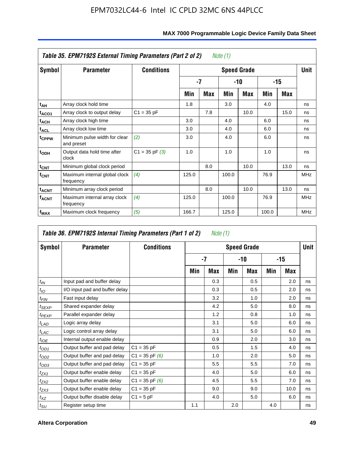| Table 35. EPM7192S External Timing Parameters (Part 2 of 2)<br>Note (1) |                                             |                    |                    |      |       |      |       |      |            |  |  |  |
|-------------------------------------------------------------------------|---------------------------------------------|--------------------|--------------------|------|-------|------|-------|------|------------|--|--|--|
| Symbol                                                                  | <b>Parameter</b>                            | <b>Conditions</b>  | <b>Speed Grade</b> |      |       |      |       |      |            |  |  |  |
|                                                                         |                                             |                    |                    | $-7$ | -10   |      | -15   |      |            |  |  |  |
|                                                                         |                                             |                    | Min                | Max  | Min   | Max  | Min   | Max  |            |  |  |  |
| t <sub>АН</sub>                                                         | Array clock hold time                       |                    | 1.8                |      | 3.0   |      | 4.0   |      | ns         |  |  |  |
| t <sub>ACO1</sub>                                                       | Array clock to output delay                 | $C1 = 35 pF$       |                    | 7.8  |       | 10.0 |       | 15.0 | ns         |  |  |  |
| t <sub>АСН</sub>                                                        | Array clock high time                       |                    | 3.0                |      | 4.0   |      | 6.0   |      | ns         |  |  |  |
| <sup>t</sup> ACL                                                        | Array clock low time                        |                    | 3.0                |      | 4.0   |      | 6.0   |      | ns         |  |  |  |
| t <sub>CPPW</sub>                                                       | Minimum pulse width for clear<br>and preset | (2)                | 3.0                |      | 4.0   |      | 6.0   |      | ns         |  |  |  |
| $t_{ODH}$                                                               | Output data hold time after<br>clock        | $C1 = 35$ pF $(3)$ | 1.0                |      | 1.0   |      | 1.0   |      | ns         |  |  |  |
| $t_{\text{CNT}}$                                                        | Minimum global clock period                 |                    |                    | 8.0  |       | 10.0 |       | 13.0 | ns         |  |  |  |
| $f_{\text{CNT}}$                                                        | Maximum internal global clock<br>frequency  | (4)                | 125.0              |      | 100.0 |      | 76.9  |      | <b>MHz</b> |  |  |  |
| <b>t<sub>ACNT</sub></b>                                                 | Minimum array clock period                  |                    |                    | 8.0  |       | 10.0 |       | 13.0 | ns         |  |  |  |
| <b>f<sub>ACNT</sub></b>                                                 | Maximum internal array clock<br>frequency   | (4)                | 125.0              |      | 100.0 |      | 76.9  |      | <b>MHz</b> |  |  |  |
| f <sub>MAX</sub>                                                        | Maximum clock frequency                     | (5)                | 166.7              |      | 125.0 |      | 100.0 |      | <b>MHz</b> |  |  |  |

|                               | Table 36. EPM7192S Internal Timing Parameters (Part 1 of 2) |                    |      | Note (1) |     |                    |       |      |      |
|-------------------------------|-------------------------------------------------------------|--------------------|------|----------|-----|--------------------|-------|------|------|
| Symbol                        | <b>Parameter</b>                                            | <b>Conditions</b>  |      |          |     | <b>Speed Grade</b> |       |      | Unit |
|                               |                                                             |                    | $-7$ |          | -10 |                    | $-15$ |      |      |
|                               |                                                             |                    | Min  | Max      | Min | <b>Max</b>         | Min   | Max  |      |
| $t_{IN}$                      | Input pad and buffer delay                                  |                    |      | 0.3      |     | 0.5                |       | 2.0  | ns   |
| $t_{IO}$                      | I/O input pad and buffer delay                              |                    |      | 0.3      |     | 0.5                |       | 2.0  | ns   |
| $t_{FIN}$                     | Fast input delay                                            |                    |      | 3.2      |     | 1.0                |       | 2.0  | ns   |
| $t_{SEXP}$                    | Shared expander delay                                       |                    |      | 4.2      |     | 5.0                |       | 8.0  | ns   |
| $t_{PEXP}$                    | Parallel expander delay                                     |                    |      | 1.2      |     | 0.8                |       | 1.0  | ns   |
| $t_{LAD}$                     | Logic array delay                                           |                    |      | 3.1      |     | 5.0                |       | 6.0  | ns   |
| $t_{LAC}$                     | Logic control array delay                                   |                    |      | 3.1      |     | 5.0                |       | 6.0  | ns   |
| $t_{IOE}$                     | Internal output enable delay                                |                    |      | 0.9      |     | 2.0                |       | 3.0  | ns   |
| $t_{OD1}$                     | Output buffer and pad delay                                 | $C1 = 35 pF$       |      | 0.5      |     | 1.5                |       | 4.0  | ns   |
| $t_{OD2}$                     | Output buffer and pad delay                                 | $C1 = 35$ pF $(6)$ |      | 1.0      |     | 2.0                |       | 5.0  | ns   |
| $t_{OD3}$                     | Output buffer and pad delay                                 | $C1 = 35 pF$       |      | 5.5      |     | 5.5                |       | 7.0  | ns   |
| $t_{ZX1}$                     | Output buffer enable delay                                  | $C1 = 35 pF$       |      | 4.0      |     | 5.0                |       | 6.0  | ns   |
| $t_{ZX2}$                     | Output buffer enable delay                                  | $C1 = 35$ pF $(6)$ |      | 4.5      |     | 5.5                |       | 7.0  | ns   |
| $t_{ZX3}$                     | Output buffer enable delay                                  | $C1 = 35 pF$       |      | 9.0      |     | 9.0                |       | 10.0 | ns   |
| $t_{XZ}$                      | Output buffer disable delay                                 | $C1 = 5$ pF        |      | 4.0      |     | 5.0                |       | 6.0  | ns   |
| $t_{\scriptstyle\textrm{SU}}$ | Register setup time                                         |                    | 1.1  |          | 2.0 |                    | 4.0   |      | ns   |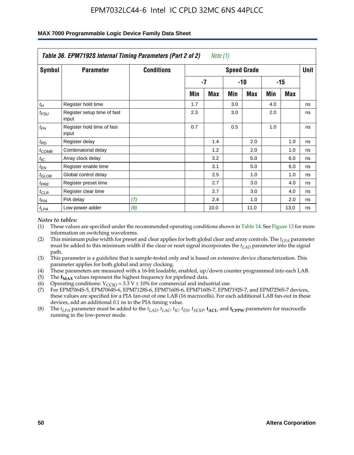| Table 36. EPM7192S Internal Timing Parameters (Part 2 of 2)<br>Note (1) |                                      |                   |     |      |     |                    |     |       |      |  |  |
|-------------------------------------------------------------------------|--------------------------------------|-------------------|-----|------|-----|--------------------|-----|-------|------|--|--|
| Symbol                                                                  | <b>Parameter</b>                     | <b>Conditions</b> |     |      |     | <b>Speed Grade</b> |     |       | Unit |  |  |
|                                                                         |                                      |                   |     | -7   |     | -10                |     | $-15$ |      |  |  |
|                                                                         |                                      |                   | Min | Max  | Min | Max                | Min | Max   |      |  |  |
| $t_H$                                                                   | Register hold time                   |                   | 1.7 |      | 3.0 |                    | 4.0 |       | ns   |  |  |
| $t_{\mathit{FSU}}$                                                      | Register setup time of fast<br>input |                   | 2.3 |      | 3.0 |                    | 2.0 |       | ns   |  |  |
| $t_{FH}$                                                                | Register hold time of fast<br>input  |                   | 0.7 |      | 0.5 |                    | 1.0 |       | ns   |  |  |
| $t_{RD}$                                                                | Register delay                       |                   |     | 1.4  |     | 2.0                |     | 1.0   | ns   |  |  |
| $t_{COMB}$                                                              | Combinatorial delay                  |                   |     | 1.2  |     | 2.0                |     | 1.0   | ns   |  |  |
| $t_{IC}$                                                                | Array clock delay                    |                   |     | 3.2  |     | 5.0                |     | 6.0   | ns   |  |  |
| $t_{EN}$                                                                | Register enable time                 |                   |     | 3.1  |     | 5.0                |     | 6.0   | ns   |  |  |
| $t_{GLOB}$                                                              | Global control delay                 |                   |     | 2.5  |     | 1.0                |     | 1.0   | ns   |  |  |
| $t_{PRE}$                                                               | Register preset time                 |                   |     | 2.7  |     | 3.0                |     | 4.0   | ns   |  |  |
| $t_{CLR}$                                                               | Register clear time                  |                   |     | 2.7  |     | 3.0                |     | 4.0   | ns   |  |  |
| t <sub>PIA</sub>                                                        | PIA delay                            | (7)               |     | 2.4  |     | 1.0                |     | 2.0   | ns   |  |  |
| $t_{LPA}$                                                               | Low-power adder                      | (8)               |     | 10.0 |     | 11.0               |     | 13.0  | ns   |  |  |

#### **MAX 7000 Programmable Logic Device Family Data Sheet**

#### *Notes to tables:*

- (1) These values are specified under the recommended operating conditions shown in Table 14. See Figure 13 for more information on switching waveforms.
- (2) This minimum pulse width for preset and clear applies for both global clear and array controls. The *tLPA* parameter must be added to this minimum width if the clear or reset signal incorporates the *t<sub>LAD</sub>* parameter into the signal path.
- (3) This parameter is a guideline that is sample-tested only and is based on extensive device characterization. This parameter applies for both global and array clocking.
- (4) These parameters are measured with a 16-bit loadable, enabled, up/down counter programmed into each LAB.
- (5) The  $f_{MAX}$  values represent the highest frequency for pipelined data.
- (6) Operating conditions:  $V_{\text{CCIO}} = 3.3 \text{ V} \pm 10\%$  for commercial and industrial use.
- (7) For EPM7064S-5, EPM7064S-6, EPM7128S-6, EPM7160S-6, EPM7160S-7, EPM7192S-7, and EPM7256S-7 devices, these values are specified for a PIA fan-out of one LAB (16 macrocells). For each additional LAB fan-out in these devices, add an additional 0.1 ns to the PIA timing value.
- (8) The  $t_{LPA}$  parameter must be added to the  $t_{LAD}$ ,  $t_{LAC}$ ,  $t_{IC}$ ,  $t_{EN}$ ,  $t_{SIX}$ ,  $t_{ACL}$ , and  $t_{CPW}$  parameters for macrocells running in the low-power mode.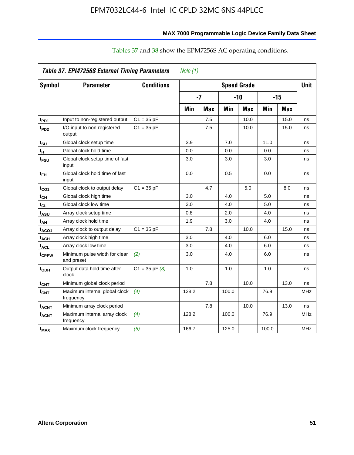| MAX 7000 Programmable Logic Device Family Data Sheet |  |
|------------------------------------------------------|--|
|------------------------------------------------------|--|

|                         | Table 37. EPM7256S External Timing Parameters |                    | Note $(1)$ |                      |       |                    |       |            |             |  |
|-------------------------|-----------------------------------------------|--------------------|------------|----------------------|-------|--------------------|-------|------------|-------------|--|
| <b>Symbol</b>           | <b>Parameter</b>                              | <b>Conditions</b>  |            |                      |       | <b>Speed Grade</b> |       |            | <b>Unit</b> |  |
|                         |                                               |                    |            | $-7$<br>$-15$<br>-10 |       |                    |       |            |             |  |
|                         |                                               |                    | Min        | <b>Max</b>           | Min   | <b>Max</b>         | Min   | <b>Max</b> |             |  |
| t <sub>PD1</sub>        | Input to non-registered output                | $C1 = 35 pF$       |            | 7.5                  |       | 10.0               |       | 15.0       | ns          |  |
| $t_{PD2}$               | I/O input to non-registered<br>output         | $C1 = 35 pF$       |            | 7.5                  |       | 10.0               |       | 15.0       | ns          |  |
| $t_{\rm SU}$            | Global clock setup time                       |                    | 3.9        |                      | 7.0   |                    | 11.0  |            | ns          |  |
| tμ                      | Global clock hold time                        |                    | 0.0        |                      | 0.0   |                    | 0.0   |            | ns          |  |
| t <sub>FSU</sub>        | Global clock setup time of fast<br>input      |                    | 3.0        |                      | 3.0   |                    | 3.0   |            | ns          |  |
| $t_{FH}$                | Global clock hold time of fast<br>input       |                    | 0.0        |                      | 0.5   |                    | 0.0   |            | ns          |  |
| t <sub>CO1</sub>        | Global clock to output delay                  | $C1 = 35 pF$       |            | 4.7                  |       | 5.0                |       | 8.0        | ns          |  |
| $t_{\mathsf{CH}}$       | Global clock high time                        |                    | 3.0        |                      | 4.0   |                    | 5.0   |            | ns          |  |
| $t_{CL}$                | Global clock low time                         |                    | 3.0        |                      | 4.0   |                    | 5.0   |            | ns          |  |
| t <sub>ASU</sub>        | Array clock setup time                        |                    | 0.8        |                      | 2.0   |                    | 4.0   |            | ns          |  |
| t <sub>АН</sub>         | Array clock hold time                         |                    | 1.9        |                      | 3.0   |                    | 4.0   |            | ns          |  |
| t <sub>ACO1</sub>       | Array clock to output delay                   | $C1 = 35 pF$       |            | 7.8                  |       | 10.0               |       | 15.0       | ns          |  |
| $t_{ACH}$               | Array clock high time                         |                    | 3.0        |                      | 4.0   |                    | 6.0   |            | ns          |  |
| $t_{\sf ACL}$           | Array clock low time                          |                    | 3.0        |                      | 4.0   |                    | 6.0   |            | ns          |  |
| t <sub>CPPW</sub>       | Minimum pulse width for clear<br>and preset   | (2)                | 3.0        |                      | 4.0   |                    | 6.0   |            | ns          |  |
| t <sub>ODH</sub>        | Output data hold time after<br>clock          | $C1 = 35$ pF $(3)$ | 1.0        |                      | 1.0   |                    | 1.0   |            | ns          |  |
| $t_{\mathsf{CNT}}$      | Minimum global clock period                   |                    |            | 7.8                  |       | 10.0               |       | 13.0       | ns          |  |
| $f_{CNT}$               | Maximum internal global clock<br>frequency    | (4)                | 128.2      |                      | 100.0 |                    | 76.9  |            | MHz         |  |
| <b>t<sub>ACNT</sub></b> | Minimum array clock period                    |                    |            | 7.8                  |       | 10.0               |       | 13.0       | ns          |  |
| f <sub>ACNT</sub>       | Maximum internal array clock<br>frequency     | (4)                | 128.2      |                      | 100.0 |                    | 76.9  |            | <b>MHz</b>  |  |
| f <sub>MAX</sub>        | Maximum clock frequency                       | (5)                | 166.7      |                      | 125.0 |                    | 100.0 |            | MHz         |  |

### Tables 37 and 38 show the EPM7256S AC operating conditions.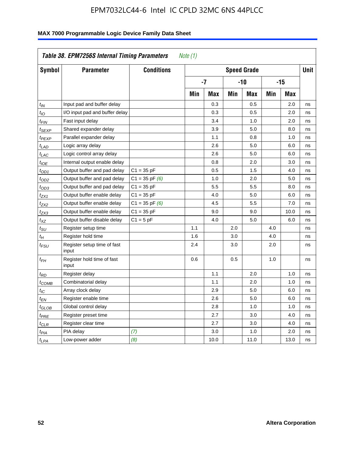| Symbol                      | <b>Parameter</b>                     | <b>Conditions</b>  | <b>Speed Grade</b> |            |       |            |       | <b>Unit</b> |    |
|-----------------------------|--------------------------------------|--------------------|--------------------|------------|-------|------------|-------|-------------|----|
|                             |                                      |                    | $-7$               |            | $-10$ |            | $-15$ |             |    |
|                             |                                      |                    | Min                | <b>Max</b> | Min   | <b>Max</b> | Min   | <b>Max</b>  |    |
| $t_{IN}$                    | Input pad and buffer delay           |                    |                    | 0.3        |       | 0.5        |       | 2.0         | ns |
| $t_{IO}$                    | I/O input pad and buffer delay       |                    |                    | 0.3        |       | 0.5        |       | 2.0         | ns |
| t <sub>FIN</sub>            | Fast input delay                     |                    |                    | 3.4        |       | 1.0        |       | 2.0         | ns |
| t <sub>SEXP</sub>           | Shared expander delay                |                    |                    | 3.9        |       | 5.0        |       | 8.0         | ns |
| t <sub>PEXP</sub>           | Parallel expander delay              |                    |                    | 1.1        |       | 0.8        |       | 1.0         | ns |
| t <sub>LAD</sub>            | Logic array delay                    |                    |                    | 2.6        |       | 5.0        |       | 6.0         | ns |
| $t_{LAC}$                   | Logic control array delay            |                    |                    | 2.6        |       | 5.0        |       | 6.0         | ns |
| $t_{IOE}$                   | Internal output enable delay         |                    |                    | 0.8        |       | 2.0        |       | 3.0         | ns |
| $t_{OD1}$                   | Output buffer and pad delay          | $C1 = 35 pF$       |                    | 0.5        |       | 1.5        |       | 4.0         | ns |
| t <sub>OD2</sub>            | Output buffer and pad delay          | $C1 = 35$ pF $(6)$ |                    | 1.0        |       | 2.0        |       | 5.0         | ns |
| $t_{OD3}$                   | Output buffer and pad delay          | $C1 = 35 pF$       |                    | 5.5        |       | 5.5        |       | 8.0         | ns |
| t <sub>ZX1</sub>            | Output buffer enable delay           | $C1 = 35 pF$       |                    | 4.0        |       | 5.0        |       | 6.0         | ns |
| t <sub>ZX2</sub>            | Output buffer enable delay           | $C1 = 35$ pF $(6)$ |                    | 4.5        |       | 5.5        |       | 7.0         | ns |
| t <sub>ZX3</sub>            | Output buffer enable delay           | $C1 = 35 pF$       |                    | 9.0        |       | 9.0        |       | 10.0        | ns |
| $t_{\chi Z}$                | Output buffer disable delay          | $C1 = 5pF$         |                    | 4.0        |       | 5.0        |       | 6.0         | ns |
| $t_{\scriptstyle\text{SU}}$ | Register setup time                  |                    | 1.1                |            | 2.0   |            | 4.0   |             | ns |
| $t_H$                       | Register hold time                   |                    | 1.6                |            | 3.0   |            | 4.0   |             | ns |
| t <sub>FSU</sub>            | Register setup time of fast<br>input |                    | 2.4                |            | 3.0   |            | 2.0   |             | ns |
| $t_{FH}$                    | Register hold time of fast<br>input  |                    | 0.6                |            | 0.5   |            | 1.0   |             | ns |
| $t_{RD}$                    | Register delay                       |                    |                    | 1.1        |       | 2.0        |       | 1.0         | ns |
| $t_{COMB}$                  | Combinatorial delay                  |                    |                    | 1.1        |       | 2.0        |       | 1.0         | ns |
| t <sub>IC</sub>             | Array clock delay                    |                    |                    | 2.9        |       | 5.0        |       | 6.0         | ns |
| t <sub>EN</sub>             | Register enable time                 |                    |                    | 2.6        |       | 5.0        |       | 6.0         | ns |
| t <sub>GLOB</sub>           | Global control delay                 |                    |                    | 2.8        |       | 1.0        |       | 1.0         | ns |
| $t_{PRE}$                   | Register preset time                 |                    |                    | 2.7        |       | 3.0        |       | 4.0         | ns |
| $t_{\sf CLR}$               | Register clear time                  |                    |                    | 2.7        |       | 3.0        |       | 4.0         | ns |
| $t_{PIA}$                   | PIA delay                            | (7)                |                    | 3.0        |       | 1.0        |       | 2.0         | ns |
| $t_{LPA}$                   | Low-power adder                      | (8)                |                    | 10.0       |       | 11.0       |       | 13.0        | ns |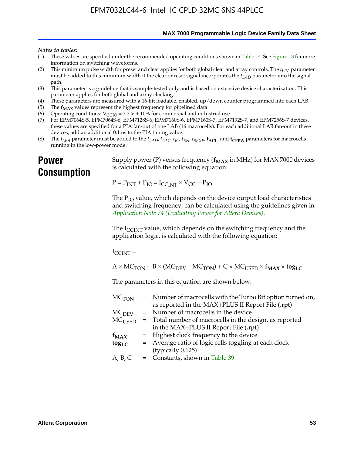**MAX 7000 Programmable Logic Device Family Data Sheet**

#### *Notes to tables:*

- (1) These values are specified under the recommended operating conditions shown in Table 14. See Figure 13 for more information on switching waveforms.
- (2) This minimum pulse width for preset and clear applies for both global clear and array controls. The  $t_{LPA}$  parameter must be added to this minimum width if the clear or reset signal incorporates the *tLAD* parameter into the signal path.
- (3) This parameter is a guideline that is sample-tested only and is based on extensive device characterization. This parameter applies for both global and array clocking.
- (4) These parameters are measured with a 16-bit loadable, enabled, up/down counter programmed into each LAB.
- (5) The  $f_{MAX}$  values represent the highest frequency for pipelined data.
- (6) Operating conditions:  $V_{\text{CCIO}} = 3.3 \text{ V} \pm 10\%$  for commercial and industrial use.
- (7) For EPM7064S-5, EPM7064S-6, EPM7128S-6, EPM7160S-6, EPM7160S-7, EPM7192S-7, and EPM7256S-7 devices, these values are specified for a PIA fan-out of one LAB (16 macrocells). For each additional LAB fan-out in these devices, add an additional 0.1 ns to the PIA timing value.
- (8) The  $t_{LPA}$  parameter must be added to the  $t_{LAD}$ ,  $t_{LAC}$ ,  $t_{IC}$ ,  $t_{EN}$ ,  $t_{SEXP}$ ,  $t_{ACL}$ , and  $t_{CPPW}$  parameters for macrocells running in the low-power mode.

### **Power Consumption**

[Supply power \(P\) versus frequency \(](http://www.altera.com/literature/an/an074.pdf) $f_{MAX}$  in MHz) for MAX 7000 devices is calculated with the following equation:

 $P = P_{INT} + P_{IO} = I_{CCLNT} \times V_{CC} + P_{IO}$ 

The  $P_{IO}$  value, which depends on the device output load characteristics and switching frequency, can be calculated using the guidelines given in *Application Note 74 (Evaluating Power for Altera Devices)*.

The  $I_{\text{CCINT}}$  value, which depends on the switching frequency and the application logic, is calculated with the following equation:

 $I_{\text{CCTNT}} =$ 

 $A \times MC_{TON} + B \times (MC_{DEFU} - MC_{TON}) + C \times MC_{LISED} \times f_{MAX} \times tog_{LC}$ 

The parameters in this equation are shown below:

| $MC$ <sub>TON</sub> | = Number of macrocells with the Turbo Bit option turned on,                |
|---------------------|----------------------------------------------------------------------------|
|                     | as reported in the MAX+PLUS II Report File (.rpt)                          |
| MC <sub>DFV</sub>   | = Number of macrocells in the device                                       |
|                     | $MC_{\text{USED}}$ = Total number of macrocells in the design, as reported |
|                     | in the MAX+PLUS II Report File (.rpt)                                      |
| $f_{MAX}$           | = Highest clock frequency to the device                                    |
| $tog_{LC}$          | = Average ratio of logic cells toggling at each clock                      |
|                     | (typically 0.125)                                                          |
| A, B, C             | = Constants, shown in Table 39                                             |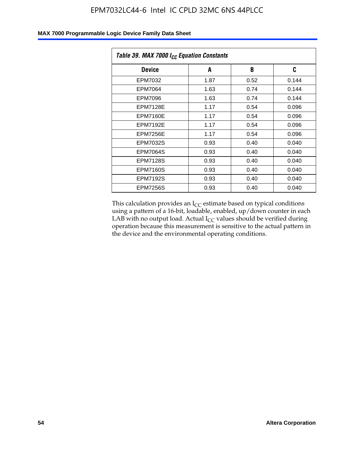|  | MAX 7000 Programmable Logic Device Family Data Sheet |
|--|------------------------------------------------------|
|--|------------------------------------------------------|

| Table 39. MAX 7000 I <sub>CC</sub> Equation Constants |      |      |       |  |  |
|-------------------------------------------------------|------|------|-------|--|--|
| <b>Device</b>                                         | A    | B    | C     |  |  |
| EPM7032                                               | 1.87 | 0.52 | 0.144 |  |  |
| EPM7064                                               | 1.63 | 0.74 | 0.144 |  |  |
| EPM7096                                               | 1.63 | 0.74 | 0.144 |  |  |
| <b>EPM7128E</b>                                       | 1.17 | 0.54 | 0.096 |  |  |
| EPM7160E                                              | 1.17 | 0.54 | 0.096 |  |  |
| <b>EPM7192E</b>                                       | 1.17 | 0.54 | 0.096 |  |  |
| <b>EPM7256E</b>                                       | 1.17 | 0.54 | 0.096 |  |  |
| <b>EPM7032S</b>                                       | 0.93 | 0.40 | 0.040 |  |  |
| <b>EPM7064S</b>                                       | 0.93 | 0.40 | 0.040 |  |  |
| <b>EPM7128S</b>                                       | 0.93 | 0.40 | 0.040 |  |  |
| EPM7160S                                              | 0.93 | 0.40 | 0.040 |  |  |
| <b>EPM7192S</b>                                       | 0.93 | 0.40 | 0.040 |  |  |
| <b>EPM7256S</b>                                       | 0.93 | 0.40 | 0.040 |  |  |

This calculation provides an  $I_{CC}$  estimate based on typical conditions using a pattern of a 16-bit, loadable, enabled, up/down counter in each LAB with no output load. Actual  $I_{CC}$  values should be verified during operation because this measurement is sensitive to the actual pattern in the device and the environmental operating conditions.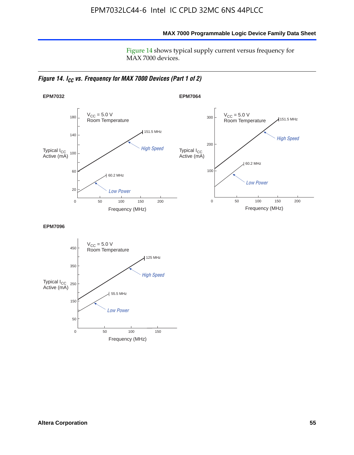**MAX 7000 Programmable Logic Device Family Data Sheet**

Figure 14 shows typical supply current versus frequency for MAX 7000 devices.

*Figure 14. I<sub>CC</sub> vs. Frequency for MAX 7000 Devices (Part 1 of 2)* 



**EPM7096**

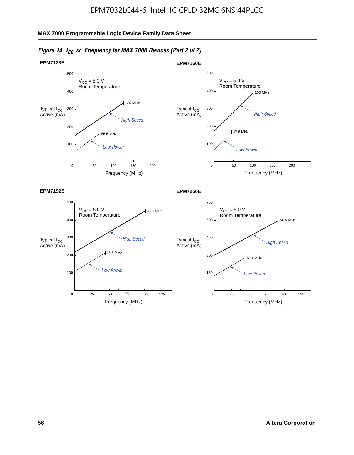

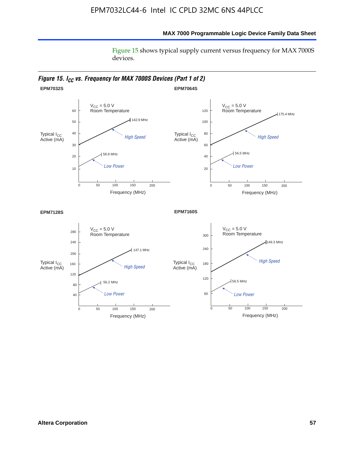#### **MAX 7000 Programmable Logic Device Family Data Sheet**

Figure 15 shows typical supply current versus frequency for MAX 7000S devices.

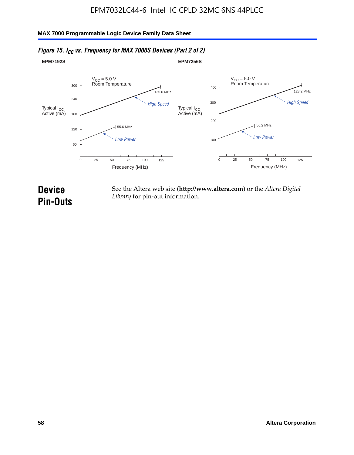#### **EPM7192S** V<sub>CC</sub> = 5.0 V<br>Room Temperature 0 Frequency (MHz) High Speed Low Power 25 100 125 125.0 MHz 55.6 MHz 60 120 180 240 300 50 75 **EPM7256S** V<sub>CC</sub> = 5.0 V<br>Room Temperature 0 Frequency (MHz) High Speed Low Power 25 100 125 128.2 MHz 56.2 MHz 100 200 300 400 50 75 Typical I<sub>CC</sub><br>Active (mA) Typical I<sub>CC</sub> Typical I<sub>CC</sub> Typical I<sub>C</sub> Typical I<sub>C</sub> Typical I<sub>C</sub> Typical I<sub>C</sub> Typical I<sub>C</sub> Typical I<sub>C</sub> Typical I<sub>C</sub> Typical I<sub>C</sub> Typical I<sub>C</sub> Typical I<sub>C</sub> Typical I<sub>C</sub> Typical I<sub>C</sub> Typical I<sub>C</sub> Typical I<sub>C</sub> Typical I<sub>C</sub> Typical I<sub>CC</sub><br>Active (mA)

#### *Figure 15. I<sub>CC</sub> vs. Frequency for MAX 7000S Devices (Part 2 of 2)*

## **Device Pin-Outs**

See the Altera web site (**http://www.altera.com**) or the *Altera Digital Library* for pin-out information.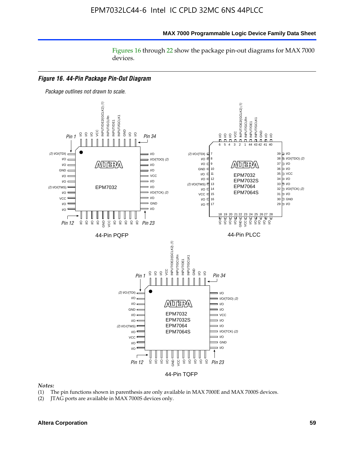#### **MAX 7000 Programmable Logic Device Family Data Sheet**

Figures 16 through 22 show the package pin-out diagrams for MAX 7000 devices.



#### *Notes:*

- (1) The pin functions shown in parenthesis are only available in MAX 7000E and MAX 7000S devices.
- (2) JTAG ports are available in MAX 7000S devices only.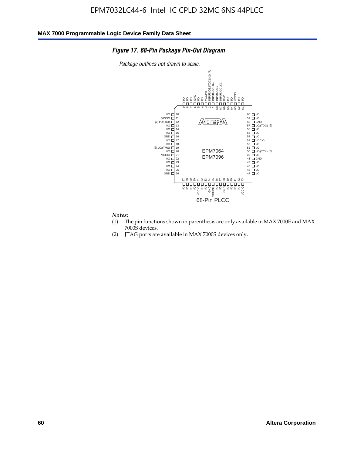#### *Figure 17. 68-Pin Package Pin-Out Diagram*

*Package outlines not drawn to scale.*



## *Notes:*<br>(1) T

- The pin functions shown in parenthesis are only available in MAX 7000E and MAX 7000S devices.
- (2) JTAG ports are available in MAX 7000S devices only.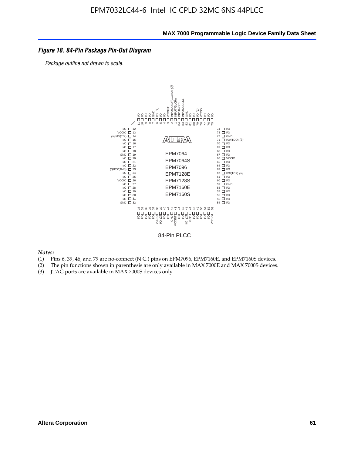#### *Figure 18. 84-Pin Package Pin-Out Diagram*

*Package outline not drawn to scale.*



84-Pin PLCC

*Notes:*

- (1) Pins 6, 39, 46, and 79 are no-connect (N.C.) pins on EPM7096, EPM7160E, and EPM7160S devices.
- (2) The pin functions shown in parenthesis are only available in MAX 7000E and MAX 7000S devices.
-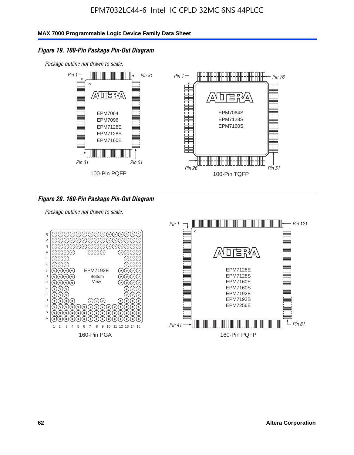#### *Figure 19. 100-Pin Package Pin-Out Diagram*

*Package outline not drawn to scale.*



#### *Figure 20. 160-Pin Package Pin-Out Diagram*

*Package outline not drawn to scale.*

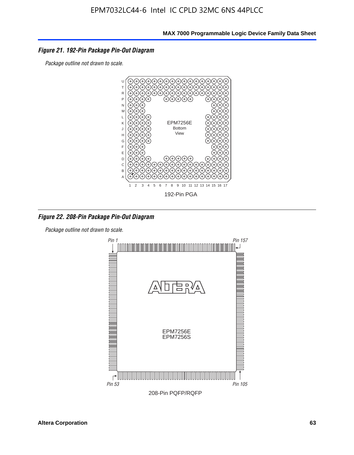#### *Figure 21. 192-Pin Package Pin-Out Diagram*

*Package outline not drawn to scale.*



*Figure 22. 208-Pin Package Pin-Out Diagram*

*Package outline not drawn to scale.*

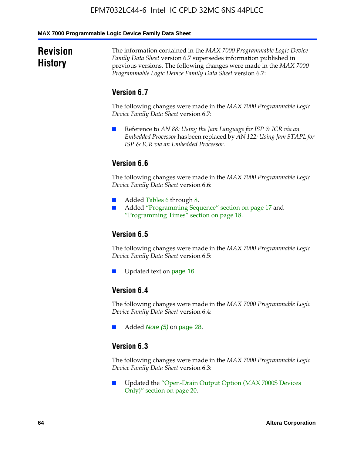#### **MAX 7000 Programmable Logic Device Family Data Sheet**

### **Revision History**

The information contained in the *MAX 7000 Programmable Logic Device Family Data Sheet* version 6.7 supersedes information published in previous versions. The following changes were made in the *MAX 7000 Programmable Logic Device Family Data Sheet* version 6.7:

#### **Version 6.7**

The following changes were made in the *MAX 7000 Programmable Logic Device Family Data Sheet* version 6.7:

■ Reference to *AN 88: Using the Jam Language for ISP & ICR via an Embedded Processor* has been replaced by *AN 122: Using Jam STAPL for ISP & ICR via an Embedded Processor*.

#### **Version 6.6**

The following changes were made in the *MAX 7000 Programmable Logic Device Family Data Sheet* version 6.6:

- Added Tables 6 through 8.
- Added "Programming Sequence" section on page 17 and "Programming Times" section on page 18.

#### **Version 6.5**

The following changes were made in the *MAX 7000 Programmable Logic Device Family Data Sheet* version 6.5:

Updated text on page 16.

#### **Version 6.4**

The following changes were made in the *MAX 7000 Programmable Logic Device Family Data Sheet* version 6.4:

■ Added *Note (5)* on page 28.

#### **Version 6.3**

The following changes were made in the *MAX 7000 Programmable Logic Device Family Data Sheet* version 6.3:

■ Updated the "Open-Drain Output Option (MAX 7000S Devices Only)" section on page 20.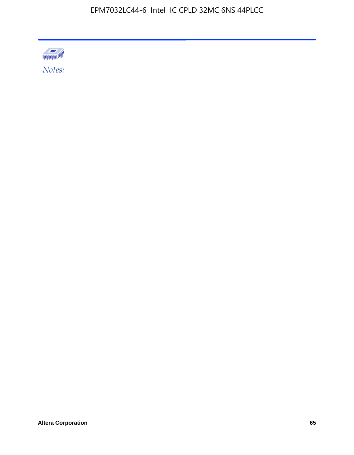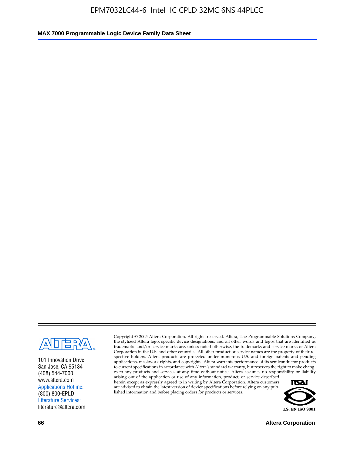

101 Innovation Drive San Jose, CA 95134 (408) 544-7000 www.altera.com Applications Hotline: (800) 800-EPLD Literature Services: literature@altera.com

Copyright © 2005 Altera Corporation. All rights reserved. Altera, The Programmable Solutions Company, the stylized Altera logo, specific device designations, and all other words and logos that are identified as trademarks and/or service marks are, unless noted otherwise, the trademarks and service marks of Altera Corporation in the U.S. and other countries. All other product or service names are the property of their respective holders. Altera products are protected under numerous U.S. and foreign patents and pending applications, maskwork rights, and copyrights. Altera warrants performance of its semiconductor products to current specifications in accordance with Altera's standard warranty, but reserves the right to make changes to any products and services at any time without notice. Altera assumes no responsibility or liability

arising out of the application or use of any information, product, or service described herein except as expressly agreed to in writing by Altera Corporation. Altera customers are advised to obtain the latest version of device specifications before relying on any published information and before placing orders for products or services.



**66 Altera Corporation**